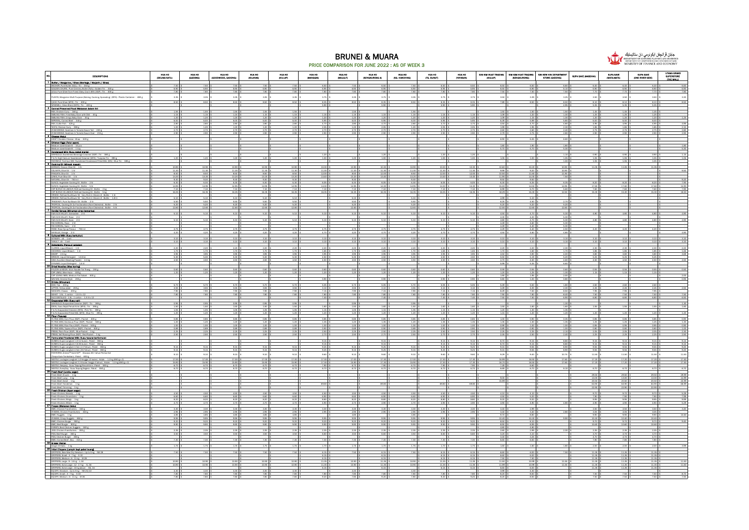

#### BRUNEI & MUARA PRICE COMPARISON FOR JUNE 2022 : AS OF WEEK 3

|                                                                                                                                                                                                                                                                                                                                           |                             |                               |                             |                                   |                                | .                              |                             |                                              |                             |                                   |                             |                                                                                      |                                  |                                                               |                                      |                                                     |                                      |                                                       |
|-------------------------------------------------------------------------------------------------------------------------------------------------------------------------------------------------------------------------------------------------------------------------------------------------------------------------------------------|-----------------------------|-------------------------------|-----------------------------|-----------------------------------|--------------------------------|--------------------------------|-----------------------------|----------------------------------------------|-----------------------------|-----------------------------------|-----------------------------|--------------------------------------------------------------------------------------|----------------------------------|---------------------------------------------------------------|--------------------------------------|-----------------------------------------------------|--------------------------------------|-------------------------------------------------------|
| DESCRIPTIONS                                                                                                                                                                                                                                                                                                                              | HUA HO<br>(DELIMA SATU)     | HUA HO<br>(GADONG)            | HUA HO<br>(GOODWOOD, GADONG | HUA HO<br>GOLANASI                | HUA HO<br>(KEULAP)             | HUA HO<br>GAANGGIBI            | HUA HO<br>GHULAITH          | HUA HO<br>GENGKURONG A                       | HUA HO<br>GIG. HANCHING     | HUA HO<br>(TO. BUNUT)             | HUA HO<br>(YAYABAN)         | SIM KIM HUAT TRADING<br><b>OGULAPY</b>                                               | <b>CREMANDIROMAN</b>             | SIM KIM HUAT TRADING SIN KEW HIN DEPARTMENT<br>STORE (GADONE) | SUPA BAYE GAABOHAD                   | SUPA SAVE<br>(MATA-MATA)                            | SUPA SAVE<br>(ONE RIVER SIDE)        | UTAMA GRAND<br>Superstore<br>(The MALL)               |
| 1 Butter / Margarine / Gheo (Mentega / Marjerin / Gheo)                                                                                                                                                                                                                                                                                   |                             |                               |                             | 7.50                              |                                | 6.50                           |                             | 6.50                                         |                             | 6.50 1                            | 6.50                        | 6.50                                                                                 | 6.50                             | 6.60                                                          | 6.40                                 | 6.40                                                | 6.40 \$                              | 6.60                                                  |
| GOLDEN CHURN: Pure Cremery Butter (NZL) : Golden Tin . 340 (<br>LELA: Pure Ghee from Finest Dairy Cow's Milk (SGP): Tin - 400 g                                                                                                                                                                                                           | 7.80                        |                               |                             | 7.80                              |                                |                                | 7.8                         | 7.80                                         | 7.80                        | 7.80                              | 7.80                        | 7.50                                                                                 | 7.50                             | 7.50                                                          | 7.70                                 |                                                     |                                      | 7.80                                                  |
| PLANTA; Margarine Multi Purpose (Baking, Cooking, Spreading) (MYS) : Plastic Container - 480 g                                                                                                                                                                                                                                            | $3.35\,$                    | 3.35                          | 3.35                        | $3.35$ \$                         | $3.35$ \$                      | $3.75 - $$                     | 3.35                        | $3.75$ \$                                    | 3.35                        | 3.75 \$                           | 3.75                        | 3.50 <sub>8</sub>                                                                    | $3.39\,$                         | 3.25                                                          | 3.50 <sub>8</sub>                    | 3.50                                                | $3.50$ \$                            | 3.30                                                  |
| Q.B.B; Pure Ghee (MYS): Tin - 400 g                                                                                                                                                                                                                                                                                                       | 8.50                        | 8.50                          | 8.50                        | 8.50 \$                           | 8.50                           | 8.35 \$                        | 8.50                        | 8.35                                         | 8.50                        | 8.35                              | 8.35                        | 7.89                                                                                 | 8.50                             | 8.50                                                          | 8.10 \$                              | 8.10                                                | $8.10$ \$                            | 850                                                   |
| WINDMILL Under Bland (MYS) : 1m - 400 g<br>2 Canned Preserved Food (Malcanan dalam tin)                                                                                                                                                                                                                                                   | 1.55                        | 1.55                          | 1.55                        | 1.55                              | 1.55                           |                                | 1.55                        |                                              | 1.55                        |                                   |                             | 1.50                                                                                 |                                  | 4.95<br>1.50                                                  | 1.45                                 | 1.45                                                | 1.45                                 |                                                       |
| BRK, Chicken Cury - 160 g<br>SMILING FISH; Fried Baby Clam with Chili - 40 g<br>SMILING FISH; Fried Baby Clam with Chili - 40 g<br>SMILING FISH: Crience Baby Clam<br>MPERIAL: Comed Bed - 340 g<br>REX; Cuttle Fish - 425 g                                                                                                              | 1.15                        | 1.15                          | 1.15                        | 1.15 \$                           | 1.15                           | $1.15$ :                       | 1.15                        | 1.15                                         | 1.15                        | 1.15                              | 1.15                        | $1.09$ 3                                                                             | 1.50<br>1.20                     | 130                                                           | $125$ \$                             |                                                     | $125$ \$                             |                                                       |
|                                                                                                                                                                                                                                                                                                                                           | $\frac{120}{6.00}$<br>2.80  | $\frac{120}{6.00}$ \$<br>2.80 | 1.20<br>6.00                | $\frac{120}{6.00}$ \$<br>2.80     | 1.20<br>6.00 S<br>2.80         | 1.20<br>5.95 \$                | $-1.20$<br>6.00<br>2.80     | $1.20 +$<br>5.95 \$                          | 1.20<br>6.00 S<br>2.80      | $1.20 - 9$<br>5.95 \$<br>4.70 1   | 1.20<br>5.95                | $\frac{1.09}{6.39}$ \$<br>4.50                                                       | 1.15<br>5.99                     | 1.30<br>5.80<br>4.80                                          | $\frac{120}{600}$ \$<br>4.95         | $\frac{120}{600}$                                   | $\frac{120}{600}$ \$<br>4.95 \$      | 4.95                                                  |
|                                                                                                                                                                                                                                                                                                                                           | $\frac{120}{2.70}$          | $\frac{120}{2.70}$ \$         |                             | $\frac{120}{2.70}$ \$             |                                |                                |                             |                                              |                             |                                   |                             | 1.99                                                                                 |                                  |                                                               |                                      |                                                     | $\frac{185}{2.75}$ \$                |                                                       |
| MEX, Lours van - Text, 280 g<br>XYAM BRAND: Sardinas In Tomato Sauce Tall - 230 g<br>XYAM BRAND: Sardinas In Tomato Sauce Oval - 215 g<br>XYAM BRAND: Sardinas In Tomato Sauce Oval - 215 g                                                                                                                                               | 2.90 \$                     | $2.90$ \$                     | 2.70<br>2.90                | $2.90$ \$                         | 2.70<br>$2.90$ \$              | 2.70<br>$2.90$ \$              | 2.70<br>2.90                | $2.70$ \$<br>$2.90$ \$                       | 2.70<br>2.90                | $2.70$ \$<br>2.90 S               | 2.70<br>2.90                | $2.60$ \$<br>2.79 \$                                                                 | 2.60<br>2.75                     | 2.40<br>$2.80$ !                                              | $2.75$ \$<br>2.90 \$                 | 2.75<br>2.90                                        | 2.90 \$                              | 2.80<br>2.90                                          |
| 3 Chess (Kets)<br>KRAFT Chodder Chesse : Wap - 530 e<br>4 Chicken Esin (Telur avam)                                                                                                                                                                                                                                                       |                             |                               |                             |                                   |                                |                                |                             |                                              |                             |                                   |                             | 6.90 \$                                                                              | 6.45                             | 6.60                                                          |                                      |                                                     |                                      |                                                       |
| Medium sized Grade B - 10 pcs                                                                                                                                                                                                                                                                                                             |                             |                               |                             |                                   |                                |                                |                             |                                              |                             |                                   |                             | 1.80 \$                                                                              | 1.90                             | 1.80                                                          |                                      |                                                     |                                      |                                                       |
| Motion sized Cristie B - 1 trave mental<br><b>B</b> Condensed Mitt (Buser ordert mental)<br>MARKOLD, Sweetsmad Beverage Creatmer (50P) : Tim - 380 g<br>F & N; High Calcium Sweetsmad (nearner (MRS) : Turgoise Tim - 390 g<br>T & N; High                                                                                                |                             |                               |                             |                                   |                                |                                |                             |                                              |                             |                                   |                             |                                                                                      |                                  |                                                               |                                      | 0.90                                                |                                      |                                                       |
|                                                                                                                                                                                                                                                                                                                                           | 1.20                        | 1.20                          |                             | $1.20$ \$                         | 1.20                           | 1.20<br>$1.00$ \$              | 1.20                        | 1.20<br>$1.00$ $\frac{1}{3}$                 | 1.20                        | 1.20 \$<br>1.00 \$                | 1.00                        | 1.05                                                                                 | 1.00                             | 1.10<br>1.05                                                  | 0.90<br>1.05 \$                      | 1.05                                                | 0.90<br>1.05 \$                      |                                                       |
| INDOMEK: Nutrious Milk Sweetened Condensed Filed Milk (IDN): Blue Tin<br><b>RECARDER Numerical Control Coolding Oil (Minyalk masek)</b>                                                                                                                                                                                                   | 10.90                       | 10.90                         | 10.90                       | 10.90 \$                          | 10.90                          | 10.30 \$                       | 10.90                       | 10.30                                        | 10.90                       | 10.30 \$                          | 10.30                       | 10.60                                                                                | 10.20                            | 10.90                                                         | 11.05                                |                                                     |                                      |                                                       |
| BORGES; Classic Olive Oil                                                                                                                                                                                                                                                                                                                 | 11.30                       | 8.50                          | 8.50                        | 11.30<br>8.50                     | 8.50                           | 11.90<br>12.00                 | 8.50                        | 11.30 L                                      | 11.90                       | 11.30<br>12.00                    | 11.98                       | 9<br>10.50                                                                           | 9.20                             | 10.90<br>11.90                                                |                                      |                                                     |                                      |                                                       |
|                                                                                                                                                                                                                                                                                                                                           | 8.50<br>13.20<br>9.30       | 13.20<br>9.30                 | 13.20<br>9.30               | 13.20 \$<br>$9.30$ \$             | 13.20<br>9.30                  | 13.40 \$                       | 13.20<br>9.30               | 12.00<br>13.40 \$                            | 8.50<br>13.20<br>9.30       | 13.40 \$                          | 12.0<br>13.40               | 11.90 \$<br>9.50                                                                     | 11.60<br>14.30<br>9.50           | 7.50                                                          |                                      |                                                     |                                      | 9.20                                                  |
|                                                                                                                                                                                                                                                                                                                                           | 630<br>14.95                | A 30<br>14.95                 | 630<br>14.95                | 6.30                              | 6.30                           | 605<br>14.30                   | 6.30                        | 605                                          | 630 <sup>T</sup>            | 605<br>14.30                      | 6.05                        | $\begin{array}{r} 6.30 \ 8.30 \ 8.99 \ 8.76 \end{array}$                             | 6%                               | 635                                                           | 820<br>17.60                         |                                                     | 8.20 \$                              | $\frac{7.90}{14.90}$                                  |
|                                                                                                                                                                                                                                                                                                                                           | 7.10<br>16.35               | 7.10%<br>16.35                | 7.10<br>16.35               | $\frac{6.30}{14.95}$ \$<br>16.35  | 14.95<br>$7.10$ \$<br>16.35    | 7.10%<br>16.35                 | 14.95<br>7.10<br>16.35      | 14.30 \$<br>7.10%<br>16.35                   | 14.95<br>$7.10$ :<br>16.35  | 7.10%<br>16.35 \$                 | 14.30<br>7.10<br>16.35      | 18.29                                                                                | $\frac{14.50}{6.70}$ \$<br>15.30 | 14.95<br>5.60<br>12.50                                        | 7.60 \$<br>$15.30 -$                 | $\frac{6.60}{7.60}$                                 | $\frac{640}{17.60}$ \$<br>15.30      |                                                       |
|                                                                                                                                                                                                                                                                                                                                           | 5.10                        | 5.10                          | 5.10                        | 5.10                              |                                |                                |                             |                                              |                             |                                   |                             | 4.99                                                                                 |                                  |                                                               |                                      |                                                     |                                      |                                                       |
|                                                                                                                                                                                                                                                                                                                                           | 5.50 \$<br>5.20             | 5.50 \$<br>5.20               | 5.50 \$<br>5.20             | 5.50 \$<br>5.20                   | 5.50 S<br>5.20                 |                                | 5.50<br>5.20                |                                              | 5.50<br>5.20                |                                   |                             | $6.25 - $$<br>5.20                                                                   | 4.50<br>5.20                     | $2.70$ \$                                                     | . Is                                 |                                                     |                                      |                                                       |
| TROPICAL: Cooking Oil 2x Fractionation (Non Choiseatel) : Bottle - 2 ltr<br>TROPICAL: Cooking Oil 2x Fractionation (Non Choiseatel) : Bottle - 5 ltr<br>7 Condial Syrups (Minuman eires benearise)                                                                                                                                        | 12.60                       | 12.60                         | 12.60                       | 12.60 \$                          | 12.60 \$                       |                                | 12.60                       |                                              | 12.60                       |                                   |                             | 12.50 \$                                                                             | 12.60                            | 12.60                                                         |                                      |                                                     |                                      |                                                       |
| F&N SUN VALLEY: Grenadine - 2 lit                                                                                                                                                                                                                                                                                                         | 5.10                        | $5.10$ \$                     | 5.10                        | $5.10$ s                          | $5.10$ s                       | $5.10$ $\pm$                   | 5.10                        | $5.10$ \$                                    | 5.10                        | $5.10$ s                          | 5.10                        | 4.50 \$<br>4.30                                                                      | 4.70<br>4.20                     | 5.30<br>5.30                                                  | 4.80 \$                              | 4.80                                                | 4.80 \$                              | 4.90                                                  |
| FAN SUN VALLEY: Rose - 2 lit<br>FAN SUN VALLEY: Rose - 2 lit                                                                                                                                                                                                                                                                              | 5.10                        | 5.10                          | 5.10                        | 5.10                              | 5.10                           | 5.10                           | 5.10                        | 5.10                                         | 5.10                        | 5.10                              | 5.10                        | 4.80 \$                                                                              | 4.70                             | 5.30                                                          | 4.80 \$                              | 4.80                                                | 4.80                                 | 4.90                                                  |
| RIA KORDIAL; Rose - 2 lit<br>RIA KORDIAL: Sarsi - 2 lit                                                                                                                                                                                                                                                                                   | 475                         | 4.75                          |                             |                                   | 475                            |                                | 4.75                        |                                              | 475                         | 4.75 \$                           | 4.75                        | 4.49.5<br>4.49 \$                                                                    | 4.60<br>4.40<br>4.40             | 5.30<br>5.30                                                  | - 1 +                                | 4.20                                                |                                      |                                                       |
| ROSE: Rose Syrup Flavour - 750 ml<br>SKYBLUE: Orange - 2 lit                                                                                                                                                                                                                                                                              | 4.20                        | 4.20                          | $\frac{4.75}{4.20}$         | $\frac{4.75}{4.20}$ \$            | 4.20                           | $\frac{4.75}{4.70}$ \$         | 4.20                        | $\frac{4.75}{4.70}$ \$                       | 4.20                        | 4.70 <sub>5</sub>                 | 4.70                        | $\frac{4.29}{4.50}$ \$                                                               | 4.60                             | $\frac{450}{480}$                                             | $-4.20$ \$                           |                                                     | $\frac{420}{9}$                      | 4.90                                                  |
| AGEN : x5 - 1 set                                                                                                                                                                                                                                                                                                                         | 3.10<br>3.10                | 3.10                          | 3.10                        | 3.10                              | 3.10                           | $3.10$ \$                      | 3.10                        | 3.10                                         | 3.10                        | $3.10$ $\frac{1}{3}$<br>3.10      | 3.10                        | 3.10<br>3.10                                                                         | 3.10                             | 3.10<br>3.10                                                  | $3.10$ \$                            | 3.10                                                | $3.10$ \$                            | $\frac{3.10}{3.10}$                                   |
| 9 Determina (Penoual calcula                                                                                                                                                                                                                                                                                                              | 2.20                        | 2.20                          |                             | $2.20 -$                          | $2.20$ $1$                     | $2.20 - 8$                     | 2.20                        | $2.20 -$                                     | 2.20                        | $2.20 - 8$                        |                             | $2.20 - 8$                                                                           | 2.20                             | 230                                                           | $2.30 - 9$                           | 2.30                                                | 230.8                                |                                                       |
| <b>CORNER PRODUCE DESCRIPSION</b><br>COORDIN Liquid Bloach - 1 lit<br>SINCEP - 25 kg<br>SINCEP - 25 kg<br>OAA: Excellent Washing Powder - 2.4 kg<br>OAA: Excellent Washing Powder - 2.4 kg<br><b>20 DYAANO:</b> Uquid Detergent - 1.6 lit<br><b>20 DYAAN</b>                                                                              | 1.70                        | 1.70                          | 1.70                        | $1.70$ \$                         | 1.70                           | $1.65 - 1$                     |                             | 1.65                                         | 1.70                        | $1.65$ \$                         | 1.65                        | 1.70                                                                                 | 1.60                             | 1.70                                                          |                                      | 1.85<br>3.80<br>5.25                                | 1.85 S                               | $\begin{array}{r} 220 \\ 166 \\ 3.69 \end{array}$     |
|                                                                                                                                                                                                                                                                                                                                           | $\frac{3.95}{5.30}$<br>4.50 | $\frac{3.95}{5.30}$<br>4.50   | 3.95<br>5.30<br>4.50        | $\frac{3.95}{5.30}$ \$<br>4.50 \$ | $\frac{3.95}{5.30}$ \$<br>4.50 | $\frac{3.95}{4.50}$<br>4.50 \$ | $\frac{3.95}{5.30}$<br>4.50 | $\frac{3.95}{4.50}$ \$<br>4.50 \$            | $\frac{3.95}{5.30}$<br>4.50 | $\frac{3.95}{4.50}$ \$<br>4.50 \$ | $\frac{3.95}{4.50}$<br>4.50 | $\frac{4.50}{5.50}$ \$<br>4.70 \$                                                    | $\frac{3.90}{5.19}$<br>4.50      | $\frac{4.00}{5.20}$<br>4.60                                   | 4.50 \$                              | 4.50                                                | $3.80$ \$<br>4.50 S                  | 4.50                                                  |
|                                                                                                                                                                                                                                                                                                                                           |                             |                               |                             |                                   |                                |                                |                             |                                              |                             |                                   |                             | 5.99                                                                                 | 5.35                             | 6.60                                                          |                                      |                                                     |                                      |                                                       |
|                                                                                                                                                                                                                                                                                                                                           | 0.60<br>1.20                | 0.60<br>1.20                  | 0.60<br>1.20                | $0.60 -$<br>1.20 \$               | 0.60<br>1.20                   | 0.60<br>1.20                   | 0.60<br>1.20                | 0.60<br>1.20 \$                              | 0.60<br>1.20                | 0.60<br>1.20 \$                   | 0.60<br>1.20                | $0.59$ 1<br>1.20                                                                     | 1.25                             | 0.60                                                          | $0.55 - 9$<br>$1.15$ s               | 0.55<br>1.15                                        | $0.55$ \$<br>$1.15$ s                | 0.50                                                  |
| FALCON & MOON Stick Noodle Tai Thonz - 150 g<br>CAP LIMAU: Mee Hoon - 400 g<br>CAP UDANG MBS; Medium Flat Sabah - 500 g                                                                                                                                                                                                                   |                             |                               |                             |                                   |                                | 0.90 <sub>5</sub>              |                             | $0.90 - 5$                                   |                             | $0.90 - 5$                        | 0.90                        | $1.90$ \$                                                                            | 1.95                             | $\frac{130}{200}$                                             |                                      |                                                     |                                      | 2.00                                                  |
| WA WAL Oriental Style - 200 e                                                                                                                                                                                                                                                                                                             |                             |                               |                             |                                   |                                | 5.05                           |                             | 5.05                                         |                             | 5.05                              |                             | 0.80.8<br>5.49                                                                       | 1.00<br>5.50                     | 0.80                                                          |                                      |                                                     |                                      | 0.95                                                  |
| BOH; Tea - 200 g<br>LIPTON; Yellow label - 200 g<br>NESCAFE: Classic - 200 g<br>SEHAT - 1.5k : 1 canton - 1.5 lit x 12                                                                                                                                                                                                                    | 3.55<br>7.90                | 3.55<br>7.90 \$               | 7.90                        | 3.55<br>7.90 \$                   | 3.55<br>7.90                   | 3.10<br>7.15 \$                | 7.90                        | 3.10<br>7.15 \$                              | 7.90 -                      | $3.10$ :<br>7.15 \$               | 7.15                        | $3.49$ \$<br>8.29 \$                                                                 | 4.00<br>7.50                     | $\frac{180}{230}$<br>8.50                                     | $2.45$ \$                            | 7.95 1                                              | $2.45$ \$<br>7.95 \$                 | 2.50                                                  |
| SUCI DISTILLED - 1.5L: 1 carton - 1.5 lit x 12                                                                                                                                                                                                                                                                                            | 7.80                        | 7.80                          | 7.80                        | 7.80 \$                           | 7.80                           | 7.80 \$                        | 7.80                        | 7.80 \$                                      | 7.80                        | 7.80 \$<br>7.40                   | 7.80                        | 7.90 \$                                                                              | 7.80                             | 8.40<br>6.90                                                  | 7.9688<br>6.80                       | 7.50                                                | 7.50 S<br>6.80                       | $7.50$<br>6.50                                        |
| 12 Evenomed Milk (Sueu celr)                                                                                                                                                                                                                                                                                                              | 0.95                        | 0.95                          | 0.95                        | $0.95 - 9$                        | 0.95                           |                                | 0.95                        |                                              | 0.95                        |                                   |                             |                                                                                      |                                  | 1.30                                                          |                                      |                                                     |                                      | 130                                                   |
| <b>23 Proportion MR (Resume of the Control Control Control Control Control Control Control Control Control Control Control Control Control Control Control Control Control Control Control Control Control Control Control Cont</b>                                                                                                       | 1.50<br>1.05                | 1.50                          | 150                         | 1.50 \$                           | 1.50                           | 1.60                           | 150                         | 1.60                                         | 1.50                        | 1.60 \$                           | 1.60                        | 1.50                                                                                 | 1.60                             | 1.60<br>135                                                   | 1.55 \$                              | 1.55                                                | 1.55 \$                              | 1.60                                                  |
|                                                                                                                                                                                                                                                                                                                                           | 1.20                        | 1.20                          |                             | 1.20                              | 1.20                           | 1.20                           | 1.20                        | 1.20                                         | 1.20                        | 1.20                              | 1.20                        | 1.15                                                                                 | 1.2 <sub>0</sub>                 | 1.20                                                          | 1.20                                 |                                                     | 1.20                                 | 1.20                                                  |
|                                                                                                                                                                                                                                                                                                                                           | 0.85<br>120                 | 0.85<br>$1.20$                | 0.85<br>120                 | 0.85<br>$1.20$ 3                  | 0.85<br>$1.20\,$ .             | 0.85<br>135                    | 0.85<br>1.20                | 0.85<br>135                                  | 0.85<br>$1.20\,$ .          | 0.85<br>135 \$                    | 0.85<br>1.35                | 1.00<br>1.35 <sup>3</sup>                                                            | 0.90<br>1.30                     | 0.35<br>135                                                   | 0.85                                 | 0.85                                                | 0.85 \$                              | $\frac{0.90}{1.30}$                                   |
|                                                                                                                                                                                                                                                                                                                                           | 1.00 \$<br>0.89             | 1.00 \$<br>0.89               | 1.00<br>0.89                | $1.00$ \$<br>$0.89$ \$            | $1.00$ \$<br>$0.89$ \$         | $1.00$ \$<br>$0.90$ \$         | 1.00<br>0.89                | $1.00$ \$<br>$0.90$ \$                       | 1.00<br>0.89                | $1.00$ \$<br>$0.90$ \$            | 1.00<br>0.90                | $0.99 - $$<br>$0.89$ \$                                                              | 1.00<br>0.90                     | $1.00$ !                                                      | $\frac{125}{0.95}$ \$<br>$0.80$ \$   | $\begin{array}{r} 1.25 \\ 0.96 \end{array}$<br>0.80 | $\frac{125}{0.95}$ \$<br>$0.80$ \$   | 0.90                                                  |
|                                                                                                                                                                                                                                                                                                                                           | 2.25<br>2.50                | 225<br>2.50                   |                             | 2.25<br>2.50                      | 225<br>2.50                    | 2.50<br>2.70                   | $-2.50$                     | 2.50<br>2.70                                 | 2.25<br>2.50                | 250 \$<br>2.70 \$                 | $-2.70$                     | 2.25<br>$2.45 -$                                                                     | 225<br>2.50                      | $\frac{1.00}{2.10}$<br>240                                    | 2.05<br>2.25 \$                      | 2.05                                                | $2.05 - 5$<br>$2.25 - 8$             | $\begin{array}{r}\n1.00 \\ 2.30 \\ 2.50\n\end{array}$ |
|                                                                                                                                                                                                                                                                                                                                           |                             |                               |                             |                                   |                                | $9.15$ \$                      |                             | $9.15$ \$                                    |                             | 9.15                              | 9.15                        | 8.70 \$                                                                              | 9.15                             | 8.80                                                          | $9.15$ \$                            | 9.15                                                |                                      |                                                       |
| DUMEX; Dupro Langkah 1 (0-12 bulan) : Paket – 850 g<br>DUMEX; Dupro Langkah 2 (638 bulan) : Paket – 850 g<br>DUMEX: Dupro Langkah 3 Adi (1-3 Tahun) : Paket – 850 g<br>DUMEX; Dupro Langkah 4 Adi (3-6 Tahun) : Paket – 850 g                                                                                                             | 9.15                        | 9.15                          | 9.15                        | $9.15$ \$                         | 9.15                           | 9.15<br>9.25                   | 9.15                        | 9.15<br>9.25                                 | 9.15                        | 9.15<br>$9.25$ \$                 | 9.19<br>9.25                | 8.70                                                                                 | 9.15<br>9.55                     | 8.80<br>8.90                                                  | 9.15<br>$9.55$ \$                    | 9.15                                                | $\frac{9.15}{9.15}$ \$<br>$9.55$ \$  | $\frac{9.15}{9.25}$                                   |
|                                                                                                                                                                                                                                                                                                                                           | 9.15                        | 9.15<br>9.10                  | 9.15<br>9.10                | $9.15$ \$                         | 9.15                           | $9.25$ \$<br>$9.60$ \$         | 9.15<br>9.10                | $9.25$ \$<br>9.60                            | 9.15                        | $9.25 - $$<br>9.60                | 9.25<br>9.60                | $\frac{9.15}{9.15}$ \$                                                               | 9.55                             | 8.90                                                          | $9.55$ \$<br>11.50 S                 | $\frac{9.55}{9.55}$<br>11.50                        | $9.55$ \$<br>11.50 \$                | 9.20                                                  |
| FONTERRA; Anlane <sup>na</sup> Gold 5X <sup>na</sup> - Dewasa 45+ tahun Perisa Asli<br>(Tanpa Gula Tambahan) : Paket - 600 g<br>(Tance Gula Tambahan) : Paket - 600 e<br>NESTLE: Lactosen Lanskah 1 (Ö hinasa 12 bulan) : Kotak - 1.3 ke (650 e x 2)<br>NESTLE; Lactogen Langkah 2 ( 6 bulan hingga 3 tahun) : Kotak - 1.3 kg (650 g x 2) | 9.10<br>17.00 \$            | 17.00 \$                      | 17.00                       | $9.10$ \$<br>17.00 \$             | 9.10<br>17.00 \$               | 17.30 \$                       | 17.00                       | 17.30 \$                                     | 9.10<br>17.00               | 17.30 \$                          | 17.30                       | $9.29 - 8$<br>16.99 \$                                                               | 9.40<br>16.50                    | 10.75<br>17.60 \$                                             | $17.20$ \$                           | 17.20                                               | $17.20$ \$                           | 11.50                                                 |
|                                                                                                                                                                                                                                                                                                                                           | 15.90<br>6.70               | 15.90 \$<br>6.70              | 15.90                       | 15.90 \$                          | 15.90<br>6.70 1                | 17.30 \$                       | 15.90<br>6.7                | 17.30 \$                                     | 15.90<br>6.70 1             | 17.30 \$                          | 17.30<br>7.90               | 16.70 \$<br>$7.49$ $3$                                                               | 16.50<br>6.60                    | 17.60                                                         | 17.20 \$                             | 17.20                                               | 17.20 \$                             | $\frac{17.50}{17.50}$                                 |
| NESTLE; Nespray - Susu Tepung Penuh Krim : Paket - 550 g<br>NESTLE: EveryDav - Susu Tepung Seaten : Paket - 550 g<br>15 <b>Freeh Beef (Lembu eager)</b>                                                                                                                                                                                   | 6.70                        | 6.70                          | $6.70$<br>$6.70$            | $\frac{6.70}{6.70}$ \$            | 6.70                           | $\frac{7.90}{6.70}$ \$         | 6.70                        | $\frac{7.90}{6.70}$ \$                       | 6.70                        | $\frac{7.90}{6.70}$ \$            | 6.70                        | $6.69$ \$                                                                            | 6.70                             | 6.10                                                          | 6.70 \$                              | 6.70                                                | $6.70$ \$                            | 6.70                                                  |
| Fresh Beef; Krucke - 1 kg<br>Fresh Beef; Krucke - 1 kg<br>Fresh Beef; Cutail - 1 kg<br>Fresh Beef; Tenderloin - 1 kg<br>Fresh Beef; Tenderloin - 1 kg                                                                                                                                                                                     |                             |                               |                             |                                   |                                |                                |                             |                                              |                             |                                   |                             | 9.00                                                                                 |                                  |                                                               | 29.50                                | 29.50                                               | 29.50 \$                             | 29.99                                                 |
|                                                                                                                                                                                                                                                                                                                                           |                             |                               |                             |                                   |                                | 69.80 \$                       |                             | 69.80 \$                                     |                             | 69.80 \$                          | 69.80                       | 15.99 \$                                                                             |                                  |                                                               | 20.50 \$<br>64.90 \$                 | 20.50<br>64.90                                      | 20.50 \$<br>64.90 \$                 | $\frac{14.99}{22.99}$<br>66.99                        |
| 18 Fresh Chicken (Avem sedar)                                                                                                                                                                                                                                                                                                             |                             |                               |                             |                                   |                                |                                |                             |                                              |                             |                                   |                             |                                                                                      |                                  |                                                               | 22.90 \$                             | 22.90                                               | 22.90 \$                             |                                                       |
| Fresh Chicken; Breasts - 1 kg<br>Fresh Chicken; Drumsticks - 1 kg<br>Fresh Chicken: Wings - 1 kg                                                                                                                                                                                                                                          | 4.50<br>6.60 \$             | 4.50<br>6.60 \$               | 4.50<br>6.60                | 4.50<br>6.60 \$                   | 6.60 \$                        | 4.50<br>6.90 S                 | 4.50<br>6.60                | 4.50<br>6.90 \$                              | 4.50<br>6.60                | 4.50<br>6.90 \$                   | 4.50<br>6.90                | 4.10<br>4.50 \$                                                                      | 4.10<br>5.20                     |                                                               | 9.70<br>7.90 \$                      | 9.70<br>7.90                                        | $9.70$ \$<br>7.90 \$                 | 5.29<br>7.99                                          |
| Fresh Chicken: Whole - 1 kg                                                                                                                                                                                                                                                                                                               | 8.20<br>4.70                | 8.20<br>4.70                  | 4.70                        | 8.20<br>4.70 \$                   | 8.20<br>4.70                   | 8.80<br>4.90 \$                | 8.20<br>4.70                | 8.80<br>4.90 \$                              | 8.20<br>4.70                | 8.80<br>4.90 \$                   | 8.80<br>4.90                | 9.20<br>4.90                                                                         | 4.90                             | 4.80                                                          | 9.95<br>4.90 \$                      | 0.05<br>4.90                                        | $9.95$ \$<br>4.90 \$                 | $\frac{9.99}{5.29}$                                   |
|                                                                                                                                                                                                                                                                                                                                           | $3.30$ \$                   | $3.30$ $\pm$                  | 3.30                        | $3.30$ \$                         | $3.30$ \$                      | $3.30$ \$                      | 3.30                        | $3.30$ \$                                    | 3.30                        | 3.30 <sub>8</sub>                 | 3.30                        | $3.40$ \$                                                                            | 2.99                             |                                                               | 3.50 \$                              | 3.50                                                | 3.50 \$                              | 3.40                                                  |
| BMC; Chicken Frankfurters - 340 g<br>AYAMAS: Chicken Frankfurters - 340 g<br>BMC; Nuggets - 1 kg<br>AYAMAS; Crispy Nuggets - 850 g                                                                                                                                                                                                        | $\frac{2.95}{4.85}$         | $\frac{2.95}{4.85}$           | $\frac{295}{485}$           | $\frac{2.95}{4.85}$ \$            | 2.96<br>4.85                   | 2.95 <sup>8</sup>              | 2.95<br>4.85                | 2.95 <sup>8</sup>                            | 2.95<br>4.85                | $2.95 - $$                        | 2.95                        | $3.40$ \$<br>9.70 <sub>5</sub>                                                       | $\frac{3.40}{8.80}$              | 2.80                                                          | $\frac{3.06}{9.90}$ \$               | $\frac{3.05}{9.90}$                                 | 3.06 <sub>5</sub><br>9.90 \$         | 10.60                                                 |
| BMC: Chicken Burger - 900 g                                                                                                                                                                                                                                                                                                               | 9.95<br>9.20                | 9.95<br>9.20                  | 9.95<br>9.20                | 9.95<br>$9.20$ s                  | 9.95<br>$9.20$ s               | $-9.95$<br>$9.20$ s            | 9.95<br>9.20                | $\frac{1}{9.95}$ $\frac{3}{5}$<br>$9.20$ $8$ | 9.95<br>9.20                | $\frac{1}{9.95}$ 5<br>$9.20$ $8$  | 9.95<br>9.20                | $10.40$ \$<br>8.50 \$                                                                | 10.40<br>8.10                    | 9.90                                                          | 10.40<br>$9.70$ \$                   | 10.40<br>9.70                                       | $10.40$ \$<br>$9.70$ \$              | 9.40                                                  |
| BMC: Beef Burger - 900 g<br>FARM'S; Best Chicken Nuggets - 500 g<br>JODI; Chicken Frankfurters - 300 g                                                                                                                                                                                                                                    | 9.90                        | 9.90                          | 9.90                        | 9.90                              | 9.90                           | 9.90                           | 9.90                        | $9.90$ \$                                    | 9.90                        | $9.90$ \$                         | 9.90                        | 8.90<br>4.80 \$                                                                      | 8.99<br>4.80                     |                                                               | 10.60 \$                             | 10.60                                               | 10.60 \$                             |                                                       |
| PDS: Beaf Burger - 360 g<br>PDS: Chicken Burger - 360 g                                                                                                                                                                                                                                                                                   | $2.35\,$<br>3.50 \$         | $\frac{1}{2.35}$<br>3.50      | 2.35<br>3.50                | $\frac{1}{2.35}$ s<br>3.50 \$     | 2.35<br>3.50                   | $\frac{1}{2.35}$<br>6.60 \$    | 2.35<br>3.50                | $\frac{1}{2.35}$<br>6.60 \$                  | 2.35<br>3.50                | $\frac{1}{235}$ s<br>6.60 \$      | 2.35<br>6.60                | $2.80$ \$                                                                            | 2.99<br>3.10                     | 2.30                                                          | $\frac{1}{235}$ $\frac{1}{5}$        | $\frac{1}{235}$                                     | $\frac{1}{2.35}$ \$                  |                                                       |
| BMC; Corned Beef : Box - 310 g<br>18 Glader (Halla)                                                                                                                                                                                                                                                                                       | 7.30 \$                     | 7.30.5                        | 7.30                        | $7.30\,$ \$                       | 7.30                           | $7.30 \t{s}$                   | 7.30                        | $7.30 \pm$                                   | 7.30 <sub>5</sub>           | $7.30 \t{s}$                      | 7.30                        | $\begin{array}{r} 3.20 \text{ } s \\ 3.40 \text{ } s \\ 6.60 \text{ } s \end{array}$ | $\frac{3.25}{6.50}$              |                                                               |                                      | $\begin{array}{r} 3.70 \\ 4.70 \\ 7.80 \end{array}$ |                                      |                                                       |
|                                                                                                                                                                                                                                                                                                                                           | 1.75                        | 1.75                          | 1.75                        | 1.75                              | 1.75                           | 1.70                           | 1.75                        | 1.70                                         | 1.75                        | 1.70 \$                           | 1.70                        | 1.60                                                                                 | 1.60                             | 1.80                                                          | $2.00$ \$                            | 2.00                                                | $2.00$ s                             |                                                       |
| 19 Infent Dispers (Lempin bay) pakel buend<br>DRYPERS; Wee Wee Dry Newborn: Up to 5 kg - NB 2                                                                                                                                                                                                                                             | 7.50                        | 7.50                          | 7.50                        | 7.50 \$                           | 7.50                           | $6.15$ \$                      | 7.50                        | 6.15                                         | 7.50                        | 6.15 \$                           | 6.15                        | $6.60-5$                                                                             | 6.00                             | 7.50                                                          | 11.35 \$                             | 11.35                                               | 11.35 \$                             |                                                       |
|                                                                                                                                                                                                                                                                                                                                           |                             |                               |                             |                                   |                                | 6.15<br>6.15                   |                             | 6.15<br>6.15                                 |                             | 6.15 \$<br>$\frac{615}{11.35}$ \$ | 6.15<br>$6.15$<br>$11.35$   | 6.60<br>$\frac{7.50}{11.50}$ \$                                                      | 6.00<br>$\frac{7.50}{10.99}$     |                                                               | 11.35 \$<br>$\frac{11.35}{11.35}$ \$ | 11.95<br>11.35<br>11.35                             | 11.35 \$<br>$\frac{11.35}{11.35}$ \$ |                                                       |
| DRYPERS: Medium : 6 - 11 kg - M 28<br>DRYPERS: Large : 9 - 14 kg - L 44<br>DRYPERS: Extra Large : 12 - 17 kg - XL 36                                                                                                                                                                                                                      | 10.90<br>10.90              | 10.90<br>10.90 \$             | 10.90<br>10.90              | 10.90<br>10.90 \$                 | 10.90<br>10.90                 | 11.35 \$                       | 10.90<br>10.90              | 11.35 \$                                     | 10.90<br>10.90              | 11.35 \$                          | 11.35                       | 11.99 \$                                                                             | 10.99                            | 11.55<br>11.55                                                | 11.35 \$                             | 11.35                                               | 11.35 \$                             | 11.50<br>11.50                                        |
| DRYPERS: Extra Lanze: 15 kg above - XXL 16<br>EQ DRY: Newborn : Up to 5 kg - NB 20/22<br>EQ DRY: Small : 3 - 7 kg - 5 40                                                                                                                                                                                                                  | $4.30$ \$                   | 4.30S                         | $4.30$ \$                   | 4.30S                             | $\frac{4.30}{7.80}$ s          | 6.15<br>7.80                   | $4.30\,$ \$                 | 6.15                                         | $4.30\,$ \$                 | 6.15<br>$\frac{1}{2}$             | 6.15                        | 6.60 \$<br>$3.99$ \$                                                                 | 6.00<br>$4.30$ \$                |                                                               | 11.35<br>$\frac{1}{750}$             | 11.35                                               | 11.35 \$                             |                                                       |
|                                                                                                                                                                                                                                                                                                                                           |                             |                               |                             |                                   |                                |                                |                             |                                              |                             |                                   |                             |                                                                                      |                                  |                                                               |                                      |                                                     |                                      |                                                       |

EQ DRY; Medium : 6 - 11 kg - M 36 + 11 kg - 11 m - 11 m - 11 m - 11 m - 11 m - 11 m - 11 m - 11 m - 11 m - 11 m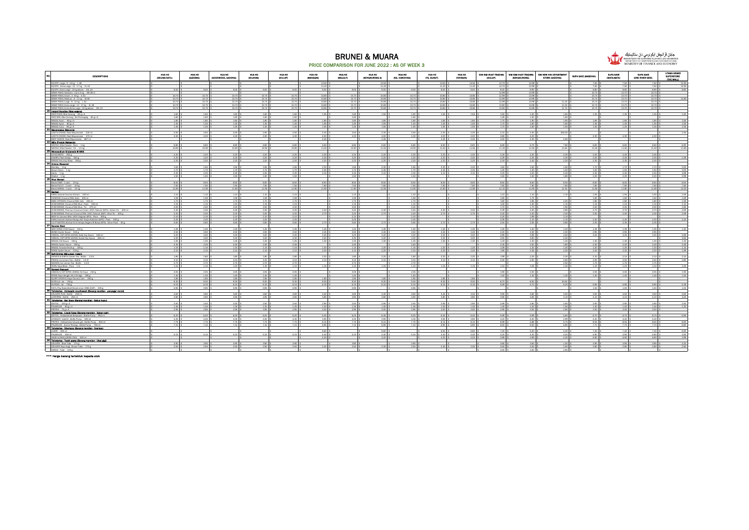

#### BRUNEI & MUARA PRICE COMPARISON FOR JUNE 2022 : AS OF WEEK 3

| DESCRIPTIONS                                                                                                                                                                                                                               | <b>HUA HO</b><br><b>OELINA SATUL</b> | HUA HO<br>(GADONE) | <b>HUA HO</b><br>(GOODWOOD, GADONE) | <b>HUA HO</b><br>03040400 | <b>HUA HO</b><br><b>OSULAPY</b> | <b>HUA HO</b><br>diametric | <b>HUA HO</b><br>dduu um        | <b>HUA HO</b><br>(SENGKURONG A) | <b>HUA HO</b><br>(80. HANCHING) | HUA HO<br>(79. BUNUT) | <b>HUA HO</b><br>(WAYABAN) | SIM KIM HUAT TRADING<br><b>OGULAPY</b> | SIM KIM HUAT TRADING<br>(SENGKURONG) | SIN KEW HIN DEPARTMENT<br>STORE (GADONE) | SUPA SAYE (MABOHAI) | SUPA SAVE<br>GANZA MATAS     | SUPA SAVE<br>(ONE RIVER SIDE) | UTAMA GRAND<br>SUPERSTORE<br><b>CTHE MALLY</b> |
|--------------------------------------------------------------------------------------------------------------------------------------------------------------------------------------------------------------------------------------------|--------------------------------------|--------------------|-------------------------------------|---------------------------|---------------------------------|----------------------------|---------------------------------|---------------------------------|---------------------------------|-----------------------|----------------------------|----------------------------------------|--------------------------------------|------------------------------------------|---------------------|------------------------------|-------------------------------|------------------------------------------------|
| EO DRY: Large : 9 - 14 kg - 148                                                                                                                                                                                                            |                                      |                    |                                     |                           |                                 | 13.50                      |                                 | 1350                            |                                 | 13.50                 | 13.50                      | 12.70                                  | 12.99                                |                                          | 7.50                | 750                          |                               | 12.90                                          |
| EO DRY: Extra Large : 12 - 17 kg - XL 42<br>EQ DRY: Extra Large : 15 kg above - XXL 24                                                                                                                                                     | $9.00$ \$                            | 9.00               | $9.00$ :                            | $9.00$ \$                 | $9.00$ \$                       | 11.20<br>9.00              | $9.00$ \$                       | 11.20 \$<br>9.00                | 9.00%                           | 11.20<br>9.00         | 11.20 \$<br>$9.00$ \$      | 12.70 \$<br>$9.20$ 1                   | 12.99 \$<br>$8.95$ \$                |                                          | 7.50<br>8.80        | 7.50 \$<br>8.80 \$           | 7.50 \$<br>8.80 \$            | 12.90<br>8.80                                  |
| MAMY POKO; Newborn : Up to 5 kg - NB 28+2<br>$\overline{\phantom{0}}$                                                                                                                                                                      |                                      |                    |                                     |                           |                                 |                            |                                 |                                 |                                 |                       |                            | 12.99                                  | 13.99 \$                             |                                          | 10.70               | 10.70                        | 10.70 S                       |                                                |
| MAMY POKO: Small : 3 - 8 kg - 5 44<br>$\overline{\phantom{a}}$                                                                                                                                                                             | 10.70 \$                             | 10.70              | 10.70                               | 10.70                     | 10.70 \$                        | 10.80                      | 10.70 \$                        | 10.80 \$                        | $10.70$ \$                      | 10.80                 | 10.80 \$                   | 12.99 S                                | 13.99 \$                             |                                          | 10.70               | 10.70 \$                     | $10.70$ \$                    |                                                |
| MAMY POKO, Medium: 6 - 11 kg - M 38                                                                                                                                                                                                        | 10.70                                | 10.70              | 10.70                               | 10.70                     | 10.70                           | 10.80                      | 10.70 \$                        | 10.80 S                         | $10.70$ \$                      | 10.80                 | 10.80 \$                   | 12.99                                  | 13.99 \$                             |                                          | 10.70               | 10.70                        | 10.70                         | 14.80                                          |
| MAMY POKO: Medium : 6 - 11 kg - M 38<br>MAMY POKO: Large : 9 - 14 kg - 1.32<br>MAMY POKO: Extra Large : 12 - 17 kg - XL 28<br>MAMY POKO: Extra Extra Large : 15 kg above - XXL 22                                                          | 10.70 \$<br>10.70                    | 10.70              | 10.70<br>10.70                      | 10.70<br>10.70            | 10.70 \$<br>10.70 \$            | 10.80<br>10.80             | 10.70 \$<br>10.70 \$            | 10.80 \$<br>10.80               | $10.70$ \$<br>$10.70$ \$        | 10.80<br>10.80        | 10.80 S<br>10.80 \$        | 12.99<br>13.90                         | 13.99 \$<br>13.99 \$                 | 11.20 \$                                 | 10.70  <br>10.70    | 10.70 \$<br>10.70            | 10.70 \$<br>10.70 5           |                                                |
|                                                                                                                                                                                                                                            | 10.70 \$                             | 10.70<br>10.70     | 10.70 \$                            | 10.70                     | $10.70$ \$                      | 10.80                      | $10.70$ \$                      | 10.80 S                         | $10.70$ \$                      | 10.80                 | $10.80$ \$                 | 13.90 \$                               | 13.99 \$                             | 11.00<br>11.70 \$                        | 10.70               | 10.70 S                      | $10.70$ \$                    |                                                |
|                                                                                                                                                                                                                                            |                                      |                    |                                     |                           |                                 |                            |                                 |                                 |                                 |                       |                            |                                        |                                      |                                          |                     |                              |                               |                                                |
| INDO FOOD; Mee Goreng - 80 g x 5                                                                                                                                                                                                           | $1.60$ \$                            | 1.60               | 1.60 \$                             | 1.60.5                    | 1.60.8                          | 1.55                       | 1.60%                           | 1.55 \$                         | 1.60 \$                         | 1.55                  | 1.55 \$                    | 1.50 \$                                | 1.50 \$                              | 1.65                                     | 1.35 \$             | 1.35 \$                      | 1.35 \$                       | 1.50                                           |
| INDO MIE: Mee Gorenz : Old Packazing - 80 g x 5<br>▃                                                                                                                                                                                       | $1.60$ \$                            | 1.60               | 1.60                                | 1.60                      | $1.60$ \$                       |                            | $1.60$ \$                       |                                 | $1.60$ \$                       |                       |                            | 1.49                                   | 1.50 \$                              | 1.60                                     |                     |                              |                               |                                                |
| MAGGI; Asam - 80 g x 5<br>MAGGI; Asam - 80 g x 5<br>MAGGI; Ayam - 80 g x 5<br>MAGGI: Orm - 00 n = 5                                                                                                                                        | 1.80 \$<br>1.45 \$                   | 1.80 S<br>1.45     | 1.80 \$<br>1.45                     | 1.80 \$<br>1.45           | 1.80 \$<br>1.45 \$              | 1.85 S<br>1.55             | 1.80 \$<br>1.45.5               | 1.85 S<br>1.55 \$               | 1.80 \$<br>1.45.5               | 1.85 S<br>1.55        | $1.85$ $\pm$<br>1.55 \$    | 1.75 \$<br>1.70                        | $1.90$ \$<br>1.60 \$                 | 1.90 \$<br>1.60                          | 1.85 S<br>1.45      | 1.85 <sup>S</sup><br>1.45 \$ | 1.85 \$<br>1.45 \$            | 1.85<br>1.55                                   |
|                                                                                                                                                                                                                                            | $1.45 - 8$                           | 1.45               | 1.45                                | 1.45                      | $1.45 - 8$                      | 1.55                       | $1.45 - 8$                      | 1.55                            | $1.45 - 8$                      | 1.55                  | 1.55 \$                    | 1.70                                   | 1.60.8                               | 1.50                                     | 1.45                | 1.45 \$                      | 1.45 \$                       | 1.55                                           |
| MAGGE Curry - 80 e x 5<br>21 Mayonnaine (Mayonia)                                                                                                                                                                                          |                                      |                    |                                     |                           |                                 |                            |                                 |                                 |                                 |                       |                            |                                        |                                      |                                          |                     |                              |                               |                                                |
| LADY'S CHOICE; Real Mayonnaise - 230 mi                                                                                                                                                                                                    | 2.50.8                               | 2.50               | 2.50 \$                             | 2.50.8                    | 2.50.8                          | 2.30                       | 2.50%                           | $2.30$ \$                       | 2.50 <sub>8</sub>               | 2.30                  | $2.30$ \$                  | 2.15                                   | 2.30%                                | 250.00                                   |                     |                              |                               | 2.30                                           |
| BEST CHOICE: Real Mayonnaise - 887 mi                                                                                                                                                                                                      | $4.30$ $$$                           | 4.30               | 4.30                                | 4.30                      | $4.30$ $$$                      | 4.00<br>4.45               | $4.30$ \$                       | $4.00$ \$<br>4.45               | 4.30 <sub>5</sub>               | 4.00<br>4.45          | $4.00$ \$<br>4.45 \$       | 3.85<br>4.50                           | $4.20$ $%$<br>4.30 <sub>5</sub>      | 4.60                                     | 4.30                | 4.30 \$                      | 4.30 \$                       |                                                |
| 22 Mile (Produk Malaysia)                                                                                                                                                                                                                  |                                      |                    |                                     |                           |                                 |                            |                                 |                                 |                                 |                       |                            |                                        |                                      |                                          |                     |                              |                               |                                                |
| NESTLE; Milo Powder: Pack - 1 kg<br>NESTLE: Milo Powder: Tin - 1.5 kg                                                                                                                                                                      | $6.80$ 1                             | 6.80               | 6.80                                | $6.80$ \$                 | 6.80 <sub>5</sub>               | 6.60                       | 6.80%                           | 6.60 \$                         | 6.80%                           | 6.60                  | 6.60 \$                    | $6.69$ \$                              | 6.79.8                               | 7.80                                     | $6.60$ !            | 6.60 \$                      | $\frac{6.60}{11.50}$ \$       | 6.90                                           |
|                                                                                                                                                                                                                                            | 10.90                                | 10.90              | 10.90                               | 10.90                     | 10.90 \$                        | 11.50                      | $10.90 - 1$                     | 11.50                           | $10.90$ \$                      | 11.50                 | 11.50                      | 11.19                                  | 1150                                 | 11.60                                    | 11.50               | 11.50 \$                     |                               | 11.80                                          |
| 23 Menosofium Ghatamato @ M8G                                                                                                                                                                                                              |                                      |                    |                                     |                           |                                 |                            |                                 |                                 |                                 |                       |                            |                                        |                                      |                                          |                     |                              |                               |                                                |
| AJI-NO-MOTO - 350 g                                                                                                                                                                                                                        | 2.20<br>$2.20$ $%$                   | 2.20<br>2.20       | 2.20<br>2.20                        | 2.20<br>2.20              | $2.20$ $%$<br>$2.20$ :          | 2.20<br>2.20               | $2.20$ \$<br>$2.20$ $\pm$       | 2.20<br>$2.20$ $$$              | $2.20$ \$<br>$2.20$ \$          | 2.20<br>2.20          | $2.20$ \$<br>2.20%         | 2.30<br>2.29                           | $2.20$ \$<br>$2.25$ $\pm$            | 2.30<br>230                              | 2.45<br>2.25        | 2.45<br>2.25                 | 2.45<br>$2.25$ \$             | 2.39                                           |
| MAGGI: Secukup Rasa - 300 g                                                                                                                                                                                                                | $2.20 - 9$                           | 2.20               | 2.20                                | $2.20 -$                  | $2.20 - $$                      | 2.20                       | $2.20 - $$                      | $2.20$ $\frac{1}{3}$            | $2.20$ \$                       | 2.20                  | $2.20$ $\pm$               | 2.19                                   | $2.40 - $$                           | 2.20                                     | 2.30                | 2.30                         | $2.30 - $$                    |                                                |
| AUNOMOTO - 350 g<br>KNORR: Pasti Sedap - 300 g<br>MAGGI: Secultus Rasa - 300<br><b>24 Quions (Baweng)</b>                                                                                                                                  |                                      |                    |                                     |                           |                                 |                            |                                 |                                 |                                 |                       |                            |                                        |                                      |                                          |                     |                              |                               |                                                |
| Bombay - 1 kg<br>$\overline{\phantom{0}}$                                                                                                                                                                                                  | 1.65                                 | 1.65               | 1.65                                | 1.65                      | 1.65 \$                         | 2.30                       | 1.65 \$                         | $2.30$ \$                       | $1.65$ \$                       | 2.30                  | $2.30$ $3$                 | 1.60                                   | 1.60 \$                              | 1.60                                     | 1.70                | 1.70                         | $1.70 +$                      | 200                                            |
| Brown Onion - 1 kg                                                                                                                                                                                                                         | 1.70                                 | 1.70               | 1.70                                | 1.70                      | 1.70 \$                         | 2.45                       | 1.70 \$                         | $2.45 - 8$                      | 1.70 \$                         | 2.45                  | $2.45 - $$                 | $1.40 - 1$                             | $1.40 - 5$                           | 150                                      | 150                 | 1.50                         | 150 \$                        | 2.00                                           |
| Garlic - 1 kg<br>٠<br>Shallot - 1 kg                                                                                                                                                                                                       | $2.30 - 8$<br>1.50 \$                | 2.30<br>1.50       | 2.30<br>1.50                        | 2.30<br>1.50              | $2.30 - 8$<br>1.50 \$           | 3.10                       | $2.30$ \$                       | $3.10$ s                        | 2.30 <sub>8</sub><br>1.50 \$    | 3.10                  | $3.10$ \$                  | 2.20<br>1.50 \$                        | $2.20$ $$$<br>1.50 \$                | 2.40                                     | 2.30                | $2.30$ \$<br>$2.20$ \$       | $2.30$ !<br>$2.20$ \$         | 3.99                                           |
| 25 Rice (Berge)                                                                                                                                                                                                                            |                                      |                    |                                     |                           |                                 |                            | 1.50 \$                         |                                 |                                 |                       |                            |                                        |                                      | 1.80 \$                                  | 2.20.9              |                              |                               | 2.99                                           |
|                                                                                                                                                                                                                                            | 8.50 \$                              | 8.50               | 8.50 \$                             | 8.50 S                    | 8.50 \$                         | 8.50                       | 8.50 \$                         | 8.50 \$                         | 8.50 \$                         | 8.50                  | 8.50 \$                    | 8.50 S                                 | 8.50 \$                              | 8.50 \$                                  | 8.50                | 8.50 S                       | 8.50 \$                       | 8.50                                           |
| Beras SIAM : 1 sack - 10 kg<br>Beras PULUT : 1 sack - 10 kg<br>Beras PULUT: 1 sack - 10 kg                                                                                                                                                 | 7.50 \$                              | 7.50               | 7.50 <sup>T</sup>                   | 7.50                      | 7.50 \$                         | 7.60                       | 7.50 \$                         | 7.60 S                          | 7.50%                           | 7.60                  | 7.60                       | 7.60                                   | 7.60 \$                              | 7.60                                     | 7.60                | 7.60 \$                      | 7.60 \$                       | 7.60                                           |
| Beras WANGI: 1 sack - 10 kg                                                                                                                                                                                                                | 11.90 \$                             | 11.90              | 11.90 \$                            | 11.90 S                   | 11.90 \$                        | 11.90                      | 11.90 \$                        | 11.90 \$                        | 11.90 \$                        | 11.90                 | 11.90 \$                   | 12.10                                  | 11.90 \$                             | 12.30                                    | 11.80 \$            | 11.80 \$                     | 11.80 \$                      | 12.00                                          |
|                                                                                                                                                                                                                                            | 1.10:                                | 1.10               | 1.10                                | 1.10                      | $1.10$ \$                       |                            | $1.10$ s                        |                                 | $1.10$ \$                       |                       |                            | 1.10                                   | $1.10$ \$                            |                                          | 1.05                | 1.05                         | $1.05$ s                      | 1.05                                           |
|                                                                                                                                                                                                                                            | 1.59 \$                              | 1.59               | 1.59 \$                             | 1.59 \$                   | 1.59 \$                         |                            | 1.59 \$                         |                                 | 1.59 \$                         |                       |                            | 1.65                                   | 1.75                                 | 1.10                                     | 1.60                | 1.60 \$                      | 1.60 \$                       | 1.69                                           |
| KARA: Natural Cocorut Extract - 200 mi<br>CHAKOAH; Cocorut Miki Gata - 400 mi<br>BABU KITCHEN; Cocorut Miki Indo - 400 mi<br>AYAM BRAND: Cocorut Miki Blue : Pack - 20                                                                     | 1.70 \$                              | 1.70               | 1.70 \$                             | 1.70                      | 1.70 \$                         |                            | 1.70 \$                         |                                 | $1.70$ \$                       |                       |                            | 1.80                                   | 1.85 \$                              | 2.00                                     | 1.80                | 1.80 \$                      | 1.80 \$                       | 1.59                                           |
| AYAM BRAND: Coconut Milk Blue : Pack - 200 m                                                                                                                                                                                               | 1.15                                 | 1.15               | 1.15                                | 1.15                      | $1.15$ \$                       |                            | $1.15$ \$                       |                                 | $1.15$ \$                       |                       |                            | $1.00$ $\frac{1}{3}$                   | $1.30$ \$                            | 1.15                                     | 1.15                | $1.15$ \$                    | $1.15$ s                      |                                                |
| AYAM BRAND; Cocorut Milk Blue : Tin - 270 ml<br>AYAM BRAND; Premium Cocorut Cream 100% Natural (MYS) : Green Tin - 400 ml<br>AYAM BRAND: Premium Cocorut Milk 100% Natural (SGP) : Blue Tin - 400 s                                        | 2.00                                 | 2.00               | 2.00                                | 2.00                      | $2.00 - 9$                      |                            | $2.00 - $$                      |                                 | $2.00$ \$                       |                       |                            | 1.70                                   | 1.70 \$                              | 190                                      | 2.00                | 2.00                         | 2.00.9                        | 1.80                                           |
|                                                                                                                                                                                                                                            | 2.45<br>$2.20 - 5$                   | 2.45<br>2.20       | 2.45<br>220                         | 2.45<br>2.20              | $2.45$ \$<br>$2.20 - 8$         | 2.40<br>2.70               | $2.45 - 9$<br>$2.20 - $$        | $2.40$ \$<br>$2.70$ s           | $2.45 - $$<br>$2.20$ $\pm$      | 2.40<br>2.70          | $2.40$ $\pm$<br>220        | 2.39<br>2.20                           | $2.40$ $%$<br>$2.20$ \$              | 2.80<br>230                              | 2.70<br>2.40        | 2.70<br>$2.40$ $\pm$         | $2.70$ \$<br>2.40.8           | 2.59                                           |
| AROY D: Coconut Milk 100% Original (MYS) : Pack - 500 g                                                                                                                                                                                    | $2.10$ \$                            | 2.10               | $2.10$ \$                           | $2.10$ \$                 | $2.10$ \$                       |                            | $2.10$ \$                       |                                 | $2.10$ \$                       |                       |                            | $2.20$ $$$                             | 1.99 \$                              | 2.10                                     |                     |                              |                               | 2.59                                           |
| KARA; Ekstrak Santan Kelapa Asli Tanpa Kolestrol (MYS) : Pack - 500 g                                                                                                                                                                      |                                      | 2.25               | 225                                 | 2.25                      | $2.25 - 15$                     |                            | $2.25$ \$                       |                                 | $2.25$ \$                       |                       |                            | $2.09$ \$                              | 2.10 <sub>5</sub>                    | 2.10                                     | 2.20                | 2.20 \$                      | $\frac{220}{235}$             | 2.20                                           |
| KARA; Ekstrak Santan Kalapa Asli Tanpa Kolestrol (MYS): Pack - 500 g<br>S & P SANTAN; Serbuk Krim Kelapa Segera @ Biasa (MYS): Silver Pack - 50 g<br>27   Seuces (Sca)                                                                     | $\frac{2.25}{0.60}$ \$               | 0.60               | 0.60 \$                             | 0.60                      | $0.60$ \$                       |                            | $0.60$ \$                       | $2.70$ \$                       | $0.60$ \$                       |                       | $2.70$ \$                  | 2.50                                   | $2.55$ \$                            | 0.80                                     | 2.35                | 2.35 \$                      |                               |                                                |
|                                                                                                                                                                                                                                            |                                      |                    |                                     |                           |                                 |                            |                                 |                                 |                                 |                       |                            |                                        |                                      |                                          |                     |                              |                               |                                                |
| WAH HONG: Chili Sauce - 310 g<br>ADABI; Oyster Sauce - 510 g                                                                                                                                                                               | $1.45 - $$<br>2.50 <sub>8</sub>      | 1.45<br>2.50       | 1.45 \$<br>2.50 \$                  | 1.45 \$<br>$2.50$ \$      | $1.45 - $$<br>$2.50$ \$         | 1.45 S<br>$2.45$ \$        | $1.45 - $$<br>2.50 <sub>8</sub> | $1.45$ \$<br>$2.45$ \$          | $1.45$ \$<br>$2.50$ \$          | 1.45<br>2.45          | 1.45 \$<br>$2.45$ \$       | $1.25$ \$<br>$2.20$ $\pm$              | 1.30 S<br>$2.30$ \$                  | 1.40.8<br>2.00                           | 1.35 \$<br>2.95 \$  | $1.35$ \$<br>2.95 \$         | $1.35$ \$<br>2.95 \$          | 1.40                                           |
|                                                                                                                                                                                                                                            | $3.20 - 9$                           | 3.20               | 3.20                                | 3.20                      | $3.20 - $$                      | 3.20                       | $3.20 - $$                      | $3.20 - $$                      | $3.20 - $$                      | 3.20                  | $3.20$ $3$                 | $2.99 - 9$                             | $2.99 - $$                           | 3.50                                     | 3.25                | $3.25 - 9$                   | $3.25 - 9$                    | 2.99                                           |
| HABHAL: CAP KIPAS UDANG: Salty Sov Sauce - 645 ml<br>HABHAL: CAP KIPAS UDANG: Sweet Sov Sauce - 645 ml<br>$\overline{\phantom{a}}$                                                                                                         | 3.30 <sub>8</sub>                    | 3.30               | 3.30                                | 3.30                      | 3.30 <sub>8</sub>               | 3.20                       | $3.30$ \$                       | $3.20$ s                        | 3.30 <sub>8</sub>               | 3.20                  | $3.20$ $%$                 | $3.50$ \$                              | $3.60$ \$                            | 4.20                                     |                     |                              |                               | 3.50                                           |
| MAGGI: Cilli Sauce - 340 g<br><u>.</u>                                                                                                                                                                                                     | $1.25$ :                             | 1.25               | 125                                 | 1.25                      | $1.25$ \$                       | 1.30                       | $1.25$ \$                       | $1.30$ s                        | $1.25$ \$                       | 1301                  | 1.30 5                     | 1.19                                   | $1.30$ \$                            | 1.20                                     | $1.30$ !            | 1.30                         | 1.30 \$                       | 1.30                                           |
| MAGGI: Oyster Sauce - 500 g<br>MAGGI: Tomato Ketchuo - 325 g<br>NONA: Oyster Sauce - 510 c                                                                                                                                                 | $2.45 - 5$                           | 2.45               | 2.45                                | 2.45                      | 2.45.8                          |                            | 2.45.8                          |                                 | 2.45.5                          |                       |                            | 2.35                                   | 2.50 \$                              | 1.80                                     | 2.40                | 2.40.5                       | 2.40.9                        | 2.49                                           |
| NONA: Ovster Sauce - 510 g                                                                                                                                                                                                                 | 1.15<br>$2.10$ \$                    | 1.15<br>2.10       | 1.15<br>$2.10$ \$                   | 1.15<br>2.10              | 1.15<br>$2.10$ \$               | 1.20<br>2.20               | $1.15 - 8$<br>$2.10$ \$         | 120<br>$2.20$ s                 | $1.15$ 8<br>$2.10-8$            | 120<br>2.20           | 120<br>$2.20$ \$           | 1.09 \$<br>1.95                        | 120<br>2.35.5                        | 120<br>2.20                              | 1.20<br>2.20        | 120.8<br>$2.20$ $$$          | 120.8<br>$220$ s              |                                                |
| 28 Soft Drinks (Minuman ringen)                                                                                                                                                                                                            |                                      |                    |                                     |                           |                                 |                            |                                 |                                 |                                 |                       |                            |                                        |                                      |                                          |                     |                              |                               | 1.99                                           |
| HEAVEN & EARTH: Green Tea : Bottle - 1.5 lit                                                                                                                                                                                               | $1.80 - 8$                           | 1.80               | 1.80                                | 1.80                      | $1.80$ \$                       | 2.20                       | 1.80.8                          | $2.20 -$                        | 1.80.8                          |                       | $2.20$ $8$                 | $1.99 - 8$                             | $2.25 - 8$                           | 2.30                                     | 2.10                | 2.10                         | $2.10 - 8$                    | 2.10                                           |
| POKKA: Ice Lemon Tea :: Bottle - 1.5 lit<br>$\overline{\phantom{0}}$                                                                                                                                                                       | $3.10$ \$                            | 3.10               | $3.10$ \$                           | 3.10                      | $3.10$ \$                       | 3.10                       | $3.10$ \$                       | $3.10$ s                        | $3.10-8$                        | 3.10                  | $3.10$ \$                  | 2.50                                   | $2.50$ \$                            | 2.60                                     | 2.50                | $2.50$ \$                    | $2.50$ \$                     | 2.80                                           |
| SEASON; Ice Lemon Tea : Bottle - 1.5 lit<br>÷                                                                                                                                                                                              | $2.70$ \$                            | 2.70               | 2.70                                | 2.70                      | $2.70$ \$                       |                            | 2.70.8                          |                                 | 2.70 <sub>5</sub>               |                       |                            |                                        | 105                                  | 2.50                                     | 1.75                | 1.75 \$                      | 1.75 \$                       |                                                |
| YEOS; Soya Bean: Pack - 1 ltr<br>YEUS: Soya Bean: Pa                                                                                                                                                                                       | $1.10$ \$                            | $1.10$ \$          | $1.10$ \$                           | $1.10 - $$                | $1.10$ \$                       | $1.15$ s                   | $1.10$ \$                       | $1.15$ $\overline{\phantom{0}}$ | $1.10$ \$                       | 1.15 \$               | $1.15$ $\pm$               | $1.10$ \$                              |                                      | $1.20$ \$                                | 1.10                | $1.10$ S                     | $1.10$ \$                     | 1.00                                           |
| HABHAL'S CAP KIPAS UDANG: Sri Kava - 240 g                                                                                                                                                                                                 | $2.05 - 8$                           | 2.05               | 2.05                                | 2.05                      | $2.05 - $$                      |                            | $2.05 - $$                      |                                 | $2.05$ \$                       |                       |                            | 1.90                                   | $2.00$ $\pm$                         |                                          | 2.05                | 2.05 \$                      | $2.05 - $$                    | 1.90                                           |
| HABHAL'S CAP KIPAS UDANG: Sri Kava - 2<br>NONA: Kaya dengan telur Omega - 180 g                                                                                                                                                            | 1.40.8                               | 1.40               | 1.40 \$                             | 1.40 S                    | 1.40.8                          |                            | 1.40 \$                         |                                 | 1.40 S                          |                       |                            | 1.40 \$                                | 1.30S                                | 1.40 \$                                  | 1.40 \$             | $1.40$ \$                    | $1.40$ \$                     | 1.50                                           |
| GLORY NYONYA: Kava Coconut Jam - 250 g<br><u>.</u>                                                                                                                                                                                         | 1.85                                 | 1.85               | 1.85 \$                             | 1.85                      | $1.85$ \$                       | 1.85                       | $1.85$ $$$                      | $1.85$ $$$                      | $1.85$ $$$                      |                       | 1.85 \$                    |                                        |                                      |                                          |                     |                              |                               |                                                |
| NUTELLA: Jar. - 750 g<br>RUTELLO  A.<br>NUTKAO: Jar - 750 g.<br>KAYA: Play Baskettall Brand since 1965 (50P) - 200 g.<br>AN'A: Play Baskettall Brand a mouthwash (Barand mandle                                                            | 9.30:                                | 9.30               | 9.30                                | 9.30                      | 9.30 <sub>8</sub>               | 9.30                       | 9.30 <sub>5</sub>               | 9.30.5                          | 9.30 <sub>5</sub>               | 9.30                  | 9.30 <sub>5</sub>          | 8.70                                   | 8.50 \$<br>5.70 19                   | 10.50                                    |                     |                              |                               |                                                |
|                                                                                                                                                                                                                                            | $6.15 - $$<br>$0.95$ \$              | 6.15<br>0.95       | 6.15 \$<br>0.95                     | $6.15$ \$<br>0.95         | $6.15 - $$<br>$0.95 - $$        | 6.15                       | $6.15 - $$<br>$0.95 - $$        | 6.15 \$                         | 6.15 \$<br>$0.95$ \$            | 6.15                  | 6.15 \$                    | 5.59                                   |                                      | 6.20 \$                                  | 5.95<br>1.00        | $5.95$ \$<br>1.00 \$         | $5.95$ \$<br>1.00 \$          | 5.39<br>1.00                                   |
| 30 Tollstaries - Antisectic mouthwash (Barand mendian - parrester molut)                                                                                                                                                                   |                                      |                    |                                     |                           |                                 |                            |                                 |                                 |                                 |                       |                            |                                        |                                      |                                          |                     |                              |                               |                                                |
|                                                                                                                                                                                                                                            | 3.60:                                | 3.60               | 3.60                                | 3.60                      | 3.60:                           | 3.45                       | $3.60$ \$                       | 3.45.8                          | 3.60 S                          | 3.45                  | 3.45                       | 3.95                                   | 3.80:                                | 3.50                                     | 3.50                | 3.50 \$                      | 3.50                          | 4.60                                           |
| COLGATE PLAX: Bottle - 250 ml<br>LISTERINE : Bottle - 250 ml                                                                                                                                                                               | $4.90$ \$                            | 4.90               | 4.90 \$                             | 4.90 S                    | $4.90$ \$                       | $3.80$ \$                  | 4.90 <sub>5</sub>               | 3.80S                           | 4.90 <sub>5</sub>               | 3.80                  | $3.80$ \$                  | 3.95 \$                                | $3.65$ $$$                           | 3.10                                     | $4.10$ \$           | $4.10$ \$                    | 4.10%                         | 4.20                                           |
| 31 Tollsteries - Bar Sono (Berand mandian - Sabun buku)                                                                                                                                                                                    |                                      |                    |                                     |                           |                                 |                            |                                 |                                 |                                 |                       |                            |                                        |                                      |                                          |                     |                              |                               |                                                |
|                                                                                                                                                                                                                                            | $2.50$ \$<br>1.35 <sub>5</sub>       | 2.50<br>1.35       | 2.50 \$<br>1.35                     | 2.50<br>1.35 S            | $2.50$ \$<br>$1.35$ \$          | $2.95$ \$<br>$1.30$ \$     | $2.50$ \$<br>1.35 <sub>5</sub>  | $2.95 - $$<br>$1.30$ \$         | $2.50$ $\pm$<br>$1.35$ \$       | 2.95<br>1.30          | $2.95 - $$<br>1.30S        | $2.99$ $8$<br>$1.30$ $\pm$             | 2.80 \$<br>$1.20$ \$                 | $2.60$ \$<br>150 \$                      | 2.90 S<br>1.40 \$   | 2.90 S<br>1.40 \$            | $2.90$ \$<br>1.40 \$          | 2.50                                           |
| OETTOL - 105 g x 4<br>PALMOUVE - 80 g x 3<br>PROTEX - 75 g x 4<br><b>32 Tollstartes - Licuid Sono (Barnna' mandian - Sabun calt)</b>                                                                                                       | $2.95 - 9$                           | 2.95               | 2.95 \$                             | 2.95                      | $2.95 - $$                      | 3.00                       | $2.95 - $$                      | 3.00                            | $2.95 - $$                      | 3.00                  | $3.00$ \$                  | 2.95                                   | $3.00$ \$                            | 2.90                                     | 3.00                | 3.00                         | 3.00.9                        | 1.30                                           |
|                                                                                                                                                                                                                                            |                                      |                    |                                     |                           |                                 |                            |                                 |                                 |                                 |                       |                            |                                        |                                      |                                          |                     |                              |                               |                                                |
| DETTOL - Antibacterial Bodywash : Bottle Pump - 950 mi<br>LIFEBUOY -soal10 : Bottle Pump - 500 mi<br>PROTEX - Antibacterial abover parl : Bottle Pump - 900 mi<br>PRUTEX - Antibacterial abover parl : Bottle Pump - 750 mi<br>PALMOLIVE - | $6.20$ \$                            | 6.20               | 6.20 \$                             | 6.20                      | $6.20$ \$                       | 6.45 S                     | $6.20$ \$                       | 6.45 \$                         | $6.20$ $$$                      | 6.45                  | 6.45 \$                    | 5.99                                   | $5.99$ \$                            | 4.60                                     | 6.70 5              | 6.70 S                       | 6.70 \$                       | 6.90                                           |
|                                                                                                                                                                                                                                            | $4.35$ $\pm$                         | 4.35               | 4.35                                | 4.35                      | 4.35                            | 3.95                       | 4.35                            | 3.95 S                          | $4.35 - $$                      | 3.95                  | 3.95                       | 4.20                                   | $4.00$ $\pm$                         | 299                                      | 4.40                | 4.40                         | 4.40.9                        |                                                |
|                                                                                                                                                                                                                                            | 775 R<br>$7.10 - $$                  | 7.75<br>7.10       | 7.75<br>7.10                        | 775.1<br>7.10             | 775 8<br>$7.10$ \$              | 8.15<br>6.95               | $7.75 - $$<br>$7.10$ \$         | 8.15 \$<br>6.95 S               | 775<br>$7.10$ \$                | 8.15<br>6.95          | 815 8<br>6.95 \$           | 6.99 \$<br>6.50                        | $5.89 - 8$<br>6.50 \$                | 5.75 \$<br>6.80 \$                       | 8.55 \$<br>7.70:    | 8.55 \$<br>$7.70$ \$         | 8.55 \$<br>7.70 \$            | 8.90<br>6.80                                   |
| PALMOLIVE - Aroma Ineracy : Bottle Pump - 750 ml<br>33 Tolleteries - Shampoo (Barang mendian - Syampu)                                                                                                                                     |                                      |                    |                                     |                           |                                 |                            |                                 |                                 |                                 |                       |                            |                                        |                                      |                                          |                     |                              |                               |                                                |
|                                                                                                                                                                                                                                            |                                      |                    |                                     |                           |                                 | 6.60                       |                                 | $6.60$ \$                       |                                 | 6.60                  | 6.60 \$                    | 7.20                                   | 5.40 \$                              | 4.20                                     | 7.40                | 7.40                         | $7.40$ \$                     | 6.90                                           |
| CLEAR - 350 ml<br>PALMOUVE - 350 ml                                                                                                                                                                                                        | 5.15                                 | 5.15               | 5.15                                | 5.15                      | 5.15                            | 4.40                       | $5.15$ \$                       | 4.40 \$                         | 5.15 \$                         | 4.40                  | 4.40 \$                    | $4.20 - 8$                             | $4.30 - $$                           | 4.20                                     | 4.90                | 4.90 \$                      | 4.90 S                        | 4.90                                           |
| HEAD & SHOULDERS (THA) - 330 ml<br>MEAD & SHOULDENS (THAT - SSO mi)<br>34 Tolleteries - Tooth parte (Berang mandian - Ubat glai)                                                                                                           |                                      |                    |                                     |                           |                                 | 4.20                       |                                 | 4.20                            |                                 | 4.20                  | $4.20$ 1                   | 3.99                                   | $3.99 - $$                           | 4.30                                     | 6.90                | 6.90 \$                      | 6.90 \$                       | 3.99                                           |
|                                                                                                                                                                                                                                            | 3.90:                                | 3.90               | 3.90                                | 3.90                      | $3.90$ \$                       |                            | 3.90 <sub>5</sub>               |                                 | 3.90 <sub>5</sub>               |                       |                            | 3.80                                   | $3.60$ \$                            | 150                                      | 3.95                | 3.95                         | 3.95 \$                       | 4.20                                           |
| COLGATE : Blue Tube - 175 g<br>COLGATE Kavu Sual : Brown Tube - 175 g                                                                                                                                                                      | $2.50$ \$                            | 2.50               | 2.50                                | 250                       | $2.50$ $\pm$                    | $2.40$ $S$                 | 2.50 <sub>8</sub>               | $2.40$ \$                       | 2.50 <sub>8</sub>               | $240 - 5$             | $2.40$ \$                  | 250                                    | $2.50$ \$                            | $250$ \$                                 | $280$ $$$           | $2.80$ $$$                   | 280                           | 2.60                                           |

DARLIE : Tube - 120 g \$ - \$ - \$ - \$ - \$ - \$ - \$ - \$ - \$ - \$ - \$ - \$ 2.60 \$ 2.60 \$ 2.90 \$ - \$ - \$ - \$ -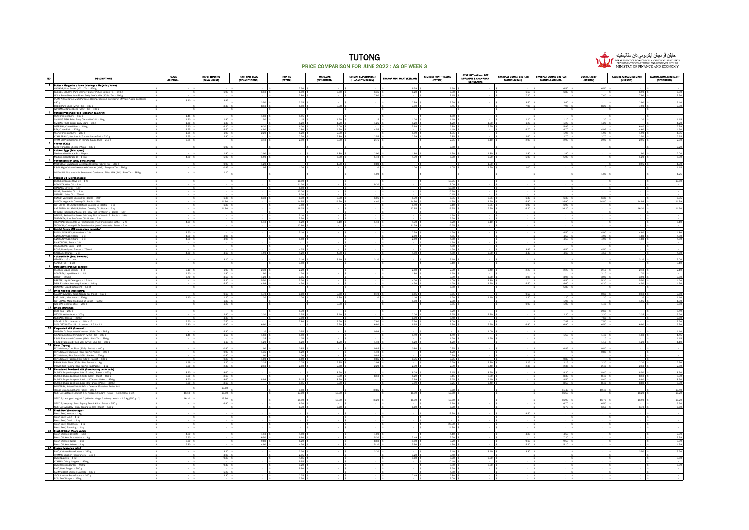



| ю.<br><b>DESCRIPTIONS</b>                                                                                                                                                  | <b>FAYZE</b><br>(KUPANG) | HAPSI TRADING<br>(BANG NUKAT) | HARI HARI MAJU<br>(PEKAN TUTONG) | HUA HO<br>(PETANI)            | <b>MAHAMAS</b><br>(SENGKARAI) | RAHMAT SUPERMARKET<br>(LUMBAN TIMBARAN) | SHARQA MINI MART (KERIAM) | SIM KIM HUAT TRADING<br>(PETANI) | SYARIKAT AMINAH BTE<br>DURAMAN & ANAK-ANAK<br>(SENGKARAI) | SYARIKAT OSMAN BIN HAJI<br><b>MOMIN (BIRAU)</b> | SYARIKAT OSMAN BIN HAJI<br><b>MOMIN (LAMUNIN)</b> | <b>USAHA TASBIH</b><br>(IVERIAM)                | YASMIN AZIMA MINI MART<br>(KUPANG) | YASMIN AZIMA MINI MART<br>(SENGKARAI) |
|----------------------------------------------------------------------------------------------------------------------------------------------------------------------------|--------------------------|-------------------------------|----------------------------------|-------------------------------|-------------------------------|-----------------------------------------|---------------------------|----------------------------------|-----------------------------------------------------------|-------------------------------------------------|---------------------------------------------------|-------------------------------------------------|------------------------------------|---------------------------------------|
| 1 Butter / Margarine / Ghee (Mentega / Marjerin / Ghee)                                                                                                                    |                          |                               |                                  | 7.50 \$                       |                               |                                         | 6.59                      | 6.60 \$                          |                                                           |                                                 |                                                   | 6.50 \$                                         |                                    |                                       |
| ANCHOR; Pure Butter (NZL) : Tin - 454 g<br>GOLDEN CHURN; Pure Cremery Butter (NZL) : Golden Tin - 340 g                                                                    |                          | 6.90 \$                       | 6.50                             | 6.90                          | 6.50                          | 6.35                                    | 6.20                      | 6.90 \$                          |                                                           | 6.50                                            | 6.50<br>6.80                                      |                                                 | 6.90                               | 6.90                                  |
| LEILA; Pure Ghee from Finest Dairy Cow's Mik (SGP): Tin - 400 g<br>PLANTA; Margarine Multi Purpose (Baking, Cooking, Spreading) (MYS) : Plastic Container                  | 3.40                     | 3.95                          |                                  | 7.80                          |                               | 7.80                                    |                           | $7.15$ s                         |                                                           | 7.20                                            |                                                   | 7.40                                            | 7.90                               | 7.30                                  |
| 480 ₽<br>Q.B.B; Pure Ghee (MYS) : Tin - 400 g                                                                                                                              |                          | 8.30 \$                       | 3.50<br>8.50                     | 3.35<br>8.50 \$               | 8.00 <sub>5</sub>             |                                         | 2.99<br>7.90              | 3.50 \$<br>$8.45$ \$             |                                                           | $\frac{3.50}{7.95}$ \$                          | 3.40<br>7.95                                      | 8.20 \$                                         | 2.90<br>7.90                       | 3.40<br>7.90                          |
| WINDMILL: Ghee Riend (MVS) : Tin - 400 ¢<br>2 Canned Preserved Food (Makenan dalam tin)                                                                                    |                          | ۰.                            |                                  |                               |                               |                                         |                           |                                  | $\mathbf{R}$                                              |                                                 |                                                   |                                                 |                                    |                                       |
| REX; Chicken Curry - 160 g<br>SMILING FISH; Fried Baby Clam with Chili - 40 g                                                                                              | 1.45                     |                               | $\frac{160}{150}$                | $155$ \$                      |                               |                                         |                           | $\frac{1.50}{1.19}$ \$           |                                                           |                                                 |                                                   |                                                 |                                    |                                       |
| SMILING FISH; Crispy Baby Clam - 30 g                                                                                                                                      | 1.20<br>1.30             | $1.80$ \$<br>$1.30$ \$        |                                  | 1.15<br>120                   | 1.20<br>1.20                  | 1.15<br>1.25                            | 1.20<br>1.20              | $1.20$ \$                        | 1.30                                                      | 1.10<br>1.20                                    | 1.10<br>1.20                                      | 1.20<br>1.20                                    | 1.20                               | 1.15<br>1.20                          |
| IMPERIAL: Corned Beef - 340 g<br>REX; Cuttle Fish - 425 g                                                                                                                  | 5.90<br>4.75             | 6.20 \$<br>450 \$             | 6.30<br>4.90                     | $6.00$ s<br>280S              | 6.00<br>4.90                  | 4.55                                    | 5.69                      | 5.89 \$<br>4.49 \$               | 6.20                                                      | 4.70                                            | 5.95<br>4.70                                      | 4.95                                            | 6.40<br>4,60                       | 5.99<br>4.60                          |
| YEO'S; Chicken Curry - 280 g                                                                                                                                               | 1.95                     | 1.90 \$                       | 2.20                             | $1.20$ \$                     | 2.00                          |                                         | 1.99                      | $1.95$ \$                        |                                                           |                                                 | 1.95                                              | 1.95 \$                                         | 1.99                               | 1.95                                  |
| AYAM BRAND; Sardines In Tomato Sauce Tall - 230 g<br>AYAM BRAND; Sardines In Tomato Sauce Oval - 215 g                                                                     | 2.65<br>2.85             | $2.80$ \$<br>- 1 ≤            | 3.10                             | 2.70 \$<br>$2.90$ \$          | 2.80<br>3.00                  | $2.55$ \$<br>2.75 \$                    | 2.59                      | $2.85$ \$<br>$2.75$ \$           | 3.10                                                      | $2.60$ \$<br>$2.90$ \$                          | $2.70$ \$<br>2.90 \$                              | $2.70$ \$<br>$2.95$ $\overline{\phantom{0}}$ \$ | 2.50<br>2.95                       | 2.65<br>2.90                          |
| 3 Cheese (Kalu)<br>r Cheese: Wrap - 530 g                                                                                                                                  |                          | 6.90 \$                       |                                  |                               |                               |                                         |                           | 7.50 \$                          |                                                           |                                                 |                                                   |                                                 |                                    | 7.20                                  |
| 4 Chicken Eggs (Telur ayam)<br>Medium sized Grade B - 10 pcs                                                                                                               |                          | $1.80$ \$                     | 2.00                             |                               | $1.80$ \$                     | 2.00                                    | 1.80                      | 1.90 <sub>5</sub>                | 1.80                                                      | $1.80$ \$                                       | 1.80 <sub>5</sub>                                 |                                                 | 1.90                               | 2.00                                  |
| Medium sized Grade B - 1 trav                                                                                                                                              | 4.80                     | $5.00$ \$                     | 5.90                             |                               | 5.30                          | 5.40                                    | 4.79                      | 5.70 \$                          | 5.20                                                      | 5.00                                            | 5.00                                              |                                                 | 5.20                               | 5.30                                  |
| 6 Condensed Milk (Susu pekat mania)<br>MARIGOLD: Sweetened Beverage Creamer (SGP) : Tin - 380 g                                                                            |                          | $0.90$ \$                     | 1.20                             |                               | 1.00                          | 0.89                                    |                           |                                  | 1.00<br>$\frac{1}{2}$                                     |                                                 |                                                   |                                                 | 0.95                               | 1.00                                  |
| F & N; High Calcium Sweetened Creamer (MYS) : Turqoise Tin - 390 g<br>INDOME K: Nutrious Milk Sweetened Condensed Filled Milk (IDN) : Riue Tin . 385 ¢                     |                          | 0.95<br>1.10                  | 1.05                             | 1.20                          |                               | 1.10                                    | 1.20                      | 1.05                             | 1.20                                                      | 1.00                                            |                                                   | 1.10                                            |                                    | 1.15                                  |
| 6 Cooking Oil (Minyak masak)                                                                                                                                               |                          |                               |                                  |                               |                               | 1.09                                    |                           |                                  |                                                           |                                                 |                                                   | 1.00                                            |                                    | 1.25                                  |
| BORGES; Classic Olive Oil - 1 ltr                                                                                                                                          |                          | ls.<br>$\sim$                 |                                  | 10.90 \$                      |                               | 9.20                                    |                           | $10.75 - $$<br>$9.00$ \$         |                                                           |                                                 |                                                   |                                                 |                                    | 10.50                                 |
| COLANTA; Olive Oil - 1 ltr<br>FRAGATA; Olive Oil - 1 ltr                                                                                                                   |                          | - Is                          |                                  | 11.30 \$<br>8.50              |                               |                                         |                           | $10.50$ \$                       |                                                           |                                                 |                                                   |                                                 |                                    |                                       |
| LINKS; Pure Olive Oil - 1 ltr<br>NATUREL; Olive Oil - 750 ml                                                                                                               |                          | ls.<br>$\frac{1}{3}$          |                                  | 1320 \$<br>9.30 <sub>5</sub>  |                               |                                         |                           | 12.30 \$<br>$10.15$ \$           |                                                           |                                                 |                                                   |                                                 |                                    |                                       |
| SUNCO; Vegetable Cooking Oil: Bottle - 2 ltr<br>SUNCO; Vegetable Cooking Oil: Bottle - 5 ltr                                                                               |                          | 6.35 \$<br>14.90 \$           | 6.30                             | 6.30 \$<br>14.95 \$           | 6.30<br>14.90                 | 6.05<br>14.40 \$                        | 5.79<br>14.90             | 6.35 \$<br>14.99 \$              | 6.35<br>14.90                                             | 6.30<br>14.90                                   | 6.30<br>14.90                                     | $6.30$ \$<br>14.80 \$                           | 14.99                              | 6.35<br>14.99                         |
| CAP BURUH @ LABOUR; Refined Cooking Oil : Bottle - 2 kg                                                                                                                    |                          | 6.80 \$                       |                                  | $7.10-5$                      |                               |                                         | 5.49                      | 7.10%                            | 6.95                                                      | 6.90 \$                                         | 6.90 \$                                           |                                                 |                                    |                                       |
| CAP BURUH @ LABOUR; Refined Cooking Oil : Bottle - - 5 kg<br>ORKIDE; Refined Sunflower Oil - Very Rich in Vitamin E : Bottle - 1 ltr                                       |                          | 14.90 \$                      |                                  | 16.35                         |                               |                                         | 12.95                     | $16.35$ \$                       | 15.90                                                     | 16.20                                           | 16.20                                             |                                                 | 16.30                              | 14.30                                 |
| ORKIDE; Refined Sunflower Oil - Very Rich In Vitamin E : Bottle - 1.8 ltr<br>TRADEKEY; Pure Sunflower Oil : Bottle - 2 ltr                                                 |                          | <b>Is</b><br>- 1 \$           |                                  | 5.10S<br>5.50 \$              |                               |                                         |                           | $4.30$ \$<br>5.50 \$             |                                                           |                                                 |                                                   |                                                 |                                    |                                       |
| TROPICAL; Cooking Oil 2x Fractionation (Non Cholestrol) : Bottle - 2 ltr                                                                                                   | 4.99                     | ା≤                            | 5.10                             | 5.20S                         | $5.10$ \$                     | $5.10$ \$                               | 4.70                      | $5.20$ \$                        | $5.10$ \$                                                 |                                                 | ା≤                                                |                                                 |                                    | 5.10                                  |
| TROPICAL; Cooking Oil 2x Fractionation (Non Cholestrol) : Bottle - 5 ltr<br>7 Cordial Syrupe (Minuman sirap berperisa)                                                     |                          | $\sim$                        |                                  | 12.60 \$                      |                               |                                         | 11.79 8                   | $12.25$ \$                       |                                                           |                                                 |                                                   |                                                 |                                    |                                       |
| F&N SUN VALLEY; Grenadine - 2 lit<br>F&N SUN VALLEY; Rose - 2 lit                                                                                                          | 4.60<br>4.60             | ۰.<br>4.95 \$                 |                                  | $5.10$ S                      |                               |                                         | 2.59<br>2.59              | 4.50 \$<br>$4.55$ \$             |                                                           |                                                 | 4.50<br>4.50                                      | 4.90<br>4.90                                    | 4.80<br>4.80                       | 4.80<br>4.80                          |
| F&N SUN VALLEY: Sarsi - 2 lit<br>RIA KORDIAL; Rose - 2 lit                                                                                                                 | 4.60                     | $4.95$ \$                     |                                  | $5.10$ S                      |                               |                                         | 2.59                      | 4.50 \$<br>$4.60$ \$             |                                                           |                                                 | 4.50                                              | 4.90 5                                          | 4.80                               | 4.80                                  |
| RIA KORDIAL: Sarsi - 2 lit                                                                                                                                                 |                          | ⊣∣≤                           |                                  | $\vert$ s                     |                               |                                         |                           | $4.50$ \$                        |                                                           |                                                 |                                                   |                                                 |                                    |                                       |
| ROSE; Rose Syrup Flavour - 750 m<br>SKYBLUE; Orange - 2 lit                                                                                                                | 4.30                     | $4.60.$ \$                    | 4.90                             | 4.75 \$<br>4.20 \$            | 4.80                          |                                         | 4.90                      | 4.50 \$<br>4.50 \$               | 5.30                                                      | 3.95<br>4.40 \$                                 | 4.50<br>4.60                                      | 4.50 \$<br>4.50 \$                              |                                    | 4.60                                  |
| 8 Cultured Milk (Susu berkultur)                                                                                                                                           |                          | $3.10$ \$                     |                                  | 3.10 <sub>5</sub>             | 3.10                          | 3.10                                    |                           | $3.10$ \$                        |                                                           |                                                 |                                                   |                                                 | 3.10                               | 3.00                                  |
| YAKULT: x5 - 1 set<br>9 Detergents (Penouol paixalan)                                                                                                                      |                          | $-15$                         |                                  | $3.10$ \$                     |                               |                                         |                           | $3.10$ \$                        |                                                           |                                                 |                                                   |                                                 |                                    | 3.10                                  |
| CLOROX: Liquid Bleach - 1 lit                                                                                                                                              | 2.10                     | 1.90 \$                       | 2.30                             | $2.20$ \$                     |                               |                                         | 2.10                      | $2.70$ \$                        | 2.40                                                      | 2.20                                            | 2.20                                              | 2.10                                            | 2.10                               | 2.10                                  |
| COCOREX; Liquid Bleach - 1 lit<br>BIOZIP - 2.5 kg                                                                                                                          | 1.90<br>3.70             | 1.80<br>3.50 \$               | 190<br>4.20                      | 1.70 \$<br>$3.95$ s           |                               |                                         | 1.80                      | 1.69 \$<br>$3.99$ \$             | 3.90                                                      | 3.95                                            | 3.95                                              | 2.10<br>3.90 \$                                 | 1.70<br>3.99                       | 3,80                                  |
| BREEZE; Liquid Detergent - 1.5 litre<br>DAIA; Excellent Washing Powder - 2.4 kg                                                                                            |                          | 5.20.5<br>$4.50$ \$           | 5.50<br>4.99                     | 5.30 <sub>5</sub><br>4.50 S   |                               |                                         | 4.20<br>4.50              | 4.09 \$<br>$4.29$ \$             | 4.80<br>4.70                                              | 4.50 \$                                         | 4.50<br>4.60                                      | 5.30<br>$4.30$ s                                | 5.50<br>4.50                       | 4.20<br>4.30                          |
| tergent - 1.6 lit<br>10 Dried Noodles (Mee kering)                                                                                                                         |                          | - 19                          |                                  | - 18                          |                               |                                         |                           | $6.80$ \$                        |                                                           |                                                 | 5.80                                              |                                                 |                                    |                                       |
| FALCON & MOON Stick Noodle Tai Thong - 150 g                                                                                                                               |                          | $0.60$ \$                     | 1.70                             | $0.60$ \$                     | 0.50                          | $0.49$ \$                               | 0.55                      | $0.65$ \$                        |                                                           | 0.50 <sub>5</sub>                               |                                                   | 0.60 \$                                         | 0.50                               | 0.50                                  |
| CAP LIMAU; Mee Hoon - 400 g<br>CAP UDANG MBS; Medium Flat Sabah - 500 g                                                                                                    | 1.10                     | $1.20$ \$<br>1.80 \$          | 1.30                             | $1.20$ \$                     | 1.30                          | $1.10$ \$                               | $1.10\,$<br>1.90          | $1.20-5$<br>2.00%                | 1.10                                                      | 1.20 \$                                         | 1.20<br>1.95                                      | 1.20                                            | 1.10<br>1.95                       | 1.10<br>1.90                          |
| WA WAI; Oriental Style - 200 g<br>11 Drinks (Minumen)                                                                                                                      |                          | $1.20$ \$                     |                                  |                               | 0.80                          |                                         |                           | $0.85$ \$                        |                                                           | 0.90                                            | $1.00$ \$                                         | 1.40                                            |                                    | 0.80                                  |
| BOH; Tea - 200 g<br>LIPTON; Yellow label - 200 g                                                                                                                           |                          | $2.90$ \$                     | 2.30                             | 5.70<br>3.55 <sub>5</sub>     | 3.40                          |                                         | 2.20                      | $5.29$ \$<br>$3.55$ \$           | 2.30                                                      |                                                 | 2.30                                              | 2.60<br>$2.30$ \$                               | 2.35                               | 5.49<br>3.20                          |
| NESCAFE; Classic - 200 g                                                                                                                                                   |                          | $4.30$ \$                     |                                  | 7.90 \$                       |                               |                                         | 6.99                      | 8.40 \$                          |                                                           |                                                 |                                                   | 7.60 \$                                         |                                    | 7.50                                  |
| SEHAT - 1.5L : 1 carton - 1.5 lit x 12<br>SUCI DISTILLED - 1.5L: 1 carton - 1.5 lt x 12                                                                                    | 7.50<br>6.80             | 7.50 \$<br>6.90 \$            | 6.90                             | 7.80 S                        | 7.50<br>6.90                  | 7.80<br>6.80                            | 7.50<br>6.95              | $8.00$ s<br>6.90 \$              | 6.90                                                      | 6.80                                            | 7.87<br>6.90                                      | 7.50 \$<br>6.50 \$                              | 6.90                               | 7.50<br>6.90                          |
| 12 Evaporated Milk (Susu calr)                                                                                                                                             |                          | 4.30 \$                       | 1.10                             | 0.95S                         |                               | 0.99                                    |                           |                                  | 1.00<br>$\sqrt{2}$                                        |                                                 |                                                   |                                                 |                                    | 1.10                                  |
| MARIGOLD; Evaporated Creamer (SGP) : Tin - 385 g<br>IDEAL; Susu Sejat Penuh Krim (MYS) : Tin - 390 g                                                                       | 1.45                     | 1.50 \$<br>$-15$              | 1.60<br>1.35                     | $1.50$ 3<br>$1.05$ \$         |                               |                                         | 1.49                      | 1.49S<br>$1.20$ \$               | 1.20                                                      |                                                 | 1.50                                              | 1.45<br>$1.10$ \$                               | 1.60                               | 1.45<br>1.15                          |
| F & N; Evaporated Creamer (MYS) : Pink Tin - 390 g<br>F & N: Evaporated Filled Mik (MYS) : Riue Tin - 390 d<br>fed Filled Mik (MYS): Blue Tin - 390 g<br>13 Flour (Tepung) |                          | 110 <sup>5</sup>              | 120                              | 120 \$                        | 1.20                          | 1.19 \$                                 | 1.20                      | 1.20 <sub>5</sub>                |                                                           |                                                 |                                                   | 1.10                                            | 1.20                               | 1.10                                  |
|                                                                                                                                                                            |                          | 0.90                          | 1.00                             | 0.85                          |                               | 0.85                                    | 0.80                      | $0.95$ \$                        |                                                           |                                                 | 0.85                                              | 0.80                                            |                                    |                                       |
| FLYING MAN: Corn Flour (SGP) : Packet - 400 g<br>FLYING MAN: Glutinous Flour (SGP) : Packet - 500 g<br>FLYING MAN: Rice Flour (SGP) : Packet - 500 g                       |                          | $0.90$ \$<br>$0.80$ \$        | 1.35<br>1.00                     | $1.20$ s<br>1.00 <sub>5</sub> |                               | 1.19<br>0.89                            |                           | $1.20$ \$<br>$0.99$ \$           |                                                           |                                                 |                                                   | 0.80                                            |                                    |                                       |
| FLYING MAN; Tapioca Flour (SGP) : Packet - 500 g                                                                                                                           |                          | $0.80$ \$                     | 100                              | $0.89$ \$                     | 2.35                          | 0.85 \$                                 | 0.75                      | $0.75$ \$                        | 2.30                                                      | 2.15.5                                          | 0.80                                              | 2.20 S                                          | 2.20                               | 2.30                                  |
| PRIMA; Plain Flour (SGP) : Blue Packet - 1 kg<br>PRIMA: Self-Raising Flour (SGP) : Red Packet - 1 kg<br>14   Formulated Powdered Milk (Susu tecund berformula)             | 1.99 \$<br>2.20          | 2.20%<br>$2.30\frac{5}{5}$    | 2.35<br>2.50                     | $2.25$ \$<br>$2.50-5$         | 2.50                          | $2.09$ \$<br>2.29 \$                    | 2.39                      | $2.29$ \$<br>$2.39-5$            | 2.40                                                      | 2.35 \$                                         | $2.15$ \$<br>2.35                                 | $2.40$ \$                                       | 2.50                               | 2.50                                  |
| DUMEX; Dupro Langkah 1 (0-12 bulan) : Paket - 850 g<br>DUMEX; Dupro Langkah 2 (6-36 bulan) : Paket - 850 g                                                                 | 8.20                     | 8.60 \$                       |                                  |                               | 8.60                          |                                         | 8.29                      | $9.15.$ \$                       | 8.90                                                      |                                                 | 8.30                                              | 8.40                                            | 8.50                               | 8.30                                  |
| DUMEX; Dugro Langkah 3 Asli (1-3 Tahun) : Paket - 850 g                                                                                                                    | 8.20  <br>8.50           | 8.60 \$<br>$8.60$ \$          | 8.99 \$                          | 9.15 <sub>5</sub>             | 8.60<br>8.90                  | 8.50 \$                                 | 8.29<br>7.99              | $9.15$ \$<br>$9.25$ \$           | 8.90<br>9.40                                              |                                                 | 8.30<br>8.50 \$                                   | 8.40 \$<br>8.40                                 | 8.50<br>8.80                       | 8.30<br>8.30                          |
| DUMEX; Dugro Langkah 4 Asli (3-6 Tahun) : Paket - 850 g<br>FONTERRA; Anlene <sup>na</sup> Gold 5X <sup>me</sup> - Dewasa 45+ tahun Perisa Asl                              | 8.50                     | 8.60 \$                       |                                  | $9.15$ \$                     | 8.90                          |                                         | 7.99                      | $9.25$ \$                        | 9.40                                                      |                                                 | 8.50                                              | 8.40 \$                                         | 8.80                               | 8.30                                  |
| Tanpa Gula Tambahan) : Paket - 600 g<br>NESTLE: Lactogen Langkah 1 (0 hingga 12 bulan) : Kotak - 1.3 kg (650 g x 2)                                                        |                          | 10.60                         |                                  | 9.10                          |                               | 10.85                                   |                           | $9.60$ \$                        |                                                           |                                                 | 11.40                                             | 10.40                                           |                                    | 10.40                                 |
| NESTLE; Lactogen Langkah 2 ( 6 bulan hingga 3 tahun) : Kotak - 1.3 kg (650 g x 2)                                                                                          | 16.10<br>16.10           | 16.90<br>16.90                |                                  | 17.00                         | 16.90                         |                                         | 16.39                     | 17.60 \$                         |                                                           |                                                 | 16.50                                             |                                                 | 16.20                              | 16.20                                 |
| NESTLE; Nespray - Susu Tepung Penuh Krim : Paket - 550 g                                                                                                                   |                          | 6.90 \$                       |                                  | 15.90 \$<br>6.70 \$           | 16.90                         | 16.20                                   | 16.39                     | 17.60 \$<br>6.70 \$              |                                                           |                                                 | 16.90                                             | 16.70<br>6.50 \$                                | 16.90                              | 16.20<br>6.60                         |
| NESTLE; EveryDay - Susu Tepung Segera : Paket - 550 g<br>NESTLE; Everyony<br>15 <b>Prosh Beef (Lembu sedar)</b>                                                            |                          | $\sim$                        |                                  | 6.70 \$                       | 6.70 \$                       |                                         | 6.69 \$                   | 6.70 \$                          |                                                           |                                                 | $\frac{6.70}{6.70}$ \$                            | 6.50                                            | 6.70                               | 6.60                                  |
| Fresh Beef; Knucle - 1 kg<br>Fresh Beef; Lung - 1 kg                                                                                                                       |                          | $\overline{\mathbf{s}}$       |                                  | $\vert$ s                     |                               |                                         |                           | 19.90 \$                         |                                                           | 19.50                                           |                                                   |                                                 |                                    |                                       |
| Fresh Beef; Oxtail - 1 kg                                                                                                                                                  |                          | $\sim$                        |                                  | $\sqrt{2}$                    |                               |                                         |                           |                                  | $\sqrt{2}$                                                |                                                 |                                                   |                                                 |                                    |                                       |
| Fresh Beef; Tenderloin - 1 kg<br>Fresh Beef: Trimming - 1 kg                                                                                                               |                          | $\sim$                        |                                  | <b>Is</b>                     |                               |                                         |                           | 28.00 \$<br>14.90 \$             |                                                           |                                                 |                                                   |                                                 | $\mathbf{1}$ s                     |                                       |
| 16 Fresh Chloken (Ayam segar)                                                                                                                                              | 4.80                     |                               | 4.50                             | 4.50 S                        |                               | 4.00                                    |                           | $4.10$ s                         |                                                           | 4.80                                            | 4.50                                              |                                                 |                                    | 7.99                                  |
| Fresh Chicken; Breasts - 1 kg<br>Fresh Chicken; Drumsticks - 1 kg<br>Fresh Chicken; Wings - 1 kg                                                                           | 5.90                     | $\sim$                        | 6.50                             | 6.60 \$                       |                               | $5.30$ \$                               | 7.49                      | $5.20$ \$                        |                                                           |                                                 | 7.20                                              |                                                 |                                    | 7.99                                  |
| Fresh Chicken; Whole - 1 kg                                                                                                                                                | 8.90<br>5.30             | $\mathbf{S}$                  | 9.80<br>4.90                     | 8.20 \$<br>4.70 \$            |                               | 8.60<br>5.10                            | 9.90<br>5.90              | $9.20$ \$<br>4.90 \$             |                                                           | 9.60<br>$5.20$ 3                                | 9.50<br>$5.10$ \$                                 |                                                 |                                    | 9.99<br>4.99                          |
| 17 Frozen (Makanan beku)                                                                                                                                                   |                          | $3.20$ \$                     |                                  | $3.30$ \$                     |                               | 3.20                                    |                           | $3.40$ \$                        | 3.40                                                      | 3.30                                            |                                                   |                                                 | 3.50                               | 3.50                                  |
| BMC; Chicken Frankfurters - 340 g<br>AYAMAS; Chicken Frankfurters - 340 g<br>BMC: Nuggets - 1 kg                                                                           |                          | $3.00$ \$<br>$9.80$ \$        |                                  | 295S<br>$4.85$ s              |                               |                                         | 3.20<br>9.60              | $3.40-5$<br>8.70 \$              | 9.90                                                      |                                                 |                                                   |                                                 |                                    | 9.80                                  |
| AYAMAS; Crispy Nuggets - 850 g                                                                                                                                             |                          |                               |                                  | 9.95                          |                               |                                         |                           | $10.40$ \$                       |                                                           |                                                 |                                                   |                                                 |                                    |                                       |
| BMC: Chicken Burger - 900 g                                                                                                                                                |                          | $9.30$ \$                     |                                  | $9.20$ \$<br>9.90             |                               |                                         |                           | 8.80 \$<br>9.50 <sub>5</sub>     | 8.90 \$                                                   |                                                 |                                                   |                                                 |                                    | 8.99                                  |
| meths versional aught = 300 g<br>BMC; Bed Burger = 300 g<br>FARM'S; Best Chicken Nuggets = 500 g<br>JODE Chicken Frankfurteer = 222 =                                      |                          | $5.20$ \$                     |                                  |                               |                               |                                         |                           | 4.80 \$<br>$2.80$ $\pm$          |                                                           |                                                 |                                                   |                                                 |                                    |                                       |

PDS; Beef Burger - 360 g \$ - \$ - \$ - \$ 3.50 \$ - \$ - \$ - \$ 3.00 \$ - \$ - \$ - \$ - \$ - \$ -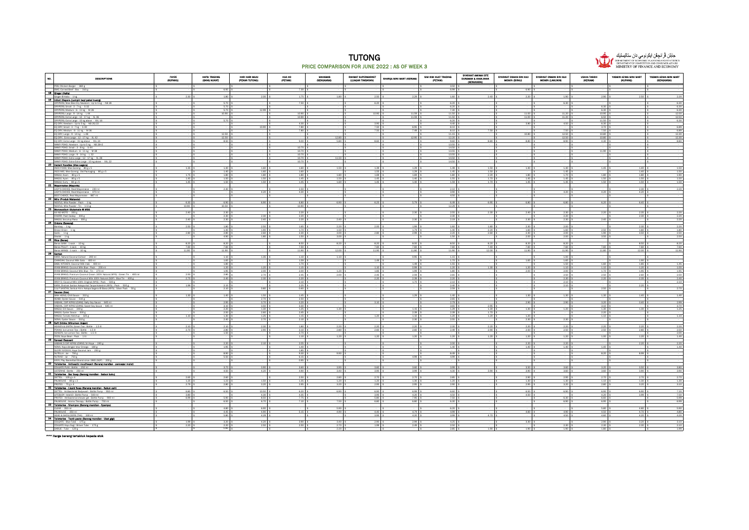



No. I and the contract of the person person in the contract of the contract of the contract of the contract of FAYZE (KUPANG) HAFSI TRADING (BANG NUKAT) HARI HARI MAJU (PEKAN TUTONG) HUA HO (PETANI) MAHAMAS (SENGKARAI) RAHMAT SUPERMARKET (LUAGAN TIMBARAN) SHARQA MINI MART (KERIAM) SIM KIM HUAT TRADING (PETANI) SYARIKAT AMINAH BTE DURAMAN & ANAK-ANAK (SENGKARAI) SYARIKAT OSMAN BIN HAJI MOMIN (BIRAU) SYARIKAT OSMAN BIN HAJI MOMIN (LAMUNIN) USAHA TASBIH (KERIAM) YASMIN AZIMA MINI MART (KUPANG) YASMIN AZIMA MINI MART (SENGKARAI) PDS; Chicken Burger - 360 g \$ - \$ - \$ - \$ - \$ - \$ - \$ - \$ 3.50 \$ - \$ - \$ - \$ - \$ - \$ - BMC; Corned Beef : Box - 310 g \$ - \$ 6.95 \$ - \$ 7.30 \$ - \$ - \$ - \$ 6.99 \$ - \$ 6.90 \$ - \$ - \$ - \$ - 18 Ginger (Halia) 19 Infant Diapers (Lampin bayi pakai buang) Ginger @ Hala - 1 kg \$ 2.30 \$ 1.80 \$ 2.20 \$ 1.75 \$ 1.80 \$ 2.50 \$ 2.29 \$ 1.60 \$ 2.40 \$ 2.20 \$ 2.90 \$ 2.50 \$ 2.20 DRYPERS; Wee Wee Dry Newborn : Up to 5 kg - NB 28 \$ - \$ 5.70 \$ - \$ 7.50 \$ - \$ 6.20 \$ - \$ 6.20 \$ - \$ - \$ 6.30 \$ - \$ - \$ 6.30 DRYPERS;Small:3-7.kg - S32 \$ - \$ - \$ - \$ - \$ - \$ - \$ - \$ 6.30 \$ - \$ - \$ - \$ 6.30 \$ - \$ - \$ 6.30 \$ - \$ 6.30 \$ -DRYPERS;Medium:6-11kg-M28 |\$ - |\$ 5.70 |\$ 12.99 |\$ - |\$ - |\$ - |\$ - |\$ - 13.00 |\$ - |\$ - 6.30 |\$ - |\$ DRYPERS; Large : 9 - 14 kg - L 44 \$ - \$ 10.90 \$ - \$ 10.90 \$ - \$ 10.90 \$ 11.59 \$ 11.50 \$ - \$ 11.00 \$ 11.20 \$ 10.95 \$ - \$ 12.50 DRYPERS; Extra Large : 12-17 kg - XL 36 \$ - \$ - \$ - \$ - \$ - \$ - \$ - \$ - \$ -11.50 \$ - \$ - \$ - 11.00 \$ - \$ - \$ -DRYPERS; Extra Large : 15 kg above - XXL 16 \$ - \$ 5.70 \$ - \$ - \$ - \$ - \$ - \$ 6.20 \$ - \$ - \$ - \$ 11.50 \$ - \$ 6.30 EQ DRY; Newborn : Up to 5 kg - NB 20/22 \$ - \$ - \$ - \$ 4.30 \$ - \$ 3.90 \$ - \$ 4.40 \$ - \$ 3.80 \$ 4.50 \$ 6.30 \$ - \$ - EQ DRY; Small : 3 - 7 kg - S 40 \$ - \$ - \$ 10.90 \$ 7.80 \$ - \$ 7.50 \$ 6.95 \$ 8.10 \$ - \$ - \$ - \$ 3.70 \$ - \$ 6.89 EQ DRY; Medium : 6-11kg - M 36 - 15 - 15 - 15 - 7.80 | \$ 7.80 \$ 7.49 \$ 8.10 \$ - \$ - \$ 7.50 \$ 7.50 \$ - \$ 6.89 EQ DRY; Large : 9 - 14 kg - L 48 \$ - \$ 12.50 \$ - \$ - \$ - \$ - \$ - \$ 11.15 \$ - \$ 10.80 \$ 12.50 \$ 10.80 \$ - \$ 12.30 EQ DRY; Extra Large : 12 - 17 kg - XL 42 \$ - \$ 12.50 \$ - \$ - \$ 12.80 \$ - \$ 12.95 \$ 12.20 \$ - \$ - \$ 12.50 \$ 10.80 \$ - \$ 12.30 EQ DRY; Extra Large : 15 kg above - XXL 24 \$ - \$ 5.80 \$ - \$ 5.80 \$ - \$ 9.00 \$ 9.80 \$ 9.80 \$ 8.80 \$ 4.30 \$ - \$ 8.80 \$ - \$ 8.80 MAMY POKO; Newborn : Up to 5 kg - NB 28+2 \$ - \$ - \$ - \$ - \$ - \$ - \$ - \$ 13.55 \$ - \$ - \$ - \$ - \$ - \$ - MAMY POKO; Small : 3 - 8 kg - S 44 \$ - \$ - \$ - \$ 10.70 \$ - \$ - \$ - \$ 14.50 \$ - \$ - \$ - \$ - \$ - \$ - MAMY POKO; Medium : 6 - 11 kg - M 38 \$ - \$ - \$ - \$ 10.70 \$ - \$ - \$ - \$ 13.55 \$ - \$ - \$ - \$ 11.90 \$ - \$ - MAMY POKO;Large:9-14kg -L32 |\$ -|\$ -|\$ -15 -15 -15 - 15 - 15 - |\$ - |\$ - |\$ - |\$ -MAMY POKO; Extra Large : 12 - 17 kg - XL 28 \$ - \$ - \$ - \$ 10.70 \$ 11.50 \$ - \$ - \$ 14.50 \$ - \$ - \$ - \$ - \$ - \$ - MAMY POKO; Extra-Extra Large : 15 kg above - XXL 22 \$ - \$ - \$ - \$ 10.70 \$ - \$ - \$ - \$ 14.50 \$ - \$ - \$ - \$ - \$ - \$ - MAMY POKO; Extra-Extra Large :<br>20 **Instant Noodles (Mee segera)**<br>20 **INDO FOOD**; Mee Goreng : 80 g;<br>INDO MIE; Mee Goreng : 01d Pack INDO FOOD; Mee Goreng - 80 g x 5 \$ 1.35 \$ 1.40 \$ 1.60 \$ 1.60 \$ 1.50 \$ 1.39 \$ 1.29 \$ 1.49 \$ 1.50 \$ 1.40 \$ 1.40 \$ 1.45 \$ 1.40 \$ 1.50 INDO MIE; Mee Goreng: OblPackaging - 80 gx 5 \$ 1.40 \$ 1.50 \$ 1.60 \$ 1.60 \$ 1.50 \$ 1.55 \$ 1.29 \$ 1.45 \$ - \$ 1.40 \$ 1.50 MAGGI; Asam - 80 g x 5 \$ 1.75 \$ 1.80 \$ 1.80 \$ 1.80 \$ 1.80 \$ 1.69 \$ 1.69 \$ 1.80 \$ 2.20 \$ 1.80 \$ 1.70 \$ 1.80 \$ 1.80 \$ 1.90 MAGGI;Ayam - 80 χx 5 1.50 \$ 1.50 \$ 1.50 \$ 1.50 \$ 1.45 \$ 1.50 \$ 1.45 \$ 1.45 \$ 1.50 \$ 1.50 \$ 1.50 \$ 1.50 \$ 1.50 MAGGI;Curry - 80 gx 5 |\$ 1.45|\$ 1.50|\$ 1.45|\$ 1.45|\$ 1.45|\$ 1.50|\$ 1.50|\$ 1.50|\$ 1.50|\$ 1.50|\$ 1.50|\$ 1.50|\$ 1.50|\$ 1.50|\$ 1.50|\$ 1.50|\$ 1.50|\$ 1.50|\$ 1. MAGGI: Curry - 20 g x 3 LADY'S CHOICE; Real Mayonnaise - 230 ml \$ - \$ 2.30 \$ - \$ 2.50 \$ - \$ - \$ - \$ 2.10 \$ - \$ - \$ - \$ - \$ 2.30 \$ 2.20 LADYS CHONCE; Real Mayonnaise - 470 ml \$ - \$ - \$ - \$ - \$ - \$ - \$ - \$ - \$ - 4.20 \$ - 4.20 \$ - 4.20 \$ - 4.20 \$ -BEST CHOICE; Real Mayonnaise - 887 ml \$ - \$ - \$ - \$ - \$ - \$ - \$ - \$ 4.50 \$ - \$ - \$ - \$ - \$ - \$ - BEST CHOICE; Real Mayonn<br>22 Milo (Produk Malaysia)<br>NESTLE: Milo Powder : Pack NESTLE;Milo Powder:Pack - 1 kg \$ 6.30 \$ 6.90 \$ 6.90 \$ 6.80 \$ 6.90 \$ 6.25 \$ 5.79 \$ 6.49 \$ 6.95 \$ 6.80 \$ 6.40 \$ 6.40 \$ NESTLE; Milo Powder : Tin - 1.5 kg \$ 10.90 \$ 10.50 \$ - \$ 10.90 \$ - \$ - \$ - \$ 12.29 \$ - \$ - \$ - \$ - \$ - \$ - 23 Mestle; Milo Powder : Tin - 1.5 kg<br>23 Monosodium Glutamate @ MSG AJI-NO-MOTO - 350 g \$ 2.40 g \$ 2.40 g \$ 2.30 \$ 2.30 \$ 2.30 \$ 2.30 \$ 2.30 \$ 2.30 \$ 2.35 \$ 2.20 KNORR; Pasti Sedap - 300 g = 2.30 g = 2.30 g = 2.30 s = 2.30 s = 2.30 s = 2.30 s = 2.30 s = 2.30 s = 2.30 s = 2.30 s MAGGI;Secukup Rasa - 300 g \$ 2.40 \$ 2.30 \$ 2.40 \$ 2.40 \$ - \$ 2.30 \$ - \$ 2.30 \$ 2.30 \$ 2.40 \$ - \$ 2.20  $\frac{\text{A1-NO-AGTO} \cdot 380 \text{ g}}{\text{NO-ORC, Factil Sective Rasa} \cdot 300 \text{ g}}$   $\frac{\text{24. Onbona (Bewang)}}{\text{Bornon Opton} \cdot 1 \text{ kg}}$   $\frac{\text{Brown in}}{\text{Bornon Opton} \cdot 1 \text{ kg}}$ Bombay - 1 kg \$ 2.50 \$ 1.80 \$ 2.50 \$ 1.65 \$ 2.20 \$ 2.00 \$ 1.99 \$ 1.60 \$ 1.80 \$ 2.30 \$ 2.00 \$ - \$ 2.30 \$ 2.20 Brown Onion - 1 kg \$ - \$ 1.40 \$ 1.90 \$ 1.70 \$ 1.50 \$ - \$ 1.79 \$ 1.40 \$ 2.20 \$ 1.60 \$ 1.60 \$ 2.50 \$ 1.80 \$ 1.80 Garlic - 1 kg \$ 2.80 \$ 2.80 \$ 2.60 \$ 2.30 \$ 3.00 \$ 2.80 \$ 2.99 \$ 2.20 \$ 2.60 \$ 2.40 \$ 2.00 \$ 1.90 \$ 3.50 \$ 2.50 Shallot - 1 kg \$ - \$ 4.90 \$ 1.80 \$ 1.50 \$ 3.00 \$ - \$ - \$ 1.50 \$ - \$ 2.00 \$ 2.00 \$ 3.50 \$ - \$ 2.50 25 Rice (Beras) Beras SIAM : 1 sack - 10 kg \$ 8.20 \$ 8.20 \$ - \$ 8.50 \$ 8.20 \$ 8.20 \$ 8.20 \$ 8.20 \$ 8.20 \$ - \$ 8.50 \$ 8.20 Beras PULUT:1.sack - 10 kg \$ 7.60 \$ 7.60 \$ - \$ 7.50 \$ - \$ 7.60 \$ 7.60 \$ 7.60 \$ 7.60 \$ 7.60 \$ 7.60 \$ 7.60 \$ 7.60 Beras WANGI:1sack 10.kg \$ 11.90 \$ 11.90 \$ 11.90 \$ 11.90 \$ 11.90 \$ 11.90 \$ 11.90 \$ 11.90 \$ 11.90 \$ 11.90 \$ 11.90 Beras PULUT: 1 sack - 10 kg<br>
Beras WANGI: 1 sack - 10 kg<br>
26 Santan<br>
KARA: Naharal Coconal Extract - 200<br>
CHAKOMH; Coconal Milk Gata - 400 m<br>
SABU KITCHEN; Coconat Milk Indo - 4 KARA; Natural Coconut Extract - 200 ml \$ - \$ 1.10 \$ 1.35 \$ 1.10 \$ 1.10 \$ - \$ 0.95 \$ 1.15 \$ - \$ - \$ 1.00 \$ - \$ - \$ - CHAKOAH; Coconut Milk Gata - 400 ml \$ - \$ 1.65 \$ - \$ 1.59 \$ - \$ 1.49 \$ - \$ 1.70 \$ - \$ 1.65 \$ - \$ - \$ 1.90 \$ -BABU KITCHEN; Coconut Milk Indo - 400 ml \$ - \$ 1.80 \$ - \$ 1.70 \$ - \$ - \$ 1.49 \$ 1.55 \$ - \$ - \$ 1.50 \$ 1.60 \$ 1.85 \$ 1.45 AYAM BRAND; Coconut Milk Blue : Pack - 200 ml \$ - \$ 1.20 \$ 1.20 \$ 1.15 \$ - \$ 1.10 \$ 0.99 \$ 1.20 \$ 1.30 \$ 1.20 \$ 1.10 \$ 1.10 \$ 1.20 \$ 1.00 AYAM BRAND; Coconut Milk Blue : Tin - 270 ml \$ - \$ 1.95 \$ 2.00 \$ 2.00 \$ 1.20 \$ 1.85 \$ 1.99 \$ 1.80 \$ - \$ 2.00 \$ 2.00 \$ 1.70 \$ 1.95 \$ 1.95 AYAM BRAND; Premium Coconut Cream 100% Natural (MYS): Green Tin - 400 ml \$ 2.50 \$ 2.80 \$ 2.50 \$ 2.50 \$ 2.50 \$ 2.50 \$ 2.50 \$ 2.50 \$ 2.50 \$ 2.50 \$ 2.50 \$ 2.50 \$ 2.50 \$ 2.50 \$ 2.50 \$ 2.50 \$ 2.50 \$ 2.50 \$ 2.50 \$ 2.50 \$ 2.50 \$ AYAM BRAND; Premium Coconut Milk 100% Natural (SGP) : Blue Tin - 400 g |\$ 2.75 \$ 2.40 \$ 2.30 \$ 2.30 \$ 2.30 \$ 2.30 \$ 2.40 \$ 2.30 \$ 2.30 \$ 2.30 \$ 2.30 \$ 2.35 \$ 2.40 \$ 2.35 \$ 2.40 \$ 2.35 \$ 2.40 \$ 2.35 \$ 2.40 \$ 2.35 \$ 2.40 \$ 2 \_NOVID CONSULTANT NOVID (NOVID CONTROLLER SUBSTRATED AND DESCRIPTION ON THE SUBSTRATED AND DESCRIPTION ON THE SUBSTRATED AND DESCRIPTION ON THE SUBSTRATED AND DESCRIPTION ON THE SUBSTRATED AND DESCRIPTION ON THE SUBSTRA HABHAL; CAP KIPAS UDANG; Salty Soy Sauce - 645 \$ - \$ 3.20 \$ - \$ 3.20 \$ - \$ 2.95 \$ 2.90 \$ 3.40 \$ 2.99 \$ 3.40 \$ HABHAL; CAP KIPAS UDANG; Sweet Soy Sauce - 645 ml \$ - \$ - \$ - \$ - \$ - \$ - \$ - \$ 3.10 \$ - \$ - \$ - \$ 3.10 \$ - \$ 3.70 MAGGI; Cali Sauce - 340 g \$ 1.30 g \$ 1.25 g \$ 1.25 g \$ 1.25 g \$ 1.25 g \$ 1.30 \$ 1.30 \$ 1.30 \$ 1.30 \$ 1.30 \$ 1.30 MAGGI; Oyster Sauce - 500 g \$ - \$ 2.50 \$ 2.60 \$ 2.45 \$ - \$ - \$ 2.39 \$ 2.39 \$ 1.70 \$ - \$ - \$ 2.20 \$ - \$ - MAGGi;Tomato Ketchup - 325 g \$ 1.10 \$ 1.25 \$ 1.25 \$ 1.25 \$ 1.25 \$ 1.20 \$ 1.20 \$ 1.20 \$ 1.20 \$ 1.20 \$ 1.10 \$ 1.1 NONA; Oyster Sauce - 510 g \$ - \$ 2.40 \$ 2.70 \$ 2.10 \$ - \$ - \$ 2.30 \$ 2.55 \$ - \$ 2.30 \$ 2.30 \$ - \$ - \$ - NONA; Oyster Sauce - 510 g<br> **28 Soft Drinks (Minuman ringan)**<br>
HEAVEN & EARTH; Green Tea : Bottle<br>
POKKA: Ice Lemon Tea :: Bottle - 1.5 HEAVEN & EARTH; Green Tea: Bottle - 1.5 lt 2.30 \$ 2.30 \$ 2.30 \$ 2.20 \$ 2.20 \$ 2.30 \$ 2.20 \$ 2.20 \$ 2.20 \$ 2.20 POKKA; Ice Lemon Tea ::Bottle - 1.5 lt \$ 2.70 \$ 2.80 \$ 2.80 \$ 2.80 \$ 2.60 \$ 2.50 \$ 2.50 \$ 2.50 \$ 2.50 \$ 2.80 \$ SEASON; Ice Lemon Tea : Bottle - 1.5 lit \$ - \$ 1.50 \$ - \$ 2.70 \$ - \$ - \$ - \$ - \$ - \$ - \$ - \$ - \$ - \$ 2.00 YEOS; Soya Bean :Pack - 1 ltr = ltr = ls - ls - ls - 1.10 |\$ 1.20 |\$ 1.20 |\$ 1.20 |\$ 1.20 |\$ 1.20 |\$ 1.20 |\$ 1.20 |\$ 1.20 |\$ 1.40 SEASON: ke Lemon Tea: Bottle - 1.5 lt<br> **29 Spread (Sepuan)**<br> **29 Spread (Sepuan)**<br> **29 Spread (Sepuan)**<br>  $\frac{1}{2}$ <br> **29 Spread (Sepuan)**<br>  $\frac{1}{2}$ <br> **29 MAB/ALS CAP KIPAS UDANG:** Sri Kaya - 240 g<br> **200 KONA:** Kaya dengan HABHAL'SCAP KIPASUDANG; Sri Kaya - 240 g - 1, S - 2.20 g - 2.20 g - 2.20 g - 2.20 g - 2.20 g - 2.20 s - 2.20 s NONA; Kaya dengan telur Omega - 180 g \$ - \$ - \$ - \$ - \$ 1.40 \$ - 1.40 \$ - 1.40 \$ - \$ 1.40 \$ - \$ 1.40 \$ - \$ 1.40 GLORY NYONYA; Kaya Coconut Jam - 250 g \$ - \$ - \$ - \$ 1.85 \$ - \$ - \$ - \$ - \$ - \$ - \$ - \$ - \$ - \$ - NUTELLA : Jar - 750 g \$ - \$ 8.90 \$ - \$ 9.30 \$ 9.90 \$ - \$ - \$ 8.49 \$ - \$ - \$ - \$ 8.20 \$ 8.99 \$ - NUTKAO : Jar - 750 g \$ - \$ 5.50 \$ - \$ 6.15 \$ - \$ - \$ 4.99 \$ 4.99 \$ - \$ - \$ - \$ - \$ - \$ - KAYA; Play Basketball Brand since 1965 (SGP) - 200 g \$ - \$ - \$ - \$ 0.95 \$ - \$ - \$ - \$ - \$ - \$ - \$ - \$ - \$ - \$ - 30 Toileteries - Antiseptic mouthwash (Barang mandian - penyegar mulut) COLGATE PLAX : Bottle - 250 ml \$ - \$ 3.70 \$ 3.90 \$ 3.60 \$ 3.90 \$ 3.60 \$ 3.60 \$ 3.99 \$ - \$ 3.50 \$ 3.60 \$ 3.20 \$ 3.50 \$ 3.80 LISTERINE : Bottle - 250 ml \$ - \$ 4.50 \$ 4.20 \$ 4.90 \$ 3.40 \$ 3.90 \$ 3.99 \$ 4.30 \$ 3.90 \$ 3.90 \$ 3.60 \$ 3.60 \$ 3.90 \$ 3.90 31 Toileteries - Bar Soap (Barang mandian - Sabun buku) -190703 - 1955, 1968, 1979, 1979, 1979, 1979, 1979, 1979, 1979, 1979, 1979, 1979, 1979, 1979, 1979, 1979, 1979, 1979, 1979, 1979, 1979, 1979, 1979, 1979, 1979, 1979, 1979, 1979, 1979, 1979, 1979, 1979, 1979, 1979, 1979, PROTEX - Antibacterial shower gel : Bottle Pump - 900 ml \$ 6.99 \$ 5.95 \$ 5.90 \$ 5.95 \$ 5.95 \$ 5.95 \$ 5.95 \$ 5.95 \$ 5.95 \$ 5.99 \$ 5.99 \$ 5.99 \$ 5.99 \$ 5.99 \$ 5.99 \$ 5.99 \$ 5.99 \$ 5.99 \$ 5.99 \$ 5.99 \$ 5.99 \$ 5.99 \$ 5.99 \$ 5. PALMOLIVE - Aroma Therapy:Bottle Pump - 750 ml \$ - \$ 6.50 \$ 6.70 \$ 7.10 \$ 7.50 \$ 6.80 \$ 6.90 \$ 6.95 \$ - \$ 6.95 PALMOLIVE - Aroma Therapy : Bottle Pump - 750 ml<br>33 Tolleteries - Shampoo (Barang mandian - Syampu)<br>CLEAR - 350 ml CLEAR - 350 ml \$ - \$ 4.80 \$ 6.90 \$ - \$ 5.90 \$ - \$ - \$ 6.20 \$ - \$ - \$ - \$ 5.80 \$ 4.80 \$ 5.90 PALMOLIVE - 350 ml \$ - \$ 4.45 \$ 4.90 \$ 5.15 \$ 4.90 \$ 4.40 \$ 4.79 \$ 4.99 \$ - \$ 4.60 \$ 4.90 \$ 4.50 \$ 4.70 \$ 4.80 HEAD & SHOULDERS (THA) - 330 ml \$ 5.80 \$ 4.29 \$ - \$ - \$ 3.95 \$ 4.20 \$ - \$ 4.70 \$ - \$ 4.50 \$ 4.20 \$ 4.20 \$ 4.20 34 Toileteries - Tooth paste (Barang mandian - Ubat gigi)<br>34 Toileteries - Tooth paste (Barang mandian - Ubat gigi)<br>2016<br>ATE: Toilet (Barang mandian - USB)<br>2016<br>2016<br>2016<br>2016<br>2016<br>2016 COLGATE: Blue Tube - 175 g \$ 3.20 \$ 3.40 \$ 3.40 \$ 3.40 \$ 3.40 \$ 3.40 \$ 4.25 \$ - \$ 3.30 \$ - \$ 2.90 \$ 3.20 \$ 3.10

COLGATE Kayu Sugi: Brown Tube - 175 g \$ 2.20 \$ 2.50 \$ 2.50 \$ 2.50 \$ 2.30 \$ 2.30 \$ 2.30 \$ 2.30 \$ 2.30 \$ 2.30 \$ 2.30 DARLIE: Tube - 120 g \$ - \$ 1.95 \$ - \$ - \$ - \$ - \$ - \$ - 2.85 \$ 1.90 \$ 1.90 \$ - \$ - \$ 1.99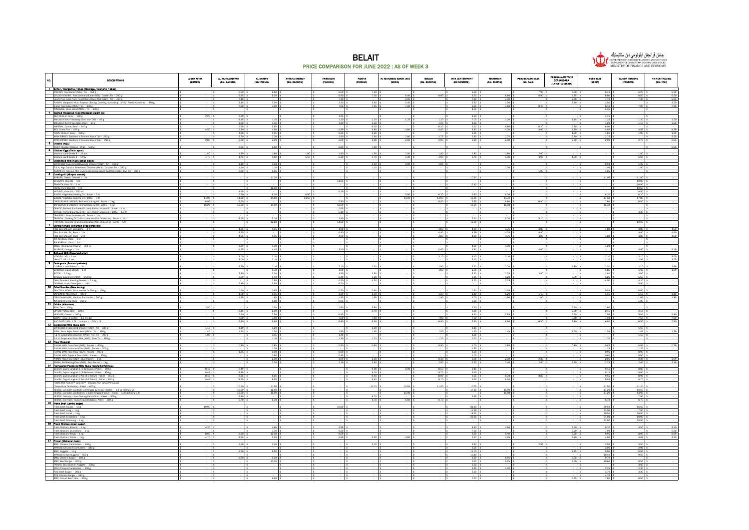



| DESCRIPTIONS<br>1 Butter / Marziarine / Ghee (Menteza / Marjerin / Ghee)                                                                                                                                                                                                                                                    | AISHA AFIKA<br>(LUMUT)       | AL MUHAMADIYAH<br>(SG. BAKONG)  | AL-SHAM'S<br>(SG TARING)                                                                          | AYESHA ENERGY<br>(SG. BAKONG) | <b>FAIROSDIN</b><br>(PANDAN)                                                                    | PANITA<br>(PANDAN)                          | HJ MOHAMAD BAKIR JAYA<br>(SERIA) | <b>ISMACO</b><br>(SG. BAKONG) | <b>JAYA CENTERPOINT</b><br>(KB SENTRAL)                                               | MAHMOON<br>(SG. TARING) | PERUSAHAAN NASA<br>(SQ. TALI)                                                                                 | PERUSAHAAN YAZID<br>BERSAUDARA<br>(JLH SETIA DIRAJA) | SUPA SAVE<br>(SERIA)                                                          | YA NUR TRADING<br>(PAMDAN)                                             | YA MUR TRADING<br>(SQ. TALI) |
|-----------------------------------------------------------------------------------------------------------------------------------------------------------------------------------------------------------------------------------------------------------------------------------------------------------------------------|------------------------------|---------------------------------|---------------------------------------------------------------------------------------------------|-------------------------------|-------------------------------------------------------------------------------------------------|---------------------------------------------|----------------------------------|-------------------------------|---------------------------------------------------------------------------------------|-------------------------|---------------------------------------------------------------------------------------------------------------|------------------------------------------------------|-------------------------------------------------------------------------------|------------------------------------------------------------------------|------------------------------|
| ANCHOR; Pure Butter (NZL) : Tin - 454 g                                                                                                                                                                                                                                                                                     |                              | 6.50                            | 6.60                                                                                              |                               | 6.60                                                                                            | 7.20                                        |                                  |                               | 6.60                                                                                  |                         | 7.90                                                                                                          | 6.60                                                 | $6.40$ \$                                                                     | $6.20$ \$                                                              | 6.39                         |
| $\overline{a}$<br>GOLDEN CHURN; Pure Cremery Butter (NZL) : Golden Tin - 340 g<br>LEILA: Pure Ghee from Finest Dairy Cow's Milk (SGP) : Tin - 400 g                                                                                                                                                                         |                              | 6.95<br>$\frac{7.40}{3.45}$     | 6.30                                                                                              |                               | 6.90 \$<br>$7.10$ \$<br>3.30 \$                                                                 | 7.50                                        | 6.40.5<br>6.95 \$                | 6.90                          | 6.50 \$<br>$7.30$ \$                                                                  | 6.80 \$<br>$7.30$ \$    | 6.90                                                                                                          | 6.75<br>7.50                                         | 6.90.5<br>7.70 \$                                                             | 6.50 \$<br>$7.30$ \$                                                   | 6.50<br>6.95                 |
| PLANTA; Margarine Multi Purpose (Baking, Cooking, Spreading) (MYS) : Plastic Container - 480 g<br>Q.B.B; Pure Ghee (MYS) : Tin - 400 g                                                                                                                                                                                      |                              | 7.90                            | 3.50<br>7.99                                                                                      |                               | 7.90                                                                                            | 3.60 \$<br>7.95                             | $3.40$ \$<br>7.60 \$             |                               | 3.30 \$<br>8.50 \$                                                                    | 3.50 \$<br>7.80         | 8.20                                                                                                          | 3.40                                                 | 3.50 <sub>5</sub><br>8.10                                                     | $7.90$ \$                                                              | 3.20<br>7.99                 |
| WINDMILL; Ghee Blend (MYS): Tin - 400 g<br>2 Canned Preserved Food (Makenan dalam tin)                                                                                                                                                                                                                                      |                              |                                 |                                                                                                   |                               |                                                                                                 | ा ऽ                                         |                                  | $\sqrt{2}$                    | 4.50 \$                                                                               |                         |                                                                                                               |                                                      | $5.35$ \$                                                                     |                                                                        | ∣s.                          |
|                                                                                                                                                                                                                                                                                                                             | 2.20 S                       | 2.30<br>$1.15$                  | 1.15                                                                                              |                               | 1.35  <br>1.20                                                                                  | 1.20                                        | $125$ \$                         | $\sqrt{2}$<br>1.20            | 1.50 \$<br>7.00                                                                       | 1.20                    |                                                                                                               |                                                      | $1.45$ \$<br>1.25                                                             | 1.20                                                                   | 1.20                         |
| REX; Unisitive: SMR, Fried Baby Clam Wells Committee SMR<br>SMILING FISH; Crispy Baby Clam - 30 g<br>MPERIAL; Corned Beef - 340 g<br>The Curtis Fish - 425 g<br>The Curtis Fish - 425 g                                                                                                                                     |                              | $1.90\,$                        | $\begin{array}{ c c c } \hline 1.30 & \text{\$} \\ \hline 5.95 & \text{\$} \\ \hline \end{array}$ |                               | $1.20$ \$                                                                                       | $\begin{array}{r} 1.30 \\ 6.30 \end{array}$ |                                  | 1.20<br>$\mathbf{S}$          | 1.30 <sub>5</sub>                                                                     |                         |                                                                                                               |                                                      | 1.20 <sub>5</sub>                                                             | $1.10$ \$                                                              | 1.20                         |
|                                                                                                                                                                                                                                                                                                                             | 4.50 \$                      | 5.99 \$<br>2.30                 | 4.60                                                                                              |                               | 4.99 \$                                                                                         | 4.80                                        | 4.80 \$                          | - 15<br>$6.20$ \$<br>4.80     | 6.50 \$<br>4.90 \$                                                                    | 6.80 \$<br>4.70 \$      | 6.20 <sub>5</sub><br>4.95                                                                                     | 6.30<br>4.70                                         | 6.00 \$<br>4.95                                                               | $4.59$ s                                                               | 4.39                         |
| YEO'S; Chicken Curry - 280 g<br>AYAM BRAND; Sardines In Tomato Sauce Tall - 230 g                                                                                                                                                                                                                                           |                              | 1.90<br>2.70                    | 1.95<br>2.70 <sub>5</sub>                                                                         |                               | 2.35<br>2.60 <sup>5</sup>                                                                       | 2.20<br>260 \$                              | - 15<br>$280$ \$                 | 2.75                          | 2.25<br>$2.80$ \$                                                                     | 2.75                    |                                                                                                               | 1.99<br>$2.80$ \$                                    | 1.85<br>2.75                                                                  | $1.99$ \$                                                              | 1.99<br>2.55                 |
| AYAM BRAND; Sardines In Tomato Sauce Oval - 215 g<br>3 Cheese (Kelu)                                                                                                                                                                                                                                                        | 2.89 \$                      | 2.90                            | 2.90                                                                                              |                               | 2.99 8                                                                                          | 2.80                                        | $2.60$ \$                        | 2.90                          | 2.99 \$                                                                               | 2.90                    |                                                                                                               | 2.60                                                 | 2.90                                                                          | $2.75$ \$                                                              | 2.65                         |
| <b>KRAFT Ch</b><br>edder Cheese: Wrap - 530 g<br>4 Chloken Eggs (Telur ayam)                                                                                                                                                                                                                                                |                              | 5.95                            | 6.80 \$                                                                                           |                               | 6.80 \$                                                                                         | 7.20                                        |                                  | $\sqrt{2}$                    |                                                                                       |                         |                                                                                                               |                                                      |                                                                               |                                                                        | 6.80<br>⊣ s                  |
| Medium sized Grade B - 10 pcs<br>Medium sized Grade B - 1 tray<br>-                                                                                                                                                                                                                                                         | $1.80$   3                   | 1.80                            | 1.80                                                                                              | 1.80                          | 1.80                                                                                            | 1.90                                        | $200$ \$                         | 1.80                          | 1.80 \$                                                                               | 1.80                    | 2.00                                                                                                          |                                                      |                                                                               | $1.80$ \$                                                              |                              |
| <b>B</b> Condensed Milk (Sueu pekat mania)                                                                                                                                                                                                                                                                                  | 4.70 \$                      | 4.75                            | 4.80 \$                                                                                           | $5.10$ \$                     | 5.30 \$                                                                                         | 5.70 \$                                     | $5.30$ \$                        | 4.90 \$                       | 5.70 \$                                                                               | $5.30-5$                | 4.90 \$                                                                                                       | 4.90 \$                                              |                                                                               | 5.60 \$                                                                |                              |
| MARIGOLD; Sweetened Beverage Creamer (SGP) : Tin - 380 g<br>F & N; High Calcium Sweetened Creamer (MYS) : Turqoise Tin - 390 g<br>MARIGOLD: Sweetened Beverage<br>F & N; High Calcium Sweetened C<br>INDOMILK; Nutrious Milk Sweeten<br>6 Cooking Oil (Miryak masak)                                                        |                              | 1.10<br>1.10                    | 1.10<br>1.10                                                                                      |                               |                                                                                                 | 1.10                                        | 0.995                            | 1.05                          |                                                                                       | 1.00                    |                                                                                                               |                                                      | 0.90<br>1.05                                                                  | $1.20$ \$<br>1.00                                                      |                              |
| INDOMILK; Nutrious Milk Sweetened Condensed Filed Milk (IDN) : Blue Tin - 385 g                                                                                                                                                                                                                                             |                              | $0.89$ \$                       | $0.95$ \$                                                                                         |                               |                                                                                                 |                                             |                                  | Ιs                            |                                                                                       |                         | $1.00$ \$                                                                                                     |                                                      | 1.05 \$                                                                       | . Is                                                                   |                              |
| BORGES; Classic Olive Oil - 1 ltr                                                                                                                                                                                                                                                                                           |                              |                                 | 11.20                                                                                             |                               |                                                                                                 |                                             |                                  |                               | 10.90 \$                                                                              |                         |                                                                                                               |                                                      | 11.05                                                                         | 11.80                                                                  |                              |
| COLAVITA; Olive Oil - 1 Itr<br>FRAGATA; Olive Oil - 1 ltr<br>LINKS; Pure Olive Oil - 1 ltr                                                                                                                                                                                                                                  |                              |                                 |                                                                                                   |                               | 11.95 \$                                                                                        |                                             |                                  | ١s<br>Ιs                      | 12.40 S                                                                               |                         |                                                                                                               |                                                      |                                                                               | $10.90$ \$<br>$\begin{array}{cc} 10.90 & \$ \\ 12.50 & \$ \end{array}$ |                              |
| NATUREL; Olive OI - 750 ml                                                                                                                                                                                                                                                                                                  |                              | 8.95                            | 12.90                                                                                             |                               | 9.29                                                                                            |                                             |                                  |                               |                                                                                       |                         |                                                                                                               |                                                      |                                                                               | 9.50 <sub>5</sub>                                                      |                              |
| SUNCO; Vegetable Cooking Oil : Bottle - 2 ltr<br>SUNCO; Vegetable Cooking Oil : Bottle - 5 ltr                                                                                                                                                                                                                              | 14.95 \$                     | 5.90<br>14.90                   | 6.30<br>14.80                                                                                     | 6.50<br>14.50                 |                                                                                                 |                                             | $5.90$ \$<br>14.90 \$            | 6.20<br>14.99                 | 6.35 \$<br>15.05 \$                                                                   | 6.30<br>14.70 \$        |                                                                                                               |                                                      | 8.20 \$<br>17.60 \$                                                           | $6.20$ \$<br>17.80 \$                                                  |                              |
| CAP BURUH @ LABOUR: Refined Cooking Oil : Bottle - 2 kg                                                                                                                                                                                                                                                                     | 6.95 \$                      | 6.90                            |                                                                                                   |                               | 5.80 \$                                                                                         |                                             |                                  | 6.80                          | 6.95 \$                                                                               | 6.80 \$                 | 6.90                                                                                                          |                                                      | 7.60 \$                                                                       | 6.80 \$                                                                |                              |
| CAP BURUH @ LABOUR; Refined Cooking Oil: Bottle - 5 kg<br>j<br>ORKIDE; Refined Surflower OII - Very Rich in Vitamin E : Bottle - 1 ltr<br>ORKIDE; Refined Surflower OII - Very Rich in Vitamin E : Bottle - 1.8 ltr                                                                                                         | 16.25 \$                     | 15.90                           | 14.90                                                                                             |                               | 12.99 \$<br>$\begin{array}{r}\n2.65 \quad \text{$\$}\\ 5.10 \quad \text{$\$}\n\end{array}$      |                                             |                                  | ١s                            | 15.29 \$                                                                              | 16.90 \$                |                                                                                                               |                                                      | 15.30 \$                                                                      |                                                                        |                              |
| TRADEKEY; Pure Sunflower Oil: Bottle - 2 ftr                                                                                                                                                                                                                                                                                |                              |                                 |                                                                                                   |                               |                                                                                                 |                                             |                                  | ∥ \$                          |                                                                                       |                         |                                                                                                               |                                                      |                                                                               | 4.30 \$                                                                |                              |
| $\overline{a}$<br>TROPICAL; Cooking Oil 2x Fractionation (Non Cholestrol) : Bottle - 2 ltr<br>TROPICAL; Cooking Oil 2x Fraction<br>tion (Non Cholestrol) : Bottle - 5 ltr                                                                                                                                                   |                              | 4.95                            | 5.20                                                                                              |                               | 3.95 \$                                                                                         |                                             |                                  | ١s                            | 5.20 S                                                                                | $5.20$ \$               | $5.10$ \$                                                                                                     |                                                      |                                                                               |                                                                        |                              |
| T Cordial Syrups (Minuman strap berperisa)                                                                                                                                                                                                                                                                                  |                              |                                 | 12.20                                                                                             |                               | 11.80 \$                                                                                        |                                             |                                  |                               | 12.60 \$                                                                              | 4.75                    |                                                                                                               |                                                      |                                                                               | 12.60                                                                  |                              |
| F&N SUN VALLEY; Grenadine - 2 lit<br>l<br>F&N SUN VALLEY; Rose - 2 lt                                                                                                                                                                                                                                                       |                              | 4.55<br>4.55                    | 4.55                                                                                              |                               | $4.90$ \$<br>$4.90$ \$                                                                          |                                             |                                  | 4.80<br>4.80<br>١s            | 4.99 \$<br>4.99 \$                                                                    | 4.75 \$                 | 4,80<br>$\begin{array}{ c c c } \hline 4.80 & \textbf{\$} \\ \hline 4.80 & \textbf{\$} \\ \hline \end{array}$ |                                                      | 4.80                                                                          | $4.80$ \$<br>4.80 \$                                                   | 4.60<br>4.60                 |
| F&N SUN VALLEY; Sarsi - 2 lt<br>RIA KORDIAL: Rose - 2 lit                                                                                                                                                                                                                                                                   |                              | 4.55                            | 4.55 \$                                                                                           |                               | 4.90 \$                                                                                         |                                             |                                  | 4.80<br>١s                    | 4.99 \$                                                                               | 4.75 \$                 |                                                                                                               |                                                      | 4.80 \$                                                                       | 4.80 \$                                                                | 4.60                         |
| RIA KORDIAL; Sarsi - 2 lit                                                                                                                                                                                                                                                                                                  |                              |                                 |                                                                                                   |                               |                                                                                                 |                                             |                                  |                               |                                                                                       |                         |                                                                                                               |                                                      |                                                                               |                                                                        |                              |
| ROSE; Rose Syrup Flavour - 750 ml<br>SKYBLUE: Orange - 2 lit                                                                                                                                                                                                                                                                |                              | 3.99<br>4.45                    | 4.30 <sub>5</sub><br>4.45                                                                         |                               | $3.40$ \$                                                                                       |                                             |                                  | 4.60                          | $4.50$ \$<br>4.80 \$                                                                  | 4.30                    | 4.60                                                                                                          |                                                      | 4.20                                                                          | $4.40$ \$                                                              | 4.19                         |
| 8 Cultured Milk (Susu berkultur)<br><b>MTAGEN : x5 - 1 set</b>                                                                                                                                                                                                                                                              |                              | 3.00                            | 3.10                                                                                              |                               |                                                                                                 |                                             |                                  | ١s<br>3.10                    | $3.10-5$                                                                              | $3.10$ \$               |                                                                                                               |                                                      | 3.10                                                                          | $3.10$ \$                                                              | 3.05                         |
| YAKULT:x5 - 1 set<br>9 Detergents (Penouol pakaian)                                                                                                                                                                                                                                                                         |                              | 3.00                            | 3.10                                                                                              |                               |                                                                                                 |                                             |                                  |                               | 3.10                                                                                  |                         |                                                                                                               |                                                      | 3.10                                                                          | 2.95                                                                   | 3.05                         |
| ÷<br>CLOROX; Liquid Bleach - 1 lit<br>COCOREX; Liquid Bleach - 1 lit                                                                                                                                                                                                                                                        |                              | 2.20                            | 2.10                                                                                              |                               | $2.10.$ \$                                                                                      | 2.30                                        |                                  | 2.80<br>1.80                  | $2.20$ \$                                                                             | $2.20$ $%$              |                                                                                                               | 1.80                                                 | 2.30                                                                          | $2.10$ \$                                                              | 1.99<br>1.99                 |
| BIOZIP - 2.5 kg                                                                                                                                                                                                                                                                                                             |                              | 3.80                            | $\frac{170}{3.50}$                                                                                |                               | $\begin{array}{ c c } \hline 1.90 & \text{$}5 \\ \hline 3.95 & \text{$}5 \\ \hline \end{array}$ | 3.90                                        |                                  |                               | $\frac{165}{390}$ \$                                                                  | 3.75                    | $3.80$ \$                                                                                                     |                                                      | $\begin{array}{r l}\n1.85 & \text{S} \\ \hline\n3.80 & \text{S}\n\end{array}$ | $\frac{160}{3.80}$ \$                                                  |                              |
| BREEZE; Liquid Detergent - 1.5 ltre<br>l<br>DAIA; Excellent Washing Powder - 2.4 kg                                                                                                                                                                                                                                         |                              | 5.20                            | 5.40<br>3.95                                                                                      |                               | $3.40.$ \$<br>4.50 \$                                                                           | 5.20<br>4.50 1                              |                                  |                               | 5.35<br>4.50 \$                                                                       | 4.20<br>$3.75$ \$       |                                                                                                               | 3.99                                                 | 5.25<br>4.50 \$                                                               | 5.50<br>$4.20$ \$                                                      |                              |
| DYNAMO; Liquid Detergent - 1.6 lit<br>10 Dried Noodles (Mee kering)                                                                                                                                                                                                                                                         |                              | 7.39                            | 5.95                                                                                              |                               | 6.20                                                                                            |                                             |                                  |                               |                                                                                       |                         |                                                                                                               |                                                      |                                                                               | $5.80$ \$                                                              |                              |
| FALCON & MOON Stick Noodle Tai Thong - 150 p<br>CAP LIMAL); Mee Hoon - 400 g                                                                                                                                                                                                                                                |                              | 0.60                            | $0.65$ \$                                                                                         |                               | 0.50 <sup>5</sup>                                                                               | $0.60$ !                                    |                                  |                               | 0.60 <sub>5</sub>                                                                     | $0.55 - 3$<br>$1.20$ 3  |                                                                                                               |                                                      | $0.55 - $$<br>$1.15$   \$                                                     | $0.60$ \$                                                              |                              |
| CAP UDANG MBS; Medium Flat Sabah - 500 g                                                                                                                                                                                                                                                                                    |                              | $\frac{1.20}{1.95}$             | $\frac{115}{195}$                                                                                 |                               | $\begin{array}{r} 1.30 \overline{\smash) 5} \\ 1.95 \overline{\smash) 5} \end{array}$           | $\frac{130}{195}$                           |                                  | $\frac{120}{180}$             | $\begin{array}{r}\n1.10 \quad 5 \\ 2.00 \quad 5\n\end{array}$<br>0.80 \$              | 190 \$                  | $\frac{1.10}{1.90}$ \$                                                                                        |                                                      |                                                                               | $\begin{array}{r} 1.15 \\ 1.65 \end{array}$ \$                         | $\frac{1.15}{1.85}$          |
| WAI WAI; Oriental Style - 200 g<br>11 Drinks (Minumen)                                                                                                                                                                                                                                                                      |                              |                                 | 0.80                                                                                              |                               | $0.95$ \$                                                                                       |                                             |                                  |                               |                                                                                       |                         |                                                                                                               |                                                      |                                                                               | $1.00$ \$                                                              |                              |
| BOH; Tea - 200 g<br>LIPTON; Yellow label - 200 g                                                                                                                                                                                                                                                                            | 2.50 <sub>5</sub>            | 2.45                            | 2.50 <sup>5</sup><br>2.50                                                                         |                               | $2.60-5$                                                                                        | 5.80<br>3.70                                |                                  |                               | $2.60$ \$<br>3.50 \$                                                                  |                         |                                                                                                               | 2.40<br>3.60                                         | 2.60<br>$2.45$ \$                                                             | $2.10$ \$                                                              |                              |
| NESCAFE; Classic - 200 g<br>$\overline{a}$<br>SEHAT - 1.5L: 1 carton - 1.5 lt x 12                                                                                                                                                                                                                                          |                              | 7.60<br>7.50                    | 7.50<br>7.90                                                                                      |                               | 6.95 <sup>5</sup><br>7.50 \$                                                                    | 7.90                                        |                                  | 7.90                          | 8.60<br>7.80 \$                                                                       | 7.95                    |                                                                                                               | 6.90<br>8.50                                         | 7.95<br>7.50 \$                                                               | $5.95$ \$<br>$7.50$ \$                                                 | 4.80<br>7.90                 |
| SUCI DISTILLED - 1.5L : 1 carton - 1.5 lit x 12                                                                                                                                                                                                                                                                             |                              | 6.80                            | 6.90                                                                                              |                               | 6.80 \$                                                                                         | 6.90                                        |                                  | 6.90                          | 6.90 \$                                                                               | 6.90 \$                 | 6.80                                                                                                          | 6.80                                                 | 6.80                                                                          | 6.50 \$                                                                | 7.90                         |
| 12 Evenorated Milk (Susu calr)<br>MARIGOLD; Evaporated Creamer (SGP) : Tin - 385 g                                                                                                                                                                                                                                          | 1.19 \$                      | 1.10                            | 1.20 \$                                                                                           |                               |                                                                                                 | 1.30 \$                                     |                                  |                               | 1.15 \$                                                                               |                         |                                                                                                               |                                                      |                                                                               | $1.50$ \$                                                              |                              |
| MARIGOLD; Evaporated Creamer (SGP) : Tin $-$ 38s g<br>IDEAL; Susu Sejat Peruh Krim (MYS) : Tin $-$ 38s g<br>F & N: Evaporated Creamer (MYS) : Pink Tin $-$ 390 g<br>F & N: Evaporated Cireamer (MYS) : Pink Tin $-$ 390 g<br><b>13   Ho</b>                                                                                 | $1.45$ 3<br>$1.05$ \$        | 1.65                            | 1.50<br>1.15                                                                                      |                               | 1.80 \$<br>1.40 \$                                                                              | $160$ !                                     |                                  | 1.55                          | 1.60.5<br>$1.20$ \$                                                                   | 1.49                    |                                                                                                               | 1.40                                                 | 1.55                                                                          | $1.55$ \$<br>$1.15$ \$                                                 | 1.39                         |
|                                                                                                                                                                                                                                                                                                                             |                              |                                 | 1.10                                                                                              |                               | 1.30                                                                                            | 1.20                                        |                                  | 1.20                          | $1.20$ \$                                                                             |                         |                                                                                                               |                                                      | 1.20                                                                          |                                                                        |                              |
|                                                                                                                                                                                                                                                                                                                             |                              | 0.80                            | $0.85$ \$                                                                                         |                               | 0.90.5                                                                                          | 0.80 \$                                     |                                  | 0.90                          | 1.00.5<br>$1.35 - 5$                                                                  | 0.85 <sub>5</sub>       |                                                                                                               | 0.80                                                 | 0.85 <sub>5</sub><br>1.25                                                     | 0.95 <sub>5</sub><br>1.25                                              | 0.79                         |
| FLYING MAN; Corn Flour (SGP) : Packet - 400 g<br>FLYING MAN; Guthnous Flour (SGP) : Packet - 500 g<br>FLYING MAN; Rise Flour (SGP) : Packet - 500 g<br>FLYING MAN; Tapicos Flour (SGP) : Racket - 500 g<br>FRIMA; Selin Flour (SGP) : Blue                                                                                  |                              | 1.25                            | $\frac{1.20}{0.90}$                                                                               |                               | $0.90$ \$                                                                                       |                                             |                                  |                               | $1.00$ \$                                                                             |                         |                                                                                                               |                                                      | 0.95 <sub>5</sub>                                                             | 0.90 <sub>5</sub>                                                      |                              |
|                                                                                                                                                                                                                                                                                                                             |                              |                                 | 0.80<br>2.10                                                                                      |                               | 0.85 \$<br>1.99 \$                                                                              | 2.20                                        |                                  | Ιs<br>2.30                    | 1.00 <sub>5</sub><br>$2.30$ \$                                                        | 2.30                    | 2.30                                                                                                          |                                                      | $0.80$ 3<br>2.05                                                              | $0.90$ \$<br>$2.35$ \$                                                 | 1.99                         |
| PRIMA; Self-Raising Flour (SGP) : Red Packet - 1 kg<br>PRIMA: Self-Raising Flour (SGP) : Red Packet - 1 kg<br>14 <b>Formulated Powdered Milk (Sunu teound berformula)</b>                                                                                                                                                   |                              |                                 | 2.30                                                                                              |                               | 2.19                                                                                            | 2.40                                        |                                  | 2.50                          | 2.50                                                                                  | 2.40                    | 2.40                                                                                                          | 2.30                                                 | 2.25                                                                          | 2.45                                                                   | 2.19                         |
| DUMEX; Dupro Langkah 1 (0-12 bulan<br>$-850 g$                                                                                                                                                                                                                                                                              | 8.49 \$<br>$8.49$ s          | 8.49<br>8.49                    |                                                                                                   |                               |                                                                                                 | 9.00<br>9.00                                | 8.90 \$                          | 8.50<br>8.70                  | $9.15$ \$<br>$9.15$ \$                                                                |                         |                                                                                                               |                                                      | 9.15<br>9.15                                                                  | 8.80 \$<br>8.80 \$                                                     |                              |
| DUMEX; Dupro Langkah 1 (0-12 bulan) : Paket - 850 g<br>DUMEX; Dupro Langkah 2 (6-36 bulan) : Paket - 850 g<br>DUMEX; Dugro Langkah 3 Asil (1-3 Tahun) : Paket - 850<br>DUMEX; Dugro Langkah 4 Asil (1-5 Tahun) : Paket - 850<br>CNMEX; Dug<br>DUMEX; Dugro Langkah 3 Asli (1-3 Tahun) : Paket - 850 g                       | $8.49-5$                     | 8.95                            | 8.65                                                                                              |                               |                                                                                                 | 9.40:                                       |                                  | 8.99                          | $9.55$ \$                                                                             | 8.70 \$                 | 8.80 \$                                                                                                       |                                                      | 9.55                                                                          | 8.99 \$                                                                |                              |
| DUMEX; Dugro Langkah 4 Asli (3-6 Tahun) : Paket - 850 g<br>FONTERRA; Anlene™ Gold 5X™ - Dewasa 45+ tahun Perisa Asli                                                                                                                                                                                                        | $8.49$ s                     | 8.95                            | 8.65                                                                                              |                               |                                                                                                 | 9.40                                        |                                  | 8.70                          | 9.55                                                                                  | 8.70                    |                                                                                                               |                                                      | 9.55                                                                          | 8.70                                                                   |                              |
| (Tanpa Gula Tambahan) : Paket - 600 g                                                                                                                                                                                                                                                                                       |                              | 10.50<br>16.50 \$<br>$\sqrt{2}$ | 11.50<br>16.90 \$                                                                                 |                               |                                                                                                 | 10.70                                       | 10.95                            | 11.50<br>$\sim$               | 10.75<br>17.30 \$                                                                     | 16.90 \$                |                                                                                                               |                                                      | 11.50<br>17.20 \$                                                             | 11.20<br>16.50 \$                                                      |                              |
| (Tanga Guia Tambahan): Paket - 600 g<br>MESTLE: Lactogen Langkah 1 (0 hingga 12 bulan): Kotak - 1.3 kg (650 g x 2)<br>MESTLE: Lactogen Langkah 2 (6 bulan hingga 3 tahun): Kotak - 1.3 kg (650 g x<br>MESTLE: Kespany-Susu Tepung Penuh<br>NESTLE; Lactogen Langkah 2 ( 6 bulan hingga 3 tahun) : Kotak - 13 kg (650 g x 2) |                              | 16.50<br>6.80                   | 16.90                                                                                             |                               |                                                                                                 | 6.70                                        | 16.90 \$                         | $\blacksquare$                | 6.99                                                                                  | 16.90                   |                                                                                                               |                                                      | 17.20 \$                                                                      | 13.90 \$<br>7.80 \$                                                    |                              |
| NESTLE; EveryDay - Susu Tepung Segera : Paket - 550 g<br>NESTLE: EveryDay - Susu Tepu                                                                                                                                                                                                                                       |                              | 6.70                            | 6.70 \$                                                                                           |                               |                                                                                                 | 6.70                                        | 6.50 \$                          | 6.70                          |                                                                                       |                         |                                                                                                               |                                                      | 6.70 \$                                                                       | 6.70 \$                                                                |                              |
| Fresh Beef; Knucle - 1 kg                                                                                                                                                                                                                                                                                                   | 19.90 \$                     |                                 |                                                                                                   |                               | 19.80                                                                                           |                                             |                                  |                               | 31.90 \$                                                                              |                         |                                                                                                               |                                                      | 29.50                                                                         | 16.50 \$                                                               |                              |
| Fresh Beef; Lung - 1 kg<br>l<br>Fresh Beef; Oxtail - 1 kg                                                                                                                                                                                                                                                                   |                              |                                 |                                                                                                   |                               |                                                                                                 |                                             |                                  | ١s                            | 12.99<br>18.90 \$                                                                     |                         |                                                                                                               |                                                      | 13.00<br>20.50 \$                                                             | 7.80  <br>16.90 \$                                                     |                              |
| Fresh Beef; Tenderloin - 1 kg<br>Fresh Beef; Trimming - 1 kg                                                                                                                                                                                                                                                                |                              |                                 |                                                                                                   |                               |                                                                                                 |                                             |                                  |                               | 43.90 \$                                                                              |                         |                                                                                                               |                                                      | 64.90<br>22.90                                                                | $10.90$ \$<br>19.90 \$                                                 |                              |
| Fresh Beet, Trimming - 1 kg<br>16 <b>Fresh Chloken (Avam sedar)</b><br>Fresh Chicken: Breasts - 1 kg<br>Careh Chicken: Dramatich                                                                                                                                                                                            |                              |                                 |                                                                                                   |                               |                                                                                                 |                                             |                                  |                               |                                                                                       |                         |                                                                                                               |                                                      |                                                                               |                                                                        |                              |
| Fresh Chicken; Breasts - 1 kg<br>Fresh Chicken; Drumsticks - 1 kg                                                                                                                                                                                                                                                           | 4.30 S                       |                                 | 4.80<br>7.70                                                                                      |                               | 3.99 \$<br>$6.20$ \$                                                                            |                                             |                                  |                               | 4.80 \$<br>7.20%                                                                      | 4.80 \$                 |                                                                                                               | 4.20<br>5.20                                         | $9.70$ \$<br>7.90 <sub>5</sub>                                                | 4.50 \$                                                                | 4.30<br>5.50                 |
| Fresh Chicken; Wings - 1 kg<br>Fresh Chicken; Whole - 1 kg                                                                                                                                                                                                                                                                  | 8.90 \$<br>4.70 <sub>5</sub> | $8.90$ \$                       | 10.50<br>5.50S                                                                                    |                               | $\begin{array}{ c c c } \hline 8.69 & \text{\$} \\ \hline 4.99 & \text{\$} \end{array}$         | 4.90                                        | $4.80$ \$                        |                               | 9.50<br>$5.10$ \$                                                                     | 9.40<br>4.99            |                                                                                                               | $\frac{8.20}{4.80}$                                  | 9.95<br>4.90 \$                                                               | 8.99 \$<br>4.89 \$                                                     | 8.99<br>4.90                 |
| 17 Frozan (Mekanan beku)<br>BMC; Chicken Frankfurters - 340 g                                                                                                                                                                                                                                                               |                              | 2.99                            | 3.40                                                                                              |                               |                                                                                                 | 3.20                                        |                                  |                               | $3.40$ \$                                                                             |                         | 2.99                                                                                                          |                                                      | 3.50                                                                          | $3.50$ \$                                                              |                              |
| I<br>AYAMAS; Chicken Frankfurters - 340 g                                                                                                                                                                                                                                                                                   |                              | 8.50                            | 9.50                                                                                              |                               |                                                                                                 |                                             |                                  |                               | 3.05.5                                                                                |                         |                                                                                                               |                                                      | 3.05                                                                          | 2.95                                                                   |                              |
| BMC; Nuggets - 1 kg<br><u>.</u><br>AYAMAS; Crispy Nuggets - 850 g                                                                                                                                                                                                                                                           |                              |                                 |                                                                                                   |                               |                                                                                                 |                                             |                                  |                               | 11.00 \$<br>10.40 \$                                                                  |                         |                                                                                                               | 8.95                                                 | 9.90<br>$10.40$ 3                                                             | $9.95$ \$<br>$9.50$ \$                                                 |                              |
| BMC; Chicken Burger - 900 g<br>BMC; Beef Burger - 900 g                                                                                                                                                                                                                                                                     |                              | 8.60                            | 9.30<br>10.20                                                                                     |                               |                                                                                                 |                                             |                                  |                               | 8.90 \$<br>9.90 <sub>5</sub>                                                          | 8.95 \$<br>9.95.1       |                                                                                                               | 8.90<br>9.50                                         | $9.70$ \$<br>10.60 \$                                                         | 9.50 <sub>5</sub>                                                      |                              |
| FARM'S; Best Chicken Nuggets - 500 g<br>JODI; Chicken Frankfurters - 300 g                                                                                                                                                                                                                                                  |                              |                                 |                                                                                                   |                               |                                                                                                 |                                             |                                  |                               | $\begin{array}{r}\n3.50 \overline{\smash)5} \\ 2.35 \overline{\smash)5}\n\end{array}$ | 4.20 <sub>5</sub>       |                                                                                                               |                                                      | $2.35$ \$                                                                     | $\frac{3.60}{2.30}$ \$                                                 |                              |
| PDS; Beef Burger - 360 g                                                                                                                                                                                                                                                                                                    |                              |                                 |                                                                                                   |                               |                                                                                                 |                                             |                                  |                               | 3.60 \$                                                                               |                         |                                                                                                               |                                                      | 3.70                                                                          | 3.30 \$                                                                |                              |

PDS; Chicken Burger - 360 g \$ - \$ - \$ - \$ - \$ - \$ - \$ - \$ - \$ - \$ - \$ - \$ - \$ 4.70 \$ - \$ - BMC; Corned Beef : Box - 310 g \$ - \$ - \$ 6.80 \$ - \$ - \$ - \$ - \$ - \$ 7.20 \$ - \$ - \$ 6.45 \$ 7.80 \$ 6.50 \$ -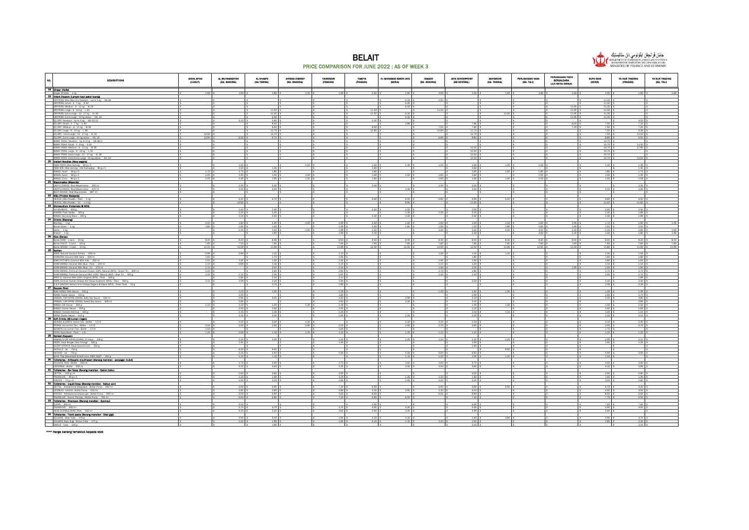



NO. DESCRIPTIONS AISHA AFIKA (LUMUT) AL MUHAMADIYAH (SG. BAKONG) AL-SHAM'S (SG TARING) AYESHA ENERGY (SG. BAKONG) FAIROSDIN (PANDAN) FAMIYA (PANDAN) HJ MOHAMAD BAKIR JAYA (SERIA) ISMACO (SG. BAKONG) JAYA CENTERPOINT (KB SENTRAL) MAHMOON (SG. TARING) PERUSAHAAN NASA (SG. TALI) PERUSAHAAN YAZID BERSAUDARA (JLN SETIA DIRAJA) SUPA SAVE (SERIA) YA NUR TRADING (PANDAN) YA NUR TRADING (SG. TALI) 18 Gilinger (Halia)<br>Ginger © Halia - 1 kg<br>19 **Infant Diapers (Lampin bayi pakai buang)** Ginger @ Halls 1.kg \$ 1.90 \$ 1.90 \$ 1.90 \$ 1.99 \$ 1.99 \$ 2.50 \$ 1.99 \$ 2.50 \$ 1.90 \$ 1.90 \$ 1.90 \$ 1.90 \$ 1.90 DRYPERS; Wee Wee Dry Newborn : Up to 5 kg - NB 28 \$ - \$ - \$ - \$ - \$ - \$ - \$ 6.20 \$ 5.95 \$ - \$ - \$ - \$ - \$ 11.35 \$ - \$ - DRYPERS; Small : 3 - 7 kg - S 32 \$ - \$ - \$ - \$ - \$ - \$ - \$ 6.20 \$ - \$ - \$ - \$ - \$ - \$ 11.35 \$ - \$ - DRYPERS; Medium : 6 - 11 kg - M 28 \$ - \$ - \$ - \$ - \$ - \$ - \$ 6.20 \$ - \$ - \$ - \$ - \$ 11.95 \$ 11.35 \$ - \$ - DRYPERS; Large : 9 - 14 kg - L 44 \$ - \$ - \$ 11.50 \$ - \$ - \$ 11.50 \$ - \$ 11.50 \$ - \$ - \$ - \$ 11.95 \$ 11.35 \$ - \$ - DRYPERS; Extra Large : 12 - 17 kg - XL 36 \$ - \$ - \$ 11.50 \$ - \$ - \$ 11.50 \$ 6.20 \$ - \$ - \$ 11.50 \$ - \$ 11.95 \$ 11.35 \$ - \$ - DRYPERS; Extra Large : 15 kg above - XXL 16 \$ - \$ - \$ 6.50 \$ - \$ - \$ - \$ 6.20 \$ - \$ - \$ - \$ - \$ 11.95 \$ 11.35 \$ - \$ - EQ DRY; Newborn : Up to 5 kg - NB 20/22 \$ - \$ 4.20 \$ 3.90 \$ - \$ - \$ 4.30 \$ - \$ - \$ - \$ - \$ - \$ - \$ - \$ 4.50 \$ - EQ DRY; Small : 3 - 7 kg - S 40 \$ - \$ - \$ 8.50 \$ - \$ - \$ - \$ 3.80 \$ - \$ 7.80 \$ - \$ - \$ 8.50 \$ 7.50 \$ 7.20 \$ - EQ DRY; Medium : 6-11 kg - M 36 - 11 kg - M 36 - 11 5 - 8.50 \$ - \$ - \$ 7.20 \$ 7.20 \$ - 7.20 \$ - 7.20 \$ - 7.20 EQ DRY; Large : 9 - 14 kg - L 48 \$ - \$ - \$ 12.70 \$ - \$ - \$ 12.85 \$ - \$ 10.90 \$ 11.70 \$ - \$ - \$ - \$ 7.50 \$ 9.40 \$ - EQ DRY; Extra Large : 12 - 17 kg - XL 42 \$ 12.90 \$ - \$ 12.70 \$ - \$ - \$ - \$ - \$ - \$ 11.70 \$ - \$ - \$ - \$ 7.50 \$ 12.50 \$ - EQ DRY; Extra Large: 15.kg above - XXL 24 \$ 5.80 \$ 6.30 \$ 6.30 \$ 6.70 \$ - \$ - \$ 6.90 \$ - \$ - \$ - \$ 8.80 \$ - \$ -MAMY POKO; Newborn : Up to 5 kg - NB 28+2 \$ - \$ - \$ - \$ - \$ - \$ - \$ - \$ - \$ - \$ - \$ - \$ - \$ 10.70 \$ - \$ - MAMY POKO; Small : 3 - 8 kg - S 44 \$ - \$ - \$ - \$ - \$ - \$ - \$ - \$ - \$ - \$ - \$ - \$ - \$ 10.70 \$ 12.50 \$ - MAMY POKO; Medium : 6-11 kg - M38 - 1.8 - 1.8 - 1.8 - 1.8 - 1.8 - 1.8 - 1.8 - 1.8 - 1.8 - 1.80 \$ - 1.80 \$ - 1.8 MAMY POKO; Large : 9 - 14 kg - L 32 \$ - \$ - \$ - \$ - \$ - \$ - \$ - \$ - \$ 12.50 \$ - \$ - \$ - \$ 10.70 \$ - \$ - MAMY POKO; Extra Large : 12 - 17 kg - XL 28 \$ - \$ - \$ - \$ - \$ - \$ - \$ - \$ - \$ 12.50 \$ - \$ - \$ - \$ 10.70 \$ - \$ - MAMY POKO; Extra-Extra Large : 15 kg above - XXL 22 \$ - \$ - \$ - \$ - \$ - \$ - \$ - \$ - \$ 12.50 \$ - \$ - \$ - \$ 10.70 \$ 12.50 \$ - MWMY POKO; Extra-Extra Large : 1<br>20 **Instant Noodles (Mee segera)**<br>20 **Instant Noodles (Mee Goreng : 80 g** x<br>INDO MIE; Mee Goreng : 01d Pack INDO FOOD; Mee Goreng - 80 gx 5 - \$ 1.45 \$ - \$ 1.50 \$ - 1.45 \$ 1.45 \$ 1.50 \$ 1.50 \$ - \$ 1.35 \$ 1.49 \$ - + + + + INDO MIE; Mee Goreng : Old Packaging - 80 g x 5 \$ - \$ 1.50 \$ 1.35 \$ - \$ - \$ 1.60 \$ - \$ - \$ 1.60 \$ - \$ - \$ - \$ - \$ 1.45 \$ - MAGGI; Asam - 80 g x 5 |S 1.70 |S 1.75 |S 1.85 |S 1.75 |S 1.75 |S 1.75 |S 1.75 |S 1.85 |S 1.75 |S 1.75 |S 1.75 |S 1.75 |S MAGGI; Ayam - 80 g x 5 \$ 1.45 \$ 1.45 \$ 1.55 \$ 1.50 \$ - \$ 1.60 \$ 1.50 \$ 1.60 \$ 1.60 \$ - \$ 1.50 \$ - \$ 1.45 \$ 1.45 \$ - MAGGI; Curry - 80 g x 5 \$ 1.45 \$ 1.45 \$ 1.55 \$ 1.50 \$ - \$ 1.60 \$ - \$ 1.60 \$ 1.60 \$ 1.50 \$ 1.50 \$ - \$ 1.45 \$ 1.59 \$ - MAGGI; Curry - 80 g x 5<br>21 Mayonnaise (Mayonia) LADYS CHONCE; Real Mayonnaise - 230 ml \$ - \$ 2.40 \$ - \$ - \$ - \$ - 2.40 \$ - \$ - \$ - \$ - \$ - \$ - \$ - \$ - \$ - 2.25 \$ LADYS CHO/CE; Real Mayonnaise - 470 ml \$ - \$ - \$ - \$ - \$ - \$ - \$ - 4.20 \$ - \$ - \$ - \$ - 4.30 \$ - 3.95 \$ - - 3. BEST CHOICE; Real Mayonnaise - 887 ml \$ - \$ - \$ - \$ - \$ - \$ - \$ - \$ - \$ - \$ - \$ - \$ - \$ - \$ - \$ - BEST CHOICE; Real Mayonnaise - 88 NESTLE; Milo Powder : Pack - 1 kg \$ - \$ 6.45 \$ 6.70 \$ - \$ - \$ 6.60 \$ 6.50 \$ 6.80 \$ 6.99 \$ 6.40 \$ - \$ - \$ 6.60 \$ 6.50 \$ - NESTLE; Milo Powder : Tin - 1.5 kg \$ - \$ 10.95 \$ - \$ - \$ - \$ - \$ 9.90 \$ - \$ 11.90 \$ - \$ - \$ - \$ 11.50 \$ 11.60 \$ - NESTLE: Milo Powder: Tin - 1.5 kg<br>23 Monosodium Glutamate @ MSG<br>23 Monosodium Glutamate @ MSG AJI-NO-MOTO - 350 g = 1,5 - 1,5 2.40 g = 2.40 g = 2.20 g = 2.20 g = 2.20 g = 1,5 2.05 g = 1,5 - \$ - 1,5 2.45 g = 2.30 g = -KNORR;PastiSedap - 300 g |\$ - |\$ - 2.30 \$ - 2.30 \$ - 2.30 \$ - 2.30 \$ - 2.25 \$ - 2.25 \$ - 1.99 \$ -MAGGI; Secukup Rasa - 300 g \$ - \$ 2.20 \$ 2.20 \$ - \$ - \$ 2.30 \$ 2.20 \$ - \$ 2.30 \$ - \$ - \$ - \$ 2.30 \$ 1.99 \$ - MAGGI; Secukup Ras Bombay - 1.kg \$ 1.80 \$ 1.80 \$ 2.30 \$ 2.30 \$ 2.40 \$ 1.99 \$ 1.90 \$ 1.90 \$ 1.50 \$ 1.90 \$ 1.50 \$ 1.90 \$ 1.90 \$ 1.90 Brown Onion - 1 kg \$ 1.80 \$ 1.80 \$ 1.80 \$ 1.99 \$ 2.40 \$ 1.99 \$ 1.90 \$ 1.50 \$ 1.60 \$ 1.80 \$ 1.90 \$ 1.50 \$ - 2.4 Garlic - 1 kg \$ - \$ 2.20 \$ 2.50 \$ 2.50 \$ 1.99 \$ 2.50 \$ - \$ 3.20 \$ 2.20 \$ 3.00 \$ 3.50 \$ 1.50 \$ 2.30 \$ 2.80 \$ 1.60 Shallot - 1 kg \$ - \$ - \$ 1.90 \$ - \$ 1.99 \$ 5.00 \$ - \$ - \$ 1.30 \$ - \$ 3.00 \$ 1.20 \$ 2.20 \$ 1.80 \$ 1.90 Garlic - 1 kg<br>
Shallot - 1 kg<br>
25 **Rice (Beras)** Beras SIAM : 1.5ack - 1.0 kg \$ 8.20 \$ 8.30 \$ 8.30 \$ 8.50 \$ 8.50 \$ 8.40 \$ 8.30 \$ 8.50 \$ 8.50 \$ 8.50 \$ 8.50 \$ 8. Beras PULUT:1 sack - 10 kg \$ 7.60 \$ 7.60 \$ 7.60 \$ 7.60 \$ 7.60 \$ 7.60 \$ 7.60 \$ 7.60 \$ 7.60 \$ 7.60 \$ 7.60 \$ 7.60 Beras WANGI:1.sack - 10 kg = 11.90 \$ 12.10 \$ 11.90 \$ - \$ 11.99 \$ 12.30 \$ 12.20 \$ 12.20 \$ 12.00 \$ 12.30 \$ 11.90 Bens POOT : Jank - JOY R<br>Bens WANGI : 1 sack - 10 kg<br>26 Santan<br>CANGAH: Cocond Extract - 200 mi<br>24 NGAH: Cocond Milk Gata - 400 mi<br>84 NGAH STANDE, Cocond Milk Bixe : Pack - 200 mi<br>84 NGAH BRAND, Cocond Milk Bixe : Pack - 20 KARA; Natural Coconut Extract - 200 ml \$ 0.99 \$ 1.10 \$ - \$\$ - \$ 1.00 \$ - \$ 1.00 \$ - \$ 1.05 \$ - 1.8 1.05 \$ - 1.0 CHAKOAH; Coconut Milk Gata - 400 ml \$ 1.65 \$ - \$\$ 1.95 \$ - \$ - \$ - \$ - \$ - \$\$ - \$ - \$ - \$ - 1.80 \$ - 1.95 \$ -BABU KITCHEN; Coconut Milk Indo - 400 ml \$ 1.55 \$ 1.56 \$ 1.56 \$ 1.55 \$ 1.55 \$ 1.55 \$ 1.55 \$ - \$ - \$ - \$ - \$ - \$ AYAM BRAND; Coconut Milk Blue: Pack - 200 ml \$ 1.10 \$ - 1.10 \$ - \$ - \$ - \$ - \$ - \$ - \$ - \$ - 1.15 \$ - 1.10 \$ -AYAM BRAND; Coconut Milk Blue:The - 270 ml \$ 1.70 \$ - \$ 2.00 \$ - \$ - \$ 1.90 \$ - \$ - \$ - \$ - \$ - 1.95 \$ - 1.95 \$ AYAM BRAND; Premium Coconut Cream 100% Natural (MYS): Green Tin - 400 ml \$ 2.20 \$ - \$ 2.90 \$ - \$ - \$ 2.70 \$ - \$ - \$ - \$ - \$ - \$ - 2.70 \$ - 2.70 \$ - 2.70 \$ - \$ - \$ - 2.70 \$ - 2.70 \$ - \$ - 2.70 \$ - \$ - 2.70 \$ - 2.70 \$ - 2.70 AYAM BRAND; Premium Coconut Milk 100% Natural (SGP): Blue Tin - 400 g \$ 2.10 | \$ 2.15 \$ 2.15 \$ 2.15 \$ 2.45 \$ 2.50 \$ - \$ - \$ - \$ - \$ - \$ - \$ - \$ 2.40 | \$ - 2.70 \$ -AROY D; Coconut Milk 100% Original (MYS): Pack - 500 g \$ - \$ - \$ - \$ - \$ - \$ - \$ - \$ - \$ - 1.89 \$ - 1.99 \$ - \$ KARA; Ekstrak Santan Kelapa Asli Tanpa Kolestrol (MYS) : Pack - 500 g \$ 2.10 \$ 1.99 \$ 2.20 \$ - \$ 1.90 \$ - \$ - \$ - \$ 2.20 \$ - \$ - \$ - \$ 2.20 \$ 2.40 \$ - S & P SANTAN; Serbuk Krim Kelapa Segera @ Biasa (MYS) : Silver Pack - 50 g \$ - \$ - \$ 2.70 \$ - \$ 2.90 \$ - \$ - \$ - \$ - \$ - \$ - \$ - \$ 2.35 \$ 2.29 \$ - 27 Sauces (Sos)<br>27 Sauces (Sos)<br>27 Sauces (Sos) WAH HONG; Chill Sauce - 31.0 g \$ - \$ 1.25 \$ 1.35 \$ - \$ - \$ - \$ - 1.40 \$ - 1.35 \$ - 1.35 \$ - 1.39 \$ - 1.39 \$ - ADABI; Oyster Sauce - 510 g \$ - \$ 2.40 \$ - \$ - \$ 2.80 \$ - \$ - \$ - \$ 2.59 \$ - \$ - \$ - \$ 2.95 \$ 2.70 \$ - HABHAL; CAP KIPAS UDANG; Salty Soy Sauce - 645 ml \$ - \$ 2.95 \$ 3.45 \$ - \$ 3.40 \$ - \$ 2.99 \$ - \$ 3.10 \$ - \$ - \$ - \$ 3.25 \$ 3.80 \$ - HABHAL; CAP KIPAS UDANG; Sweet Soy Sauce - 645 ml \$ - \$ 2.95 \$ - \$ - \$ 3.40 \$ - \$ 3.20 \$ - \$ 3.10 \$ - \$ - \$ - \$ - \$ 2.95 \$ - MAGGI;CMI Sauce - 340 g \$ 1.20 § 1.25 § 1.25 § 1.25 § 1.29 § - \$ - \$ 1.20 § - \$ - \$ - \$ - \$ 1.30 § - 1.20 § -MAGGI;Oyster Sauce - 500 g |\$ 2.45 \$ - \$ - \$ - \$ - \$ - \$ - \$ - \$ - 2.40 |\$ - 1.69 \$ - 1.69 MAGGI; Tomato Ketchup - 325 g \$ - \$ 1.15 \$ 1.10 \$ - \$ 1.20 \$ - \$ - \$ - \$ 1.10 \$ 1.15 \$ - \$ - \$ 1.20 \$ 1.10 \$ - NONA; Oyster Sauce - 510 g |\$ 2.35 |\$ 2.30 \$ - \$ - \$ - \$ - \$ - \$ - \$ - \$ 2.20 a - 2.25 |\$ -28 NAGGL; Tomato Ketchup - 325 g<br>
28 Dork, Drinks (Mileumen ringan)<br>
28 Dork, Drinks (Mileumen ringan)<br>
28 Dork Drinks (Mileumen ringa: Bottle - 1.5 line<br>
20KKA; Ke Lemon Tea : Bottle - 1.5 line<br>
35.650%; Ios Lemon Tea : B HEAVEN & EARTH; Green Tea :Bottle - 1.5 lt = 2.20 \$ 2.20 \$ - \$ - \$ - \$ - 2.20 \$ - \$ - \$ - \$ - 2.10 \$ - 2.30 \$ -POKKA;koe.kamon.Tea ::Bottle - 1.5 lt 2.50 \$ 2.50 \$ 2.80 \$ 2.50 \$ - \$ 2.60 \$ 2.70 \$ - \$ - \$ - 2.50 \$ - 2.70 \$ SEASON; Ice Lemon Tea : Bottle - 1.5 lit \$ 1.50 \$ - \$ - \$ - \$ 1.60 \$ - \$ - \$ - \$ - \$ - \$ - \$ - \$ 1.75 \$ - \$ - YEOS; Soya Bean : Pack - 1 ltr \$ 1.20 \$ 0.99 \$ 1.10 \$ 1.20 \$ -1.20 \$ -1.20 \$ -1.20 \$ - \$ - \$\$ -1.20 \$ - 1.20 \$ YEOS; Soya Bean : Pack - 1 ltr<br>
29 Spread (Sapuan)<br>
HABHAL'S CAP KIPAS UDANG; Sri Kaya - 2-<br>
NONA: Kaya Sengan telur Omega - 180 g<br>
GLORY NYONYA: Kaya Cocorut 1-m HABHAL'S CAP KIPAS UDANG; Sri Kaya - 240 g 2.20 \$ - \$ 2.20 \$ - \$ 2.20 \$ 2.20 \$ 2.20 \$ - \$ - \$ 2.20 \$ - 2.20 \$ -NONA; Kaya dengan telur Omega - 180 g \$ - \$ 1.45 \$ - \$ - \$ 1.40 \$ - \$ - \$ - \$ 1.50 \$ - \$ - \$ - \$ 1.40 \$ 1.25 \$ - GLORY NYONYA; Kaya Coconut Jam - 250 g \$ - \$ - \$ - \$ - \$ - \$ - \$ - \$ - \$ 2.40 \$ - \$ - \$ - \$ - \$ - \$ - NUTELLA : Jar - 750 g \$ - \$ 8.30 \$ 9.50 \$ - \$ - \$ - \$ - \$ - \$ - \$ 8.50 \$ - \$ - \$ - \$ - \$ - . <u>suppose program program to the suppose that the suppose that the suppose that the suppose that the suppose that the suppose that the suppose that the suppose that the suppose that the suppose that the suppose that the </u> COLGATE PLAX : Bottle - 250 ml \$ - \$ 3.70 \$ 3.40 \$ - \$ 3.70 \$ - \$ 3.60 \$ 3.90 \$ 3.75 \$ - \$ - \$ - \$ 3.50 \$ 3.90 \$ - LISTERINE : Bottle - 250 ml \$ - \$ 4.20 \$ 4.20 \$ - \$ 3.25 \$ - \$ 4.30 \$ 3.50 \$ 3.90 \$ - \$ - \$ - \$ 4.10 \$ 5.90 \$ - 31 Toileteries - Bar Soap (Barang mandian - Sabun buku) DETTOL - 105 g x 4 \$ - \$ 2.60 \$ 2.60 \$ - \$ 2.45 \$ - \$ - \$ - \$ 3.20 \$ - \$ - \$ - \$ 2.90 \$ 2.80 \$ - PALMOLIVE - 80 g x 3 \$ - \$ 1.30 \$ 1.30 \$ - \$ 1.20 \$ - \$ 1.30 \$ 1.30 \$ 1.40 \$ - \$ - \$ - \$ 1.40 \$ 1.40 \$ - PROTEX - 75 g x 4 \$ - \$ 2.90 \$ 3.20 \$ - \$ 2.90 \$ - \$ 2.95 \$ 3.20 \$ 3.20 \$ - \$ - \$ - \$ 3.00 \$ 2.80 \$ - 32 Toileteries - Liquid Soap (Barang mandian - Sabun cair) DETTOL-Antibacterial Bodywash : Bottle Pump - 950 ml \$ - \$ 6.60 \$ 6.95 \$ - \$ 6.95 \$ - \$ 6.95 \$ 6.95 \$ - \$ - \$ 6.70 \$ 6.20 \$ -LIFEBUOY- total10:Bottle Pump - 500 ml \$ - \$ - \$ 3.95 \$ 3.90 \$ - \$ 4.80 \$ - \$ - \$ - \$ 4.40 \$ - 4.50 \$ - \$ - \$ 4.40 \$ - 4.50 \$ -PROTEX - Antibacterial shower gel : Bottle Pump - 900 ml \$ - \$ 5.50 \$ 6.50 \$ 6.60 \$ - \$ - \$ - \$ 6.50 \$ - \$ - \$ 6.50 \$ - \$ 6.50 \$ - \$ PALMOLIVE - Aroma Therapy : 750 ml \$ - \$ 6.60 \$ 6.80 \$ - \$ 7.20 \$ 6.80 \$ - \$ 7.40 \$ - \$ - \$ - \$ 7.70 \$ 6.50 \$ -PROTEX - Antibacterial shower get: Bottle Pump - 900 m<br>PALMOLIVE - Aroma Therapy : Bottle Pump - 750 ml<br>**33 Tolleteries - Shampoo (Barang mandian - Syampu)** CLEAR - 350 ml \$ - \$ 4.50 \$ - \$ - \$ - \$ 4.95 \$ - \$ - \$ 6.95 \$ - \$ - \$ - \$ 7.40 \$ 7.65 \$ - PALMOLIVE - 350 ml \$ - \$ 3.70 \$ 4.70 \$ - \$ 4.75 \$ 4.95 \$ 4.30 \$ - \$ 4.90 \$ - \$ - \$ - \$ 4.90 \$ 4.50 \$ - HEAD & SHOULDERS (THA) - 330 ml \$ - \$ 4.20 \$ 4.20 \$ - \$ 3.60 \$ 4.60 \$ 4.20 \$ - \$ 4.99 \$ - \$ - \$ - \$ 6.90 \$ - \$ - 34 Toileteries - Tooth paste (Barang mandian - Ubat gigi) COLGATE : Blue Tube - 175 g \$ - \$ 3.90 \$ 3.20 \$ - \$ 1.95 \$ 3.20 \$ 3.20 \$ - \$ 2.40 \$ 3.80 \$ - \$ - \$ 3.95 \$ 3.70 \$ - COLGATE Kayu Sugi : Brown Tube - 175 g \$ - \$ 2.20 \$ 1.99 \$ - \$ 1.95 \$ 2.10 \$ 2.20 \$ 2.20 \$ 2.50 \$ - \$ - \$ - \$ 2.80 \$ 2.30 \$ - DARLIE : Tube - 120 g \$ - \$ - \$ 1.80 \$ - \$ - \$ - \$ - \$ - \$ 3.50 \$ - \$ - \$ - \$ - \$ 2.20 \$ -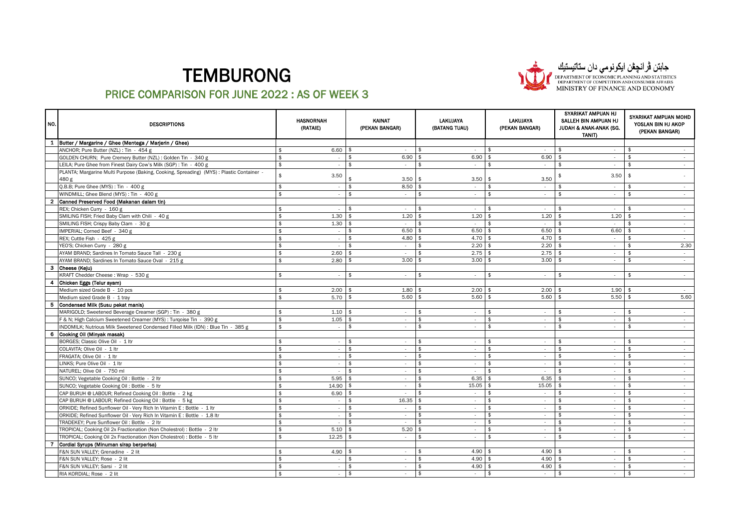

جابتن ڤرانچڤن ایکونومی دان ستاتیستیان<br>DEPARTMENT OF ECONOMIC PLANNING AND STATISTICS<br>DEPARTMENT OF COMPETITION AND CONSUMER AFFAIRS<br>MINISTRY OF FINANCE AND ECONOMY

| NO.                     | <b>DESCRIPTIONS</b>                                                                              |                    | <b>HASNORNAH</b><br>(RATAIE) |                    | KAINAT<br>(PEKAN BANGAR) |                    | <b>LAKUJAYA</b><br>(BATANG TUAU) | <b>LAKUJAYA</b><br>(PEKAN BANGAR) | SYARIKAT AMPUAN HJ<br>SALLEH BIN AMPUAN HJ<br>JUDAH & ANAK-ANAK (SG.<br><b>TANIT)</b> | SYARIKAT AMPUAN MOHD<br>YOSLAN BIN HJ AKOP<br>(PEKAN BANGAR) |
|-------------------------|--------------------------------------------------------------------------------------------------|--------------------|------------------------------|--------------------|--------------------------|--------------------|----------------------------------|-----------------------------------|---------------------------------------------------------------------------------------|--------------------------------------------------------------|
| $\mathbf{1}$            | Butter / Margarine / Ghee (Mentega / Marjerin / Ghee)                                            |                    |                              |                    |                          |                    |                                  |                                   |                                                                                       |                                                              |
|                         | ANCHOR; Pure Butter (NZL) : Tin - 454 g                                                          | \$                 | 6.60                         | l \$               | $\sim$                   | \$                 | $\sim$                           | \$<br>$\sim$                      | \$<br>$\sim$                                                                          | \$                                                           |
|                         | GOLDEN CHURN; Pure Cremery Butter (NZL) : Golden Tin - 340 g                                     | \$                 | $\epsilon$                   | \$                 | 6.90                     | -\$                | 6.90                             | 6.90<br>-\$                       | \$<br>$\sim$                                                                          | \$<br>$\sim$                                                 |
|                         | LEILA; Pure Ghee from Finest Dairy Cow's Milk (SGP) : Tin - 400 g                                | \$                 | $\overline{\phantom{a}}$     | $\mathbf{\hat{z}}$ | $\sim$                   | \$                 | $\sim$                           | \$<br>$\sim$                      | -\$<br>$\sim$                                                                         | \$<br>$\sim$                                                 |
|                         | PLANTA; Margarine Multi Purpose (Baking, Cooking, Spreading) (MYS): Plastic Container -<br>480 g | $\hat{\mathbf{r}}$ | 3.50                         |                    | 3.50                     | ا \$               | 3.50                             | 3.50<br>l \$                      | 3.50                                                                                  | -\$                                                          |
|                         | Q.B.B; Pure Ghee (MYS): Tin - 400 g                                                              | \$                 | $\epsilon$                   | \$                 | 8.50                     | - \$               | $\sim$                           | $\mathbf{\hat{z}}$<br>$\sim$      | \$<br>$\sim$                                                                          | \$<br>$\sim$                                                 |
|                         | WINDMILL; Ghee Blend (MYS) : Tin - 400 g                                                         | $\hat{\mathbf{x}}$ |                              | \$                 | $\sim$                   | \$                 | $\sim$                           | $\mathbf{\hat{z}}$<br>$\sim$      | \$<br>$\sim$                                                                          | \$                                                           |
| $\overline{\mathbf{2}}$ | Canned Preserved Food (Makanan dalam tin)                                                        |                    |                              |                    |                          |                    |                                  |                                   |                                                                                       |                                                              |
|                         | REX; Chicken Curry - 160 g                                                                       | \$                 |                              | \$                 | $\sim$                   | \$                 | $\sim$                           | -\$<br>$\sim$                     | \$<br>$\sim$                                                                          | \$<br>$\sim$                                                 |
|                         | SMILING FISH; Fried Baby Clam with Chili - 40 g                                                  | \$                 | 1.30                         | $\mathbf{\hat{f}}$ | 1.20                     | \$                 | 1.20                             | 1.20<br>\$                        | 1.20<br>\$                                                                            | .\$<br>$\sim$                                                |
|                         | SMILING FISH; Crispy Baby Clam - 30 g                                                            |                    | 1.30                         |                    | $\sim$                   | \$                 | $\sim$                           | \$<br>$\sim$                      | \$<br>$\sim$                                                                          | $\sim$                                                       |
|                         | IMPERIAL; Corned Beef - 340 g                                                                    |                    | $\epsilon$                   | \$                 | 6.50                     | $\mathbf{\hat{z}}$ | 6.50                             | 6.50<br>$\hat{\mathbf{r}}$        | 6.60<br>$\hat{\mathbf{r}}$                                                            | $\mathbf{\hat{f}}$<br>$\sim$                                 |
|                         | REX; Cuttle Fish - 425 g                                                                         |                    | ÷.                           | \$                 | 4.80                     | \$                 | 4.70                             | 4.70<br>- \$                      | - \$<br>$\sim$                                                                        | \$<br>$\sim$                                                 |
|                         | YEO'S; Chicken Curry - 280 g                                                                     |                    | ×                            | $\mathbf{\hat{S}}$ | $\sim$                   | $\mathbf{\hat{S}}$ | 2.20                             | 2.20<br>$\hat{\mathbf{r}}$        | \$<br>$\sim$                                                                          | \$<br>2.30                                                   |
|                         | AYAM BRAND; Sardines In Tomato Sauce Tall - 230 g                                                | \$                 | 2.60                         | -\$                | $\sim$                   | \$                 | 2.75                             | 2.75<br>l \$                      | - \$<br>$\sim$                                                                        | \$<br>$\sim$                                                 |
|                         | AYAM BRAND; Sardines In Tomato Sauce Oval - 215 g                                                | $\hat{\mathbf{x}}$ | 2.80                         |                    | 3.00                     | $\mathbf{\hat{z}}$ | 3.00                             | 3.00<br>\$                        | $\hat{\tau}$<br>$\sim$                                                                | $\hat{\mathbf{r}}$<br>$\sim$                                 |
| -3                      | Cheese (Keju)                                                                                    |                    |                              |                    |                          |                    |                                  |                                   |                                                                                       |                                                              |
|                         | KRAFT Chedder Cheese: Wrap - 530 g                                                               |                    | ÷.                           | \$                 | $\sim$                   | \$                 | $\sim$                           | \$<br>$\sim$                      | \$<br>$\sim$                                                                          | \$<br>$\sim$                                                 |
| 4                       | Chicken Eggs (Telur ayam)                                                                        |                    |                              |                    |                          |                    |                                  |                                   |                                                                                       |                                                              |
|                         | Medium sized Grade B - 10 pcs                                                                    |                    | 2.00                         |                    | 1.80                     |                    | 2.00                             | 2.00                              | 1.90                                                                                  | $\sim$                                                       |
|                         | Medium sized Grade B - 1 tray                                                                    | \$                 | 5.70                         | l \$               | 5.60                     | l \$               | 5.60                             | 5.60<br>l \$                      | 5.50<br>-\$                                                                           | 5.60<br>- \$                                                 |
| 5                       | Condensed Milk (Susu pekat manis)                                                                |                    |                              |                    |                          |                    |                                  |                                   |                                                                                       |                                                              |
|                         | MARIGOLD; Sweetened Beverage Creamer (SGP) : Tin - 380 g                                         | $\hat{\mathbf{r}}$ | 1.10                         | -\$                | $\sim$                   | \$                 | $\sim$                           | \$<br>$\sim$                      | \$<br>$\sim$                                                                          | \$<br>$\sim$                                                 |
|                         | F & N; High Calcium Sweetened Creamer (MYS) : Turqoise Tin - 390 g                               |                    | 1.05                         |                    | $\sim$                   | \$                 | $\sim$                           | \$<br>$\sim$                      | \$<br>$\sim$                                                                          | \$<br>$\sim$                                                 |
|                         | INDOMILK; Nutrious Milk Sweetened Condensed Filled Milk (IDN) : Blue Tin - 385 g                 | \$                 | ٠                            | $\mathbf{\hat{z}}$ | $\sim$                   | \$                 | $\sim$                           | \$<br>$\sim$                      | \$<br>$\sim$                                                                          | \$<br>$\sim$                                                 |
| 6                       | Cooking Oil (Minyak masak)                                                                       |                    |                              |                    |                          |                    |                                  |                                   |                                                                                       |                                                              |
|                         | BORGES; Classic Olive Oil - 1 ltr                                                                | $\mathbf{\hat{z}}$ |                              | \$                 | $\sim$                   | \$                 | $\sim$                           | \$<br>$\sim$                      | \$<br>$\sim$                                                                          | \$<br>$\sim$                                                 |
|                         | COLAVITA; Olive Oil - 1 ltr                                                                      |                    | $\overline{\phantom{a}}$     | \$                 | $\sim$                   | \$                 | $\sim$                           | \$<br>$\sim$                      | \$<br>$\sim$                                                                          | \$<br>$\sim$                                                 |
|                         | FRAGATA; Olive Oil - 1 ltr                                                                       | \$                 |                              | \$                 | $\sim$                   | \$                 | $\sim$                           | \$<br>$\sim$                      | \$<br>$\sim$                                                                          | \$<br>$\sim$                                                 |
|                         | LINKS; Pure Olive Oil - 1 ltr                                                                    |                    | $\epsilon$                   | \$                 | $\sim$                   | \$                 | $\sim$                           | \$<br>$\sim$                      | $\mathbf{\hat{z}}$<br>$\sim$                                                          | \$<br>$\sim$                                                 |
|                         | NATUREL; Olive Oil - 750 ml                                                                      |                    |                              | \$                 | $\sim$                   | \$                 |                                  | \$                                | \$<br>$\sim$                                                                          | \$<br>$\sim$                                                 |
|                         | SUNCO; Vegetable Cooking Oil: Bottle - 2 ltr                                                     |                    | 5.95                         | $\mathbf{\hat{z}}$ | $\sim$                   | $\mathbf{\hat{z}}$ | 6.35                             | 6.35<br>$\mathbf{\hat{z}}$        | $\mathfrak{p}$<br>$\sim$                                                              | \$<br>$\sim$                                                 |
|                         | SUNCO; Vegetable Cooking Oil: Bottle - 5 ltr                                                     |                    | 14.90                        | \$                 | $\sim$                   | \$                 | 15.05                            | 15.05<br>\$                       | -\$<br>$\sim$                                                                         | \$<br>$\sim$                                                 |
|                         | CAP BURUH @ LABOUR; Refined Cooking Oil: Bottle - 2 kg                                           |                    | 6.90                         | \$                 | $\sim$                   | $\mathbf{\hat{S}}$ | $\sim$                           | \$<br>$\sim$                      | \$<br>$\sim$                                                                          | \$<br>$\sim$                                                 |
|                         | CAP BURUH @ LABOUR; Refined Cooking Oil: Bottle - 5 kg                                           |                    | $\sim$                       | \$                 | 16.35                    | \$                 | $\sim$                           | \$<br>$\sim$                      | \$<br>$\sim$                                                                          | \$<br>$\sim$                                                 |
|                         | ORKIDE; Refined Sunflower Oil - Very Rich In Vitamin E : Bottle - 1 Itr                          |                    | ×                            | $\mathbf{\hat{z}}$ | $\sim$                   | $\mathbf{\hat{z}}$ | $\sim$                           | $\mathbf{\hat{z}}$<br>$\sim$      | $\hat{\mathbf{r}}$<br>$\sim$                                                          | $\hat{\mathbf{r}}$<br>$\sim$                                 |
|                         | ORKIDE; Refined Sunflower Oil - Very Rich In Vitamin E : Bottle - 1.8 Itr                        | $\hat{\mathbf{r}}$ | $\epsilon$                   | $\mathbf{\hat{z}}$ | $\sim$                   | $\mathbf{\hat{z}}$ | $\sim$                           | \$<br>$\sim$                      | \$<br>$\sim$                                                                          | \$<br>$\sim$                                                 |
|                         | TRADEKEY: Pure Sunflower Oil: Bottle - 2 ltr                                                     |                    | ÷.                           | $\hat{\mathbf{r}}$ | $\sim$                   | $\hat{\mathbf{r}}$ | $\sim$                           | \$<br>$\sim$                      | \$<br>$\epsilon$                                                                      | \$<br>$\sim$                                                 |
|                         | TROPICAL; Cooking Oil 2x Fractionation (Non Cholestrol) : Bottle - 2 ltr                         | $\hat{\mathbf{x}}$ | 5.10                         |                    | 5.20                     | \$                 | $\sim$                           | \$                                | \$                                                                                    | \$<br>$\sim$                                                 |
|                         | TROPICAL; Cooking Oil 2x Fractionation (Non Cholestrol) : Bottle - 5 ltr                         |                    | 12.25                        |                    |                          | \$                 |                                  | \$                                | \$                                                                                    | $\mathfrak{g}$<br>$\sim$                                     |
|                         | Cordial Syrups (Minuman sirap berperisa)                                                         |                    |                              |                    |                          |                    |                                  |                                   |                                                                                       |                                                              |
|                         | F&N SUN VALLEY; Grenadine - 2 lit                                                                |                    | 4.90                         |                    |                          | \$                 | 4.90                             | 4.90                              |                                                                                       | $\mathfrak{g}$<br>$\sim$                                     |
|                         | F&N SUN VALLEY; Rose - 2 lit                                                                     | $\hat{\mathbf{r}}$ |                              | $\mathbf{\hat{z}}$ |                          | $\hat{\mathbf{r}}$ | 4.90                             | 4.90                              |                                                                                       | \$                                                           |
|                         | F&N SUN VALLEY: Sarsi - 2 lit                                                                    |                    |                              | $\hat{\mathbf{r}}$ |                          | $\hat{\mathbf{r}}$ | 4.90                             | 4.90                              |                                                                                       | $\hat{\mathbf{r}}$<br>$\sim$                                 |
|                         | RIA KORDIAL; Rose - 2 lit                                                                        |                    |                              | $\hat{\mathbf{r}}$ |                          | $\hat{\mathbf{r}}$ |                                  | $\hat{\mathbf{r}}$                | \$                                                                                    | $\mathbf{\hat{s}}$                                           |
|                         |                                                                                                  |                    |                              |                    |                          |                    |                                  |                                   |                                                                                       |                                                              |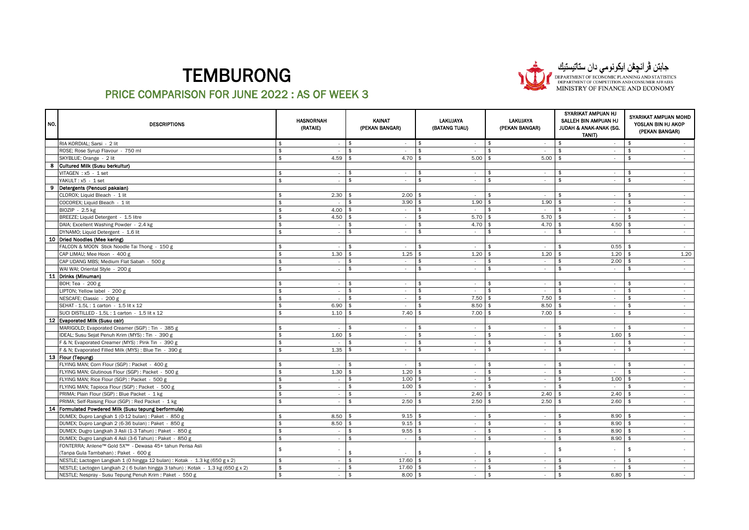

# جابتن ڤرانچڤن ایکونومی دان ستاتیستیان<br>DEPARTMENT OF ECONOMIC PLANNING AND STATISTICS<br>DEPARTMENT OF COMPETITION AND CONSUMER AFFAIRS<br>MINISTRY OF FINANCE AND ECONOMY

| NO. | <b>DESCRIPTIONS</b>                                                             |                    | HASNORNAH<br>(RATAIE)    |                    | KAINAT<br>(PEKAN BANGAR) |                    | <b>LAKUJAYA</b><br>(BATANG TUAU) | LAKUJAYA<br>(PEKAN BANGAR)   | SYARIKAT AMPUAN HJ<br>SALLEH BIN AMPUAN HJ<br>JUDAH & ANAK-ANAK (SG.<br>TANIT) | SYARIKAT AMPUAN MOHD<br>YOSLAN BIN HJ AKOP<br>(PEKAN BANGAR) |
|-----|---------------------------------------------------------------------------------|--------------------|--------------------------|--------------------|--------------------------|--------------------|----------------------------------|------------------------------|--------------------------------------------------------------------------------|--------------------------------------------------------------|
|     | RIA KORDIAL; Sarsi - 2 lit                                                      | \$                 | $\epsilon$               | $\frac{1}{2}$      | $\sim$                   | \$                 | $\sim$                           | \$<br>$\sim$                 | \$<br>$\sim$                                                                   | $\sqrt{2}$                                                   |
|     | ROSE; Rose Syrup Flavour - 750 ml                                               | $\hat{\mathbf{r}}$ |                          | $\mathbf{\hat{z}}$ | $\sim$                   | $\mathbf{\hat{z}}$ | $\sim$                           | \$<br>$\sim$                 | \$<br>$\sim$                                                                   | \$<br>$\sim$                                                 |
|     | SKYBLUE; Orange - 2 lit                                                         | $\hat{\tau}$       | 4.59                     | $\mathbf{\hat{z}}$ | 4.70                     | \$                 | 5.00                             | 5.00<br>\$                   | \$<br>$\sim$                                                                   | \$<br>$\sim$                                                 |
| 8   | Cultured Milk (Susu berkultur)                                                  |                    |                          |                    |                          |                    |                                  |                              |                                                                                |                                                              |
|     | VITAGEN : x5 - 1 set                                                            | $\mathbf{\hat{z}}$ | $\sim$                   | \$                 | $\sim$                   | \$                 | $\sim$                           | \$<br>$\sim$                 | $\frac{1}{2}$<br>$\sim$                                                        | $\frac{1}{2}$<br>$\sim$                                      |
|     | YAKULT: x5 - 1 set                                                              | $\hat{\mathbf{r}}$ | $\epsilon$               | $\mathbf{\hat{z}}$ | $\sim$                   | \$                 | $\sim$                           | \$<br>$\sim$                 | \$<br>$\sim$                                                                   | \$<br>$\sim$                                                 |
| 9   | Detergents (Pencuci pakaian)                                                    |                    |                          |                    |                          |                    |                                  |                              |                                                                                |                                                              |
|     | CLOROX; Liquid Bleach - 1 lit                                                   | $\hat{\mathbf{r}}$ | 2.30                     | -\$                | 2.00                     | -\$                | $\sim$                           | \$<br>$\sim$                 | \$<br>$\sim$                                                                   | \$<br>$\sim$                                                 |
|     | COCOREX; Liquid Bleach - 1 lit                                                  | $\hat{\mathbf{r}}$ | ×                        | $\mathbf{\hat{z}}$ | 3.90                     | - \$               | 1.90                             | 1.90<br>\$                   | \$<br>$\sim$                                                                   | \$<br>$\sim$                                                 |
|     | BIOZIP - 2.5 kg                                                                 | \$                 | 4.00                     | -\$                | $\sim$                   | \$                 | $\sim$                           | -\$<br>$\sim$                | -\$<br>$\sim$                                                                  | \$<br>$\sim$                                                 |
|     | BREEZE; Liquid Detergent - 1.5 litre                                            | \$                 | 4.50                     | l \$               | $\sim$                   | \$                 | $5.70$ \$                        | $5.70$ \$                    | $\sim$                                                                         | \$<br>$\sim$                                                 |
|     | DAIA; Excellent Washing Powder - 2.4 kg                                         | \$                 | $\sim$                   | -\$                | $\sim$                   | \$                 | 4.70                             | 4.70<br>l \$                 | 4.50<br>l \$                                                                   | \$<br>$\sim$                                                 |
|     | DYNAMO; Liquid Detergent - 1.6 lit                                              | $\hat{\mathbf{r}}$ | $\sim$                   | $\mathbf{\hat{z}}$ | $\sim$                   | $\mathbf{\hat{z}}$ | $\sim$                           | $\mathbf{\hat{z}}$<br>$\sim$ | \$<br>$\sim$                                                                   | \$<br>$\sim$                                                 |
|     | 10   Dried Noodles (Mee kering)                                                 |                    |                          |                    |                          |                    |                                  |                              |                                                                                |                                                              |
|     | FALCON & MOON Stick Noodle Tai Thong - 150 g                                    |                    | $\epsilon$               | \$                 | $\sim$                   | $\mathbf{\hat{z}}$ | $\sim$                           | \$<br>$\sim$                 | 0.55<br>\$                                                                     | \$<br>$\sim$                                                 |
|     | CAP LIMAU; Mee Hoon - 400 g                                                     | \$                 | 1.30                     | -\$                | 1.25                     | -\$                | 1.20                             | 1.20<br>-\$                  | 1.20<br>-\$                                                                    | 1.20<br>- \$                                                 |
|     | CAP UDANG MBS; Medium Flat Sabah - 500 g                                        |                    | $\overline{\phantom{a}}$ | \$                 | $\sim$                   | \$                 | $\sim$                           | \$<br>$\sim$                 | 2.00<br>\$                                                                     | - \$<br>$\sim$                                               |
|     | WAI WAI; Oriental Style - 200 g                                                 | \$                 | $\epsilon$               | \$                 | $\sim$                   | \$                 | $\sim$                           | \$<br>$\sim$                 | \$<br>$\sim$                                                                   | \$<br>$\sim$                                                 |
|     | 11 Drinks (Minuman)                                                             |                    |                          |                    |                          |                    |                                  |                              |                                                                                |                                                              |
|     | BOH; Tea - 200 g                                                                | $\mathbf{\hat{s}}$ | $\overline{\phantom{a}}$ | \$                 | $\sim$                   | \$                 | $\sim$                           | \$<br>$\sim$                 | \$<br>$\sim$                                                                   | \$<br>$\sim$                                                 |
|     | LIPTON; Yellow label - 200 g                                                    |                    | ÷.                       | \$                 | $\sim$                   | \$                 | $\sim$                           | \$<br>$\sim$                 | \$<br>$\sim$                                                                   | \$<br>$\sim$                                                 |
|     | NESCAFE; Classic - 200 g                                                        | \$                 |                          | \$                 | $\sim$                   | \$                 | 7.50                             | 7.50<br>l \$                 | \$<br>$\sim$                                                                   | \$<br>$\sim$                                                 |
|     | SEHAT - 1.5L: 1 carton - 1.5 lit x 12                                           |                    | 6.90                     | \$                 | $\sim$                   | \$                 | 8.50                             | 8.50<br>\$                   | \$<br>$\sim$                                                                   | \$<br>$\sim$                                                 |
|     | SUCI DISTILLED - 1.5L: 1 carton - 1.5 lit x 12                                  |                    | 1.10                     | -\$                | 7.40                     | $\mathbf{\hat{z}}$ | 7.00                             | 7.00<br>\$                   | - \$<br>$\sim$                                                                 | $\hat{\mathbf{r}}$<br>$\sim$                                 |
|     | 12 Evaporated Milk (Susu cair)                                                  |                    |                          |                    |                          |                    |                                  |                              |                                                                                |                                                              |
|     | MARIGOLD; Evaporated Creamer (SGP) : Tin - 385 g                                |                    |                          | \$                 | $\sim$                   | \$                 | $\sim$                           | \$<br>$\sim$                 | \$<br>$\sim$                                                                   | \$<br>$\sim$                                                 |
|     | IDEAL; Susu Sejat Penuh Krim (MYS) : Tin - 390 g                                | \$                 | 1.60                     | $\mathbf{\hat{z}}$ | $\sim$                   | $\mathsf{\$}$      | $\sim$                           | $\mathsf{\$}$<br>$\sim$      | $\frac{1}{2}$<br>1.60                                                          | $\hat{S}$<br>$\sim$                                          |
|     | F & N; Evaporated Creamer (MYS) : Pink Tin - 390 g                              | \$                 |                          | \$                 | $\sim$                   | \$                 | $\sim$                           | \$<br>$\sim$                 | \$<br>$\sim$                                                                   | \$<br>$\sim$                                                 |
|     | F & N; Evaporated Filled Milk (MYS) : Blue Tin - 390 g                          |                    | 1.35                     | $\mathbf{\hat{z}}$ | $\sim$                   | $\mathbf{\hat{z}}$ | $\sim$                           | $\hat{\mathbf{r}}$<br>$\sim$ | \$<br>$\sim$                                                                   | $\hat{\mathbf{r}}$<br>$\sim$                                 |
|     | 13 Flour (Tepung)                                                               |                    |                          |                    |                          |                    |                                  |                              |                                                                                |                                                              |
|     | FLYING MAN; Corn Flour (SGP) : Packet - 400 g                                   |                    | $\epsilon$               | $\mathbf{\hat{f}}$ | $\sim$                   | $\hat{\mathbf{r}}$ | $\sim$                           | \$<br>$\sim$                 | \$<br>$\sim$                                                                   | $\mathfrak{p}$<br>$\sim$                                     |
|     | FLYING MAN; Glutinous Flour (SGP) : Packet - 500 g                              |                    | 1.30                     | -\$                | 1.20                     | -\$                | $\sim$                           | \$<br>$\sim$                 | \$                                                                             | $\sim$                                                       |
|     | FLYING MAN; Rice Flour (SGP) : Packet - 500 g                                   |                    | $\sim$                   | \$                 | 1.00                     | $\mathbf{\hat{z}}$ | $\sim$                           | $\hat{\mathbf{r}}$<br>$\sim$ | 1.00<br>$\mathfrak{L}$                                                         | $\sim$                                                       |
|     | FLYING MAN; Tapioca Flour (SGP) : Packet - 500 g                                | $\hat{\mathbf{r}}$ |                          | \$                 | 1.00                     | \$                 |                                  |                              |                                                                                |                                                              |
|     | PRIMA; Plain Flour (SGP) : Blue Packet - 1 kg                                   | $\hat{\mathbf{r}}$ | $\epsilon$               | $\mathbf{\hat{S}}$ |                          | $\hat{\mathbf{r}}$ | 2.40                             | 2.40<br>$\hat{\mathbf{r}}$   | 2.40<br>$\mathbf{\hat{z}}$                                                     | $\mathbf{\hat{z}}$<br>$\sim$                                 |
|     | PRIMA; Self-Raising Flour (SGP) : Red Packet - 1 kg                             | $\hat{\mathbf{r}}$ |                          | $\mathbf{\hat{S}}$ | 2.50                     | \$                 | 2.50                             | 2.50<br>\$                   | 2.60<br>$\mathbf{f}$                                                           | $\sim$                                                       |
| 14  | Formulated Powdered Milk (Susu tepung berformula)                               |                    |                          |                    |                          |                    |                                  |                              |                                                                                |                                                              |
|     | DUMEX; Dupro Langkah 1 (0-12 bulan) : Paket - 850 g                             | $\hat{\mathbf{r}}$ | 8.50                     | -\$                | 9.15                     | l \$               |                                  | \$                           | 8.90<br>$\mathfrak{s}$                                                         | \$                                                           |
|     | DUMEX; Dupro Langkah 2 (6-36 bulan) : Paket - 850 g                             | $\hat{\tau}$       | 8.50                     | $\mathbf{\hat{z}}$ | 9.15                     | $\mathbf{\hat{z}}$ | $\sim$                           | \$<br>$\sim$                 | 8.90<br>\$                                                                     | $\sim$                                                       |
|     | DUMEX; Dugro Langkah 3 Asli (1-3 Tahun) : Paket - 850 g                         |                    |                          |                    | 9.55                     | -\$                |                                  | \$                           | 8.90<br>\$                                                                     |                                                              |
|     | DUMEX; Dugro Langkah 4 Asli (3-6 Tahun) : Paket - 850 g                         | $\hat{\mathbf{s}}$ |                          | $\mathbf{\hat{S}}$ | $\sim$                   | \$                 |                                  | $\mathbf{\hat{S}}$           | \$<br>8.90                                                                     | $\sim$                                                       |
|     | FONTERRA; Anlene™ Gold 5X™ - Dewasa 45+ tahun Perisa Asli                       |                    |                          |                    |                          |                    |                                  |                              |                                                                                |                                                              |
|     | (Tanpa Gula Tambahan) : Paket - 600 g                                           | \$                 |                          |                    |                          | \$                 |                                  | \$                           | \$                                                                             | \$                                                           |
|     | NESTLE; Lactogen Langkah 1 (0 hingga 12 bulan) : Kotak - 1.3 kg (650 g x 2)     | $\mathbf{\hat{z}}$ |                          | $\mathbf{\hat{z}}$ | 17.60                    | $\mathbf{\hat{z}}$ |                                  | $\mathbf{\hat{z}}$           | \$                                                                             | \$                                                           |
|     | NESTLE; Lactogen Langkah 2 (6 bulan hingga 3 tahun): Kotak - 1.3 kg (650 g x 2) | $\mathfrak{s}$     |                          | $\mathbf{\hat{z}}$ | 17.60                    |                    |                                  | $\mathbf{\hat{z}}$           | \$                                                                             | \$<br>$\sim$                                                 |
|     | NESTLE; Nespray - Susu Tepung Penuh Krim: Paket - 550 g                         | $\mathbb S$        |                          | $\mathbf{\hat{z}}$ | 8.00                     | -\$                |                                  | $\mathbf{\hat{z}}$           | 6.80<br>\$                                                                     | \$<br>$\sim$                                                 |
|     |                                                                                 |                    |                          |                    |                          |                    |                                  |                              |                                                                                |                                                              |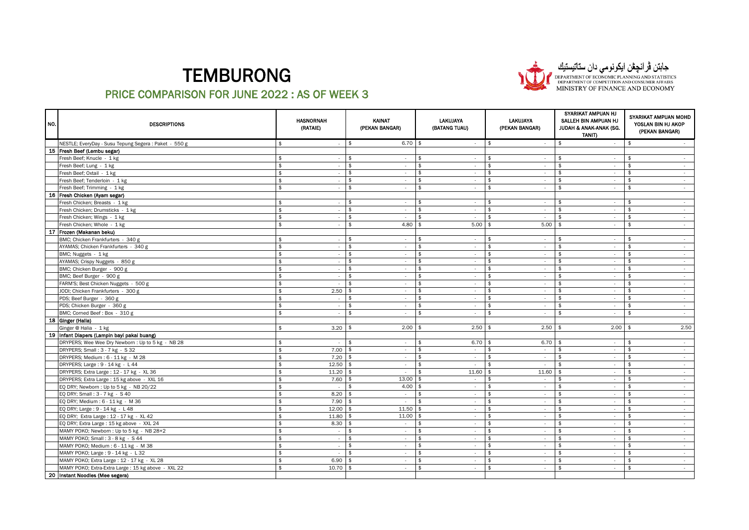

جابتن ڤرانچڤن ایکونومی دان ستاتیستیان<br>DEPARTMENT OF ECONOMIC PLANNING AND STATISTICS<br>DEPARTMENT OF COMPETITION AND CONSUMER AFFAIRS<br>MINISTRY OF FINANCE AND ECONOMY

| NO. | <b>DESCRIPTIONS</b>                                   |                    | <b>HASNORNAH</b><br>(RATAIE) |                    | KAINAT<br>(PEKAN BANGAR) |                    | <b>LAKUJAYA</b><br>(BATANG TUAU) | <b>LAKUJAYA</b><br>(PEKAN BANGAR) | SYARIKAT AMPUAN HJ<br>SALLEH BIN AMPUAN HJ<br>JUDAH & ANAK-ANAK (SG.<br>TANIT) | SYARIKAT AMPUAN MOHD<br>YOSLAN BIN HJ AKOP<br>(PEKAN BANGAR) |
|-----|-------------------------------------------------------|--------------------|------------------------------|--------------------|--------------------------|--------------------|----------------------------------|-----------------------------------|--------------------------------------------------------------------------------|--------------------------------------------------------------|
|     | NESTLE; EveryDay - Susu Tepung Segera : Paket - 550 g | \$                 | ٠                            | \$                 | $6.70$ \$                |                    | $\sim$                           | $\sqrt[6]{2}$<br>$\sim$           | \$<br>$\sim$                                                                   | \$                                                           |
|     | 15 Fresh Beef (Lembu segar)                           |                    |                              |                    |                          |                    |                                  |                                   |                                                                                |                                                              |
|     | Fresh Beef; Knucle - 1 kg                             |                    | $\sim$                       | $\mathbf{\hat{f}}$ | $\sim$                   | \$                 | $\sim$                           | $\mathbf{\hat{z}}$<br>$\sim$      | \$<br>$\sim$                                                                   | \$<br>$\sim$                                                 |
|     | Fresh Beef; Lung - 1 kg                               | $\hat{\mathbf{r}}$ | $\sim$                       | $\mathbb S$        | $\sim$                   | $\mathbf{\hat{s}}$ | $\sim$                           | $\mathbf{\hat{s}}$<br>$\sim$      | $$\mathbb{S}$$<br>$\sim$                                                       | $\mathbb{S}$<br>$\sim$                                       |
|     | Fresh Beef; Oxtail - 1 kg                             | \$                 | $\sim$                       | $\hat{\mathbf{r}}$ | $\sim$                   | $\mathbf{\hat{s}}$ | $\sim$                           | $\hat{\mathbf{r}}$<br>$\sim$      | $\hat{\mathbf{r}}$<br>$\sim$                                                   | $\hat{\mathbf{r}}$<br>$\sim$                                 |
|     | Fresh Beef; Tenderloin - 1 kg                         | \$                 | $\sim$                       | \$                 | $\sim$                   | \$                 | $\sim$                           | \$<br>$\sim$                      | \$<br>$\sim$                                                                   | \$<br>$\sim$                                                 |
|     | Fresh Beef; Trimming - 1 kg                           |                    | ×                            | $\hat{\mathbf{r}}$ | $\sim$                   | $\mathbf{\hat{z}}$ | $\sim$                           | $\mathbf{\hat{z}}$<br>$\sim$      | $\mathbf{\hat{z}}$<br>$\sim$                                                   | $\mathbf{\hat{z}}$<br>$\sim$                                 |
|     | 16 Fresh Chicken (Ayam segar)                         |                    |                              |                    |                          |                    |                                  |                                   |                                                                                |                                                              |
|     | Fresh Chicken; Breasts - 1 kg                         | ቁ                  | $\sim$                       | \$                 | $\sim$                   | $\mathbf{\hat{z}}$ | $\sim$                           | \$<br>$\sim$                      | $\mathbf{\hat{z}}$<br>$\sim$                                                   | $\mathbf{\hat{z}}$<br>$\sim$                                 |
|     | Fresh Chicken; Drumsticks - 1 kg                      | \$                 | $\sim$                       | $\hat{\mathbf{r}}$ | $\sim$                   | $\mathfrak{s}$     | $\sim$                           | $\mathbf{\hat{S}}$<br>$\sim$      | $\mathfrak{s}$<br>$\sim$                                                       | \$<br>$\sim$                                                 |
|     | Fresh Chicken; Wings - 1 kg                           | $\hat{\mathbf{x}}$ | ÷                            | $\mathbf{\hat{z}}$ | $\sim$                   | $\mathbf{\hat{z}}$ | $\sim$                           | $\mathbf{\hat{z}}$<br>$\sim$      | $\mathbf{\hat{z}}$<br>$\sim$                                                   | \$<br>$\sim$                                                 |
|     | Fresh Chicken; Whole - 1 kg                           | \$                 | $\sim$                       | $\mathbf{\hat{z}}$ | 4.80                     | -\$                | 5.00                             | 5.00<br>\$                        | \$<br>$\sim$                                                                   | \$<br>$\sim$                                                 |
|     | 17 Frozen (Makanan beku)                              |                    |                              |                    |                          |                    |                                  |                                   |                                                                                |                                                              |
|     | BMC; Chicken Frankfurters - 340 g                     | \$                 | $\sim$                       | $\mathbf{\hat{z}}$ | $\sim$                   | \$                 | $\sim$                           | \$<br>$\sim$                      | \$<br>$\sim$                                                                   | \$<br>$\sim$                                                 |
|     | AYAMAS; Chicken Frankfurters - 340 g                  | $\hat{\mathbf{r}}$ | ×                            | $\hat{\mathbf{r}}$ | $\sim$                   | $\mathfrak{s}$     | $\sim$                           | $\mathbf{\hat{S}}$<br>$\sim$      | $\mathfrak{s}$<br>$\sim$                                                       | $\mathfrak{s}$<br>$\sim$                                     |
|     | BMC; Nuggets - 1 kg                                   | $\hat{\mathbf{x}}$ | $\sim$                       | $\mathfrak{s}$     | $\sim$                   | \$                 | $\sim$                           | \$<br>$\sim$                      | \$<br>$\sim$                                                                   | \$<br>$\sim$                                                 |
|     | AYAMAS; Crispy Nuggets - 850 g                        | \$                 | $\sim$                       | $\hat{\mathbf{r}}$ | $\sim$                   | $\mathfrak{s}$     | $\sim$                           | $\mathbf{\hat{S}}$<br>$\sim$      | $\mathfrak{s}$<br>$\sim$                                                       | $\mathfrak{s}$<br>$\sim$                                     |
|     | BMC; Chicken Burger - 900 g                           | \$                 | ×                            | $\mathbf{\hat{5}}$ | $\sim$                   | \$                 | $\sim$                           | \$<br>$\sim$                      | \$<br>$\sim$                                                                   | \$<br>$\sim$                                                 |
|     | BMC; Beef Burger - 900 g                              | \$                 | ÷                            | $\mathbf{\hat{z}}$ | $\sim$                   | \$                 | $\sim$                           | \$<br>$\sim$                      | $\frac{2}{3}$<br>$\sim$                                                        | \$<br>$\sim$                                                 |
|     | FARM'S; Best Chicken Nuggets - 500 g                  | \$                 |                              | $\frac{2}{3}$      | $\sim$                   | \$                 | $\sim$                           | \$<br>$\sim$                      | $\frac{2}{3}$<br>$\sim$                                                        | \$<br>$\sim$                                                 |
|     | JODI; Chicken Frankfurters - 300 g                    | $\hat{\mathbf{x}}$ | 2.50                         | Ŝ                  | $\sim$                   | \$                 | $\sim$                           | \$<br>$\sim$                      | \$<br>$\sim$                                                                   | \$<br>$\sim$                                                 |
|     | PDS; Beef Burger - 360 g                              | \$                 | $\sim$                       | \$                 | $\sim$                   | \$                 | $\sim$                           | \$<br>$\sim$                      | \$<br>$\sim$                                                                   | \$<br>$\sim$                                                 |
|     | PDS; Chicken Burger - 360 g                           | $\hat{\mathbf{x}}$ | ×                            | \$                 | $\sim$                   | \$                 | $\sim$                           | $\mathbf{\hat{z}}$<br>$\sim$      | \$<br>$\sim$                                                                   | \$<br>$\sim$                                                 |
|     | BMC; Corned Beef: Box - 310 g                         | \$                 | $\overline{\phantom{a}}$     | \$                 | $\sim$                   | \$                 | $\sim$                           | $\mathbf{\hat{z}}$<br>$\sim$      | $\mathbf{\hat{z}}$<br>$\sim$                                                   | $\mathbf{\hat{z}}$<br>$\sim$                                 |
|     | 18 Ginger (Halia)                                     |                    |                              |                    |                          |                    |                                  |                                   |                                                                                |                                                              |
|     | Ginger @ Halia - 1 kg                                 | \$                 | 3.20                         | \$                 | 2.00                     | 5                  | 2.50                             | 2.50<br>-\$                       | 2.00<br>\$                                                                     | 2.50<br>\$                                                   |
|     | 19 Infant Diapers (Lampin bayi pakai buang)           |                    |                              |                    |                          |                    |                                  |                                   |                                                                                |                                                              |
|     | DRYPERS; Wee Wee Dry Newborn : Up to 5 kg - NB 28     | \$                 | $\sim$                       | \$                 | $\sim$                   | \$                 | 6.70                             | 6.70<br>l \$                      | -\$<br>$\sim$                                                                  | \$<br>$\sim$                                                 |
|     | DRYPERS; Small: 3 - 7 kg - S 32                       | $\hat{\mathbf{x}}$ | 7.00                         | \$                 | $\sim$                   | \$                 | $\sim$                           | \$<br>$\sim$                      | \$<br>$\sim$                                                                   | \$<br>$\sim$                                                 |
|     | DRYPERS; Medium: 6 - 11 kg - M 28                     | \$                 | 7.20                         | \$                 | $\sim$                   | -\$                | $\sim$                           | \$<br>$\sim$                      | \$<br>$\sim$                                                                   | \$<br>$\sim$                                                 |
|     | DRYPERS; Large: 9 - 14 kg - L 44                      | \$                 | 12.50                        | Ŝ                  | $\sim$                   | \$                 | $\sim$                           | \$<br>$\sim$                      | \$<br>$\sim$                                                                   | $\mathbf{\hat{z}}$<br>$\sim$                                 |
|     | DRYPERS; Extra Large: 12 - 17 kg - XL 36              | \$                 | 11.20                        | -\$                | $\sim$                   | \$                 | 11.60                            | 11.60<br>\$                       | \$<br>$\sim$                                                                   | \$<br>$\sim$                                                 |
|     | DRYPERS; Extra Large : 15 kg above - XXL 16           | \$                 | 7.60                         | \$                 | 13.00                    |                    | $\sim$                           | \$<br>$\sim$                      | \$<br>$\sim$                                                                   | $\hat{\mathbf{r}}$<br>$\sim$                                 |
|     | EQ DRY; Newborn : Up to 5 kg - NB 20/22               | \$                 | $\sim$                       | \$                 | 4.00                     | -\$                | $\sim$                           | \$<br>$\sim$                      | \$<br>$\sim$                                                                   | \$<br>$\sim$                                                 |
|     | EQ DRY; Small : 3 - 7 kg - S 40                       | \$                 | 8.20                         | -\$                | $\sim$                   | $\mathbf{\hat{z}}$ | $\sim$                           | $\mathsf{\$}$<br>$\sim$           | $\mathbf{\hat{S}}$<br>$\sim$                                                   | $\mathbf{\hat{S}}$<br>$\sim$                                 |
|     | EQ DRY; Medium: 6 - 11 kg - M 36                      | \$                 | 7.90                         | \$                 | $\sim$                   | -\$                | $\sim$                           | \$<br>$\sim$                      | \$<br>$\sim$                                                                   | \$<br>$\sim$                                                 |
|     | EQ DRY; Large: 9 - 14 kg - L 48                       | \$                 | 12.00                        | \$                 | 11.50                    |                    | $\sim$                           | \$<br>$\sim$                      | $\mathbf{\hat{5}}$<br>$\sim$                                                   | $\mathbf{\hat{z}}$<br>$\sim$                                 |
|     | EQ DRY; Extra Large : 12 - 17 kg - XL 42              | \$                 | 11.80                        | \$                 | 11.00                    | \$                 | $\sim$                           | $\frac{1}{2}$<br>$\sim$           | \$<br>$\sim$                                                                   | \$<br>$\sim$                                                 |
|     | EQ DRY; Extra Large: 15 kg above - XXL 24             | $\hat{\mathbf{r}}$ | 8.30                         | \$                 | $\sim$                   | \$                 | $\sim$                           | \$<br>$\sim$                      | $\mathbf{\hat{z}}$<br>$\sim$                                                   | $\hat{\mathbf{r}}$<br>$\sim$                                 |
|     | MAMY POKO; Newborn : Up to 5 kg - NB 28+2             | \$                 | $\overline{\phantom{a}}$     | Ŝ                  | $\sim$                   | \$                 | $\sim$                           | \$<br>$\sim$                      | \$<br>$\sim$                                                                   | $\mathbf{\hat{z}}$<br>$\sim$                                 |
|     | MAMY POKO; Small: 3 - 8 kg - S 44                     | \$                 | $\sim$                       | $\mathbf{\hat{z}}$ | $\sim$                   | $\mathbf{\hat{z}}$ | $\sim$                           | \$<br>$\sim$                      | $\hat{\mathbf{r}}$<br>$\sim$                                                   | $\hat{\mathbf{r}}$<br>$\sim$                                 |
|     | MAMY POKO; Medium: 6 - 11 kg - M 38                   | \$                 | $\epsilon$                   | \$                 | $\sim$                   | \$                 | $\sim$                           | \$<br>$\overline{\phantom{a}}$    | \$<br>$\overline{\phantom{a}}$                                                 | \$<br>$\sim$                                                 |
|     | MAMY POKO; Large: 9 - 14 kg - L 32                    | \$                 | ×                            | \$                 | $\sim$                   | \$                 | $\sim$                           | \$<br>$\sim$                      | \$<br>$\sim$                                                                   | $\mathbf{\hat{z}}$<br>$\sim$                                 |
|     | MAMY POKO; Extra Large: 12 - 17 kg - XL 28            | \$                 | 6.90                         | \$                 | $\sim$                   | \$                 | $\sim$                           | \$<br>$\sim$                      | \$<br>$\sim$                                                                   | \$<br>$\sim$                                                 |
|     | MAMY POKO; Extra-Extra Large: 15 kg above - XXL 22    | \$                 | 10.70                        |                    | $\sim$                   | $\mathbf{\hat{z}}$ | $\sim$                           | \$<br>$\sim$                      | $\mathbf{\hat{z}}$<br>$\sim$                                                   | $\mathbf{\hat{z}}$<br>$\sim$                                 |
|     | 20 Instant Noodles (Mee segera)                       |                    |                              |                    |                          |                    |                                  |                                   |                                                                                |                                                              |
|     |                                                       |                    |                              |                    |                          |                    |                                  |                                   |                                                                                |                                                              |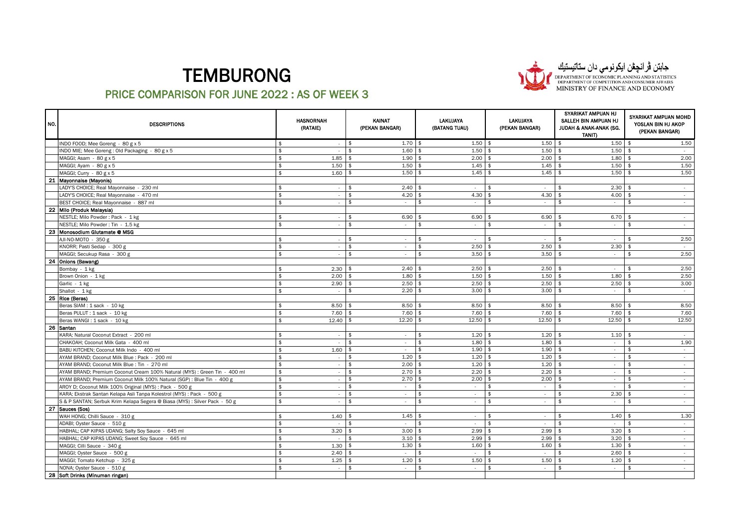

# جابتن ڤرانچڤن ایکونومی دان ستاتیستیان<br>DEPARTMENT OF ECONOMIC PLANNING AND STATISTICS<br>DEPARTMENT OF COMPETITION AND CONSUMER AFFAIRS<br>MINISTRY OF FINANCE AND ECONOMY

| NO. | <b>DESCRIPTIONS</b>                                                        |                     | <b>HASNORNAH</b><br>(RATAIE) |                    | KAINAT<br>(PEKAN BANGAR) |                    | <b>LAKUJAYA</b><br>(BATANG TUAU) | <b>LAKUJAYA</b><br>(PEKAN BANGAR) | SYARIKAT AMPUAN HJ<br>SALLEH BIN AMPUAN HJ<br>JUDAH & ANAK-ANAK (SG.<br><b>TANIT)</b> | SYARIKAT AMPUAN MOHD<br>YOSLAN BIN HJ AKOP<br>(PEKAN BANGAR) |
|-----|----------------------------------------------------------------------------|---------------------|------------------------------|--------------------|--------------------------|--------------------|----------------------------------|-----------------------------------|---------------------------------------------------------------------------------------|--------------------------------------------------------------|
|     | INDO FOOD; Mee Goreng - 80 g x 5                                           | $\mathbf{\hat{f}}$  | $\sim$                       | \$                 | $1.70$ \$                |                    | $1.50$ \$                        | $1.50$ \$                         | $1.50$ \$                                                                             | 1.50                                                         |
|     | INDO MIE; Mee Goreng: Old Packaging - 80 g x 5                             | $\hat{\mathcal{L}}$ | $\sim$                       | $\hat{\mathbf{r}}$ | 1.60                     |                    | 1.50                             | 1.50                              | 1.50<br>\$                                                                            | - \$<br>$\sim$                                               |
|     | MAGGI; Asam - 80 g x 5                                                     | $\hat{\mathbf{r}}$  | 1.85                         |                    | 1.90                     |                    | 2.00                             | 2.00                              | 1.80                                                                                  | 2.00                                                         |
|     | MAGGI; Ayam - 80 g x 5                                                     | \$                  | 1.50                         | $\mathbf{\hat{z}}$ | 1.50                     | $\mathbf{\hat{A}}$ | 1.45                             | 1.45<br>- \$                      | 1.50<br>\$                                                                            | \$<br>1.50                                                   |
|     | MAGGI; Curry - 80 g x 5                                                    | $\hat{\mathbf{r}}$  | 1.60                         | $\mathbf{\hat{f}}$ | 1.50                     |                    | 1.45                             | 1.45                              | 1.50<br>$\mathbf{A}$                                                                  | 1.50                                                         |
|     | 21 Mayonnaise (Mayonis)                                                    |                     |                              |                    |                          |                    |                                  |                                   |                                                                                       |                                                              |
|     | LADY'S CHOICE; Real Mayonnaise - 230 ml                                    | ቁ                   | $\sim$                       | \$                 | 2.40                     |                    | $\sim$                           | $\hat{\mathbf{r}}$<br>$\sim$      | 2.30<br>$\hat{\mathbf{r}}$                                                            | $\sim$                                                       |
|     | LADY'S CHOICE: Real Mavonnaise - 470 ml                                    | \$                  | ×                            | $\mathbf{\hat{z}}$ | 4.20                     | - \$               | 4.30                             | 4.30<br>$\mathbf{\hat{z}}$        | 4.00<br>$\mathfrak{L}$                                                                | - 1<br>$\sim$                                                |
|     | BEST CHOICE; Real Mayonnaise - 887 ml                                      | $\hat{\mathbf{r}}$  | ÷.                           | $\mathbf{\hat{z}}$ | $\sim$                   | \$                 | $\sim$                           | \$<br>$\sim$                      | \$<br>$\sim$                                                                          | \$<br>$\sim$                                                 |
|     | 22 Milo (Produk Malaysia)                                                  |                     |                              |                    |                          |                    |                                  |                                   |                                                                                       |                                                              |
|     | NESTLE; Milo Powder: Pack - 1 kg                                           | $\hat{\mathbf{r}}$  | $\sim$                       | \$                 | 6.90                     | - \$               | 6.90                             | 6.90<br>- \$                      | 6.70<br>$\mathbf{f}$                                                                  | - \$<br>$\sim$                                               |
|     | NESTLE; Milo Powder: Tin - 1.5 kg                                          | $\hat{\mathbf{r}}$  |                              | \$                 | $\sim$                   | \$                 | $\sim$                           | \$<br>$\sim$                      | $\mathbf{\hat{f}}$<br>$\sim$                                                          | $\mathbf{\hat{f}}$<br>$\sim$                                 |
|     | 23 Monosodium Glutamate @ MSG                                              |                     |                              |                    |                          |                    |                                  |                                   |                                                                                       |                                                              |
|     | AJI-NO-MOTO - 350 g                                                        | \$                  | $\epsilon$                   | \$                 | $\sim$                   | \$                 | $\sim$                           | -\$<br>$\sim$                     | \$<br>$\sim$                                                                          | 2.50<br>\$                                                   |
|     | KNORR; Pasti Sedap - 300 g                                                 | \$                  | $\sim$                       | \$                 | $\sim$                   | \$                 | 2.50                             | 2.50<br>-\$                       | 2.30<br>\$                                                                            | \$<br>$\sim$                                                 |
|     | MAGGI; Secukup Rasa - 300 g                                                | \$                  | $\sim$                       | \$                 | $\sim$                   | \$                 | 3.50                             | 3.50<br>$\mathbf{\hat{A}}$        | $\hat{\mathbf{r}}$<br>$\sim$                                                          | 2.50<br>$\mathbf{\hat{f}}$                                   |
|     | 24 Onions (Bawang)                                                         |                     |                              |                    |                          |                    |                                  |                                   |                                                                                       |                                                              |
|     | Bombay - 1 kg                                                              | \$                  | 2.30                         | \$                 | 2.40                     | 5                  | 2.50                             | 2.50<br>l \$                      | - \$<br>$\sim$                                                                        | 2.50<br>\$                                                   |
|     | Brown Onion - 1 kg                                                         | \$                  | 2.00                         | -\$                | 1.80                     | $\mathbf{\hat{A}}$ | 1.50                             | 1.50<br>$\mathbf{\hat{A}}$        | 1.80<br>$\mathbf{\hat{z}}$                                                            | 2.50<br>\$                                                   |
|     | Garlic - 1 kg                                                              | \$                  | 2.90                         | -\$                | 2.50                     | - \$               | 2.50                             | 2.50<br>- \$                      | 2.50<br>\$                                                                            | 3.00<br>-\$                                                  |
|     | Shallot - 1 kg                                                             | $\hat{\mathbf{r}}$  | $\mathbf{r}$                 | $\mathbf{\hat{z}}$ | 2.20                     |                    | 3.00                             | 3.00                              | . \$<br>$\sim$                                                                        | $\mathbf{\hat{f}}$<br>$\sim$                                 |
|     | 25 Rice (Beras)                                                            |                     |                              |                    |                          |                    |                                  |                                   |                                                                                       |                                                              |
|     | Beras SIAM : 1 sack - 10 kg                                                | \$                  | 8.50                         |                    | 8.50                     |                    | 8.50                             | 8.50                              | 8.50<br>$\mathbf{\hat{z}}$                                                            | 8.50<br>$\mathbf{\hat{z}}$                                   |
|     | Beras PULUT: 1 sack - 10 kg                                                | \$                  | 7.60                         |                    | 7.60                     |                    | 7.60                             | 7.60                              | 7.60<br>- 3                                                                           | 7.60<br>- 3                                                  |
|     | Beras WANGI: 1 sack - 10 kg                                                | \$                  | 12.40                        |                    | 12.20                    |                    | 12.50                            | 12.50                             | 12.50<br>$\mathbf{\hat{f}}$                                                           | 12.50<br>$\mathbf{\hat{z}}$                                  |
|     | 26 Santan                                                                  |                     |                              |                    |                          |                    |                                  |                                   |                                                                                       |                                                              |
|     | KARA; Natural Coconut Extract - 200 ml                                     | \$                  | ×                            | $\mathbf{\hat{z}}$ | $\sim$                   | $\mathbf{\hat{z}}$ | 1.20                             | 1.20<br>l \$                      | 1.10<br>\$                                                                            | - \$<br>$\sim$                                               |
|     | CHAKOAH; Coconut Milk Gata - 400 ml                                        | \$                  |                              | -\$                | $\sim$                   | \$                 | 1.80                             | 1.80                              | -\$<br>$\sim$                                                                         | 1.90<br>\$                                                   |
|     | BABU KITCHEN; Coconut Milk Indo - 400 ml                                   |                     | 1.60                         |                    | $\sim$                   | $\mathbf{\hat{z}}$ | 1.90                             | 1.90                              | $\sim$                                                                                | \$<br>$\sim$                                                 |
|     | AYAM BRAND; Coconut Milk Blue : Pack - 200 ml                              | \$                  | $\sim$                       | -\$                | 1.20                     | -\$                | 1.20                             | 1.20<br>-\$                       | - \$<br>$\sim$                                                                        | \$<br>$\sim$                                                 |
|     | AYAM BRAND; Coconut Milk Blue : Tin - 270 ml                               |                     | $\sim$                       | $\mathbf{\hat{z}}$ | 2.00                     |                    | 1.20                             | 1.20                              | $\sim$                                                                                | $\mathbf{\hat{S}}$<br>$\sim$                                 |
|     | AYAM BRAND; Premium Coconut Cream 100% Natural (MYS) : Green Tin - 400 ml  | \$                  | $\sim$                       | \$                 | 2.70                     |                    | 2.20                             | 2.20                              | $\sim$                                                                                | \$<br>$\sim$                                                 |
|     | AYAM BRAND; Premium Coconut Milk 100% Natural (SGP) : Blue Tin - 400 g     |                     | ×.                           | \$                 | 2.70                     |                    | 2.00                             | 2.00                              | $\sim$                                                                                | $\mathfrak{g}$<br>$\sim$                                     |
|     | AROY D; Coconut Milk 100% Original (MYS) : Pack - 500 g                    | \$                  | $\sim$                       | \$                 | $\overline{\phantom{a}}$ | $\mathbf{\hat{f}}$ | $\overline{\phantom{a}}$         | \$<br>$\overline{\phantom{a}}$    | \$                                                                                    | \$<br>$\sim$                                                 |
|     | KARA; Ekstrak Santan Kelapa Asli Tanpa Kolestrol (MYS) : Pack - 500 g      | \$                  | ×                            | $\mathbf{\hat{z}}$ | $\sim$                   | $\mathbf{\hat{z}}$ | $\sim$                           | $\hat{\mathbf{r}}$<br>$\sim$      | 2.30<br>$\mathbf{\hat{z}}$                                                            | $\mathfrak{g}$<br>$\sim$                                     |
|     | S & P SANTAN; Serbuk Krim Kelapa Segera @ Biasa (MYS) : Silver Pack - 50 g | \$                  | ×.                           | $\hat{\mathbf{r}}$ |                          | $\hat{\mathbf{r}}$ | $\sim$                           | $\hat{\mathbf{r}}$<br>$\sim$      | $\hat{\mathbf{r}}$                                                                    | $\mathfrak{g}$<br>$\sim$                                     |
|     | 27 Sauces (Sos)                                                            |                     |                              |                    |                          |                    |                                  |                                   |                                                                                       |                                                              |
|     | WAH HONG; Chilli Sauce - 310 g                                             | $\hat{\mathbf{r}}$  | 1.40                         | -\$                | 1.45                     | -\$                | $\sim$                           | $\mathbf{\hat{z}}$<br>$\sim$      | \$<br>1.40                                                                            | 1.30<br>$\mathbf{f}$                                         |
|     | ADABI; Oyster Sauce - 510 g                                                |                     | $\sim$                       | \$                 |                          | $\hat{\mathbf{r}}$ | $\sim$                           | $\hat{\mathbf{r}}$<br>$\sim$      | \$<br>$\sim$                                                                          | $\hat{\mathbf{r}}$<br>$\sim$                                 |
|     | HABHAL; CAP KIPAS UDANG; Salty Soy Sauce - 645 ml                          |                     | 3.20                         |                    | 3.00                     |                    | 2.99                             | 2.99                              | 3.20                                                                                  | $\sim$                                                       |
|     | HABHAL; CAP KIPAS UDANG; Sweet Soy Sauce - 645 ml                          | ¢                   | $\sim$                       | $\hat{\tau}$       | 3.10                     |                    | 2.99                             | 2.99                              | 3.20                                                                                  | $\sim$                                                       |
|     | MAGGI; Cilli Sauce - 340 g                                                 | \$                  | 1.30                         | $\mathbf{\hat{f}}$ | 1.30                     | -\$                | 1.60                             | 1.60                              | 1.30<br>$\mathfrak{L}$                                                                | - 1                                                          |
|     | MAGGI; Oyster Sauce - 500 g                                                | $\hat{\mathbf{r}}$  | 2.40                         |                    |                          | $\mathbf{\hat{z}}$ |                                  | $\hat{\tau}$                      | 2.60<br>$\mathbf{\hat{z}}$                                                            | $\hat{\mathbf{r}}$<br>$\sim$                                 |
|     | MAGGI; Tomato Ketchup - 325 g                                              | \$                  | 1.25                         | \$                 | 1.20                     | -\$                | 1.50                             | 1.50<br>-\$                       | 1.20<br>$\mathbf{f}$                                                                  | -\$<br>$\sim$                                                |
|     | NONA; Oyster Sauce - 510 g                                                 | ¢                   | ٠                            | $\hat{\mathbf{r}}$ |                          | $\hat{\mathbf{r}}$ |                                  | $\hat{\mathbf{r}}$                | \$                                                                                    | \$<br>$\sim$                                                 |
|     | 28 Soft Drinks (Minuman ringan)                                            |                     |                              |                    |                          |                    |                                  |                                   |                                                                                       |                                                              |